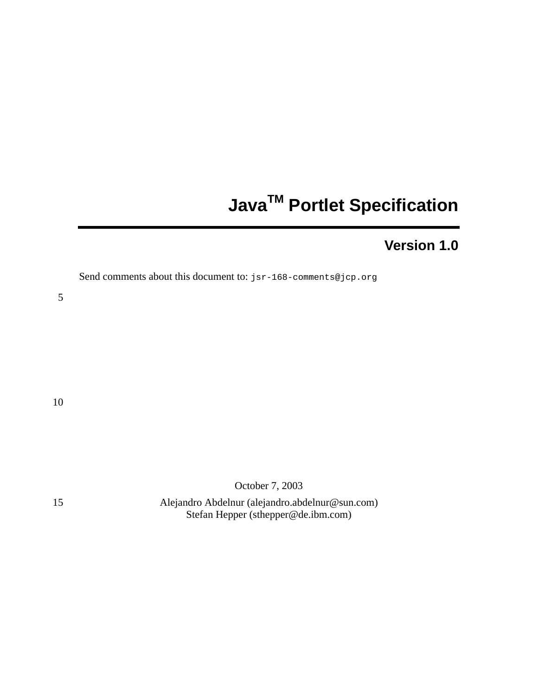# **JavaTM Portlet Specification**

### **Version 1.0**

<span id="page-0-0"></span>Send comments about this document to: jsr-168-comments@jcp.org

5

10

October 7, 2003

15 Alejandro Abdelnur (alejandro.abdelnur@sun.com) Stefan Hepper (sthepper@de.ibm.com)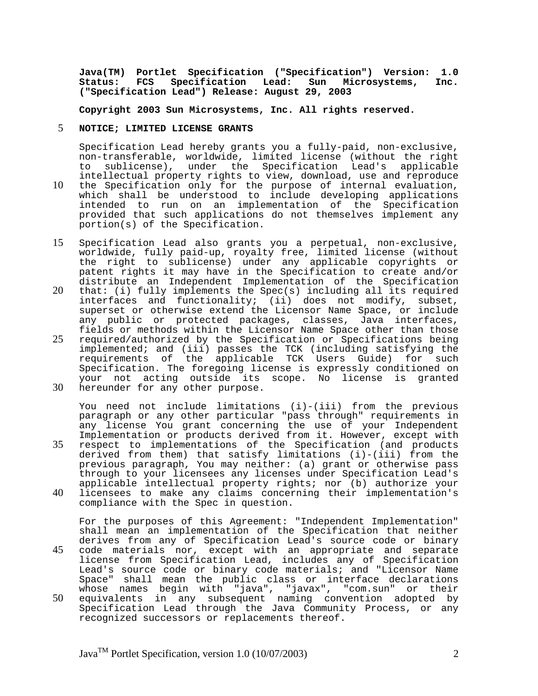**Java(TM) Portlet Specification ("Specification") Version: 1.0 Status: FCS Specification Lead: Sun Microsystems, Inc. ("Specification Lead") Release: August 29, 2003**

**Copyright 2003 Sun Microsystems, Inc. All rights reserved.**

#### 5 **NOTICE; LIMITED LICENSE GRANTS**

Specification Lead hereby grants you a fully-paid, non-exclusive, non-transferable, worldwide, limited license (without the right to sublicense), under the Specification Lead's applicable intellectual property rights to view, download, use and reproduce 10 the Specification only for the purpose of internal evaluation, which shall be understood to include developing applications

- intended to run on an implementation of the Specification provided that such applications do not themselves implement any portion(s) of the Specification.
- 15 Specification Lead also grants you a perpetual, non-exclusive, worldwide, fully paid-up, royalty free, limited license (without the right to sublicense) under any applicable copyrights or patent rights it may have in the Specification to create and/or distribute an Independent Implementation of the Specification
- 20 that: (i) fully implements the Spec(s) including all its required interfaces and functionality; (ii) does not modify, subset, superset or otherwise extend the Licensor Name Space, or include any public or protected packages, classes, Java interfaces, fields or methods within the Licensor Name Space other than those
- 25 required/authorized by the Specification or Specifications being implemented; and (iii) passes the TCK (including satisfying the requirements of the applicable TCK Users Guide) for such Specification. The foregoing license is expressly conditioned on your not acting outside its scope. No license is granted 30 hereunder for any other purpose.

You need not include limitations (i)-(iii) from the previous paragraph or any other particular "pass through" requirements in any license You grant concerning the use of your Independent Implementation or products derived from it. However, except with 35 respect to implementations of the Specification (and products derived from them) that satisfy limitations (i)-(iii) from the previous paragraph, You may neither: (a) grant or otherwise pass through to your licensees any licenses under Specification Lead's applicable intellectual property rights; nor (b) authorize your 40 licensees to make any claims concerning their implementation's compliance with the Spec in question.

For the purposes of this Agreement: "Independent Implementation" shall mean an implementation of the Specification that neither derives from any of Specification Lead's source code or binary 45 code materials nor, except with an appropriate and separate

- license from Specification Lead, includes any of Specification Lead's source code or binary code materials; and "Licensor Name Space" shall mean the public class or interface declarations whose names begin with "java", "javax", "com.sun" or their
- 50 equivalents in any subsequent naming convention adopted by Specification Lead through the Java Community Process, or any recognized successors or replacements thereof.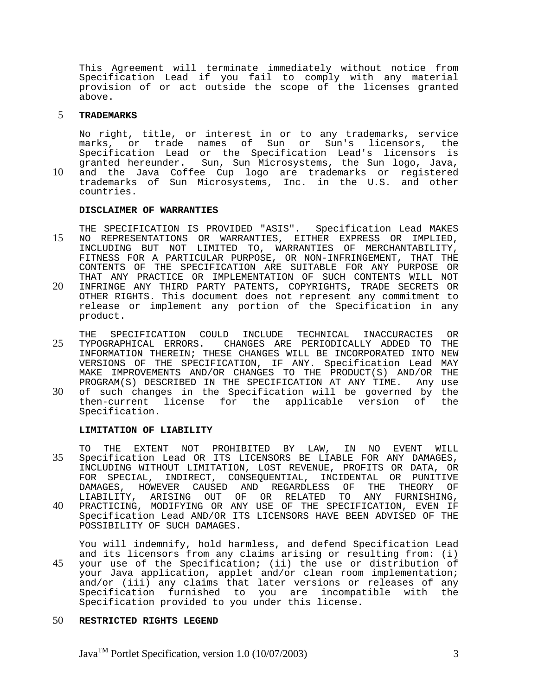This Agreement will terminate immediately without notice from Specification Lead if you fail to comply with any material provision of or act outside the scope of the licenses granted above.

#### 5 **TRADEMARKS**

No right, title, or interest in or to any trademarks, service marks, or trade names of Sun or Sun's licensors, the Specification Lead or the Specification Lead's licensors is granted hereunder. Sun, Sun Microsystems, the Sun logo, Java,

10 and the Java Coffee Cup logo are trademarks or registered trademarks of Sun Microsystems, Inc. in the U.S. and other countries.

#### **DISCLAIMER OF WARRANTIES**

- THE SPECIFICATION IS PROVIDED "ASIS". Specification Lead MAKES 15 NO REPRESENTATIONS OR WARRANTIES, EITHER EXPRESS OR IMPLIED, INCLUDING BUT NOT LIMITED TO, WARRANTIES OF MERCHANTABILITY, FITNESS FOR A PARTICULAR PURPOSE, OR NON-INFRINGEMENT, THAT THE CONTENTS OF THE SPECIFICATION ARE SUITABLE FOR ANY PURPOSE OR THAT ANY PRACTICE OR IMPLEMENTATION OF SUCH CONTENTS WILL NOT
- 20 INFRINGE ANY THIRD PARTY PATENTS, COPYRIGHTS, TRADE SECRETS OR OTHER RIGHTS. This document does not represent any commitment to release or implement any portion of the Specification in any product.
- THE SPECIFICATION COULD INCLUDE TECHNICAL INACCURACIES OR 25 TYPOGRAPHICAL ERRORS. CHANGES ARE PERIODICALLY ADDED TO THE INFORMATION THEREIN; THESE CHANGES WILL BE INCORPORATED INTO NEW VERSIONS OF THE SPECIFICATION, IF ANY. Specification Lead MAY MAKE IMPROVEMENTS AND/OR CHANGES TO THE PRODUCT(S) AND/OR THE PROGRAM(S) DESCRIBED IN THE SPECIFICATION AT ANY TIME. Any use
- 30 of such changes in the Specification will be governed by the then-current license for the applicable version of the Specification.

#### **LIMITATION OF LIABILITY**

- TO THE EXTENT NOT PROHIBITED BY LAW, IN NO EVENT WILL 35 Specification Lead OR ITS LICENSORS BE LIABLE FOR ANY DAMAGES, INCLUDING WITHOUT LIMITATION, LOST REVENUE, PROFITS OR DATA, OR FOR SPECIAL, INDIRECT, CONSEQUENTIAL, INCIDENTAL OR PUNITIVE DAMAGES, HOWEVER CAUSED AND REGARDLESS OF THE THEORY OF LIABILITY, ARISING OUT OF OR RELATED TO ANY FURNISHING, 40 PRACTICING, MODIFYING OR ANY USE OF THE SPECIFICATION, EVEN IF
- Specification Lead AND/OR ITS LICENSORS HAVE BEEN ADVISED OF THE POSSIBILITY OF SUCH DAMAGES.

You will indemnify, hold harmless, and defend Specification Lead and its licensors from any claims arising or resulting from: (i) 45 your use of the Specification; (ii) the use or distribution of your Java application, applet and/or clean room implementation; and/or (iii) any claims that later versions or releases of any Specification furnished to you are incompatible with the Specification provided to you under this license.

#### 50 **RESTRICTED RIGHTS LEGEND**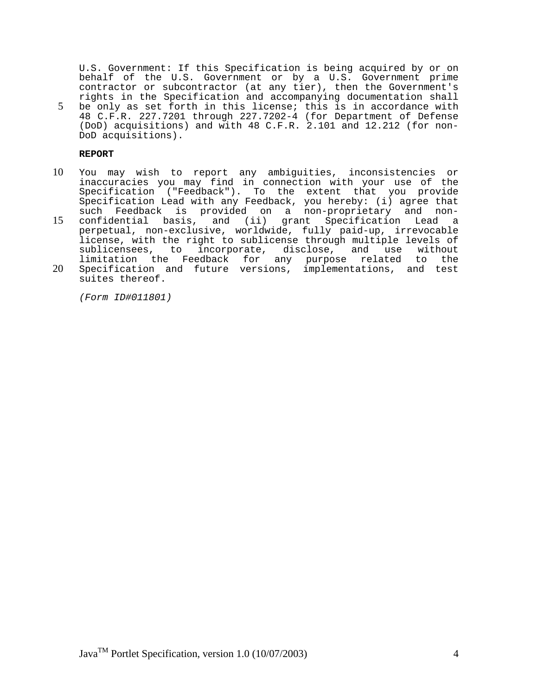U.S. Government: If this Specification is being acquired by or on behalf of the U.S. Government or by a U.S. Government prime contractor or subcontractor (at any tier), then the Government's rights in the Specification and accompanying documentation shall 5 be only as set forth in this license; this is in accordance with 48 C.F.R. 227.7201 through 227.7202-4 (for Department of Defense (DoD) acquisitions) and with 48 C.F.R. 2.101 and 12.212 (for non-DoD acquisitions).

#### **REPORT**

- 10 You may wish to report any ambiguities, inconsistencies or inaccuracies you may find in connection with your use of the Specification ("Feedback"). To the extent that you provide Specification Lead with any Feedback, you hereby: (i) agree that such Feedback is provided on a non-proprietary and non-
- 15 confidential basis, and (ii) grant Specification Lead a perpetual, non-exclusive, worldwide, fully paid-up, irrevocable license, with the right to sublicense through multiple levels of sublicensees, to incorporate, disclose, and use without limitation the Feedback for any purpose related to the
- 20 Specification and future versions, implementations, and test suites thereof.

(Form ID#011801)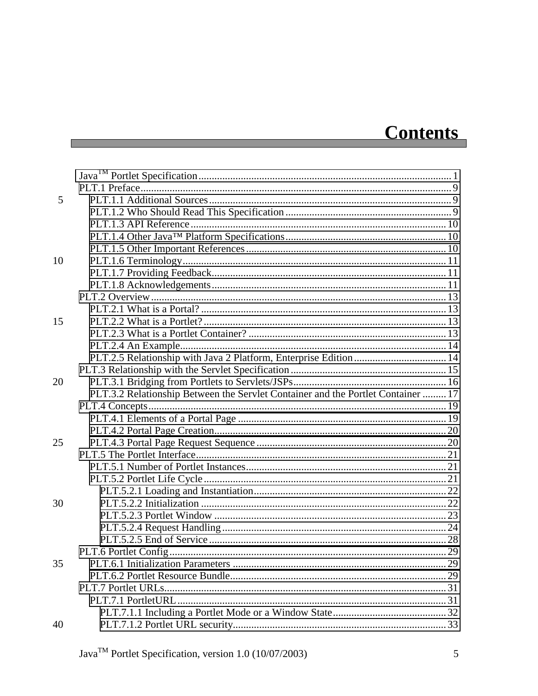# **Contents**

| 5  |                                                                                  |  |
|----|----------------------------------------------------------------------------------|--|
|    |                                                                                  |  |
|    |                                                                                  |  |
|    |                                                                                  |  |
|    |                                                                                  |  |
| 10 |                                                                                  |  |
|    |                                                                                  |  |
|    |                                                                                  |  |
|    |                                                                                  |  |
|    |                                                                                  |  |
| 15 |                                                                                  |  |
|    |                                                                                  |  |
|    |                                                                                  |  |
|    |                                                                                  |  |
|    |                                                                                  |  |
| 20 |                                                                                  |  |
|    | PLT.3.2 Relationship Between the Servlet Container and the Portlet Container  17 |  |
|    |                                                                                  |  |
|    |                                                                                  |  |
|    |                                                                                  |  |
| 25 |                                                                                  |  |
|    |                                                                                  |  |
|    |                                                                                  |  |
|    |                                                                                  |  |
|    |                                                                                  |  |
| 30 |                                                                                  |  |
|    |                                                                                  |  |
|    |                                                                                  |  |
|    |                                                                                  |  |
|    |                                                                                  |  |
| 35 |                                                                                  |  |
|    |                                                                                  |  |
|    |                                                                                  |  |
|    |                                                                                  |  |
|    |                                                                                  |  |
| 40 |                                                                                  |  |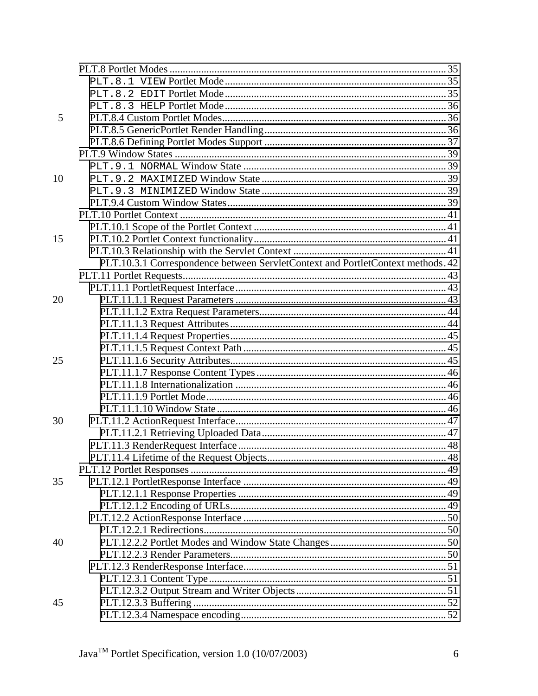| 5  |                                                                                 |  |
|----|---------------------------------------------------------------------------------|--|
|    |                                                                                 |  |
|    |                                                                                 |  |
|    |                                                                                 |  |
|    |                                                                                 |  |
| 10 |                                                                                 |  |
|    |                                                                                 |  |
|    |                                                                                 |  |
|    |                                                                                 |  |
|    |                                                                                 |  |
| 15 |                                                                                 |  |
|    |                                                                                 |  |
|    | PLT.10.3.1 Correspondence between ServletContext and PortletContext methods. 42 |  |
|    |                                                                                 |  |
|    |                                                                                 |  |
| 20 |                                                                                 |  |
|    |                                                                                 |  |
|    |                                                                                 |  |
|    |                                                                                 |  |
|    |                                                                                 |  |
| 25 |                                                                                 |  |
|    |                                                                                 |  |
|    |                                                                                 |  |
|    |                                                                                 |  |
|    |                                                                                 |  |
| 30 |                                                                                 |  |
|    |                                                                                 |  |
|    |                                                                                 |  |
|    |                                                                                 |  |
|    |                                                                                 |  |
| 35 |                                                                                 |  |
|    |                                                                                 |  |
|    |                                                                                 |  |
|    |                                                                                 |  |
|    |                                                                                 |  |
| 40 |                                                                                 |  |
|    |                                                                                 |  |
|    |                                                                                 |  |
|    |                                                                                 |  |
|    |                                                                                 |  |
| 45 |                                                                                 |  |
|    |                                                                                 |  |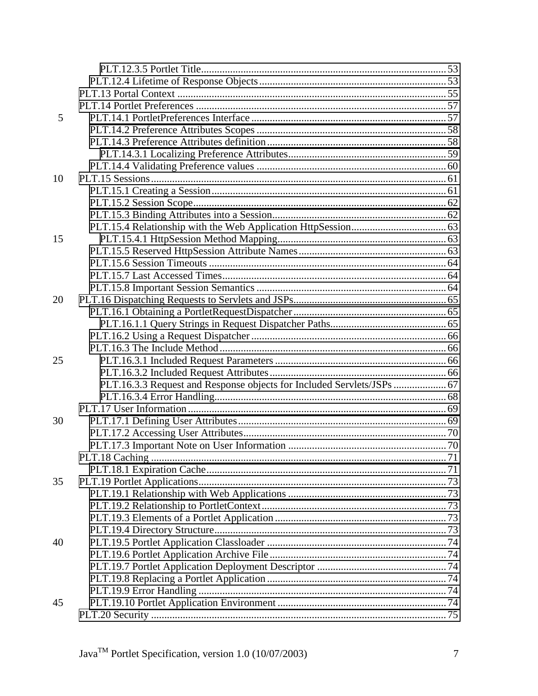| 5  |                                                                        |  |
|----|------------------------------------------------------------------------|--|
|    |                                                                        |  |
|    |                                                                        |  |
|    |                                                                        |  |
|    |                                                                        |  |
| 10 |                                                                        |  |
|    |                                                                        |  |
|    |                                                                        |  |
|    |                                                                        |  |
|    |                                                                        |  |
| 15 |                                                                        |  |
|    |                                                                        |  |
|    |                                                                        |  |
|    |                                                                        |  |
|    |                                                                        |  |
| 20 |                                                                        |  |
|    |                                                                        |  |
|    |                                                                        |  |
|    |                                                                        |  |
|    |                                                                        |  |
| 25 |                                                                        |  |
|    |                                                                        |  |
|    | PLT.16.3.3 Request and Response objects for Included Servlets/JSPs  67 |  |
|    |                                                                        |  |
|    |                                                                        |  |
| 30 |                                                                        |  |
|    |                                                                        |  |
|    |                                                                        |  |
|    |                                                                        |  |
|    |                                                                        |  |
| 35 |                                                                        |  |
|    |                                                                        |  |
|    |                                                                        |  |
|    |                                                                        |  |
|    |                                                                        |  |
| 40 |                                                                        |  |
|    |                                                                        |  |
|    |                                                                        |  |
|    |                                                                        |  |
|    |                                                                        |  |
| 45 |                                                                        |  |
|    |                                                                        |  |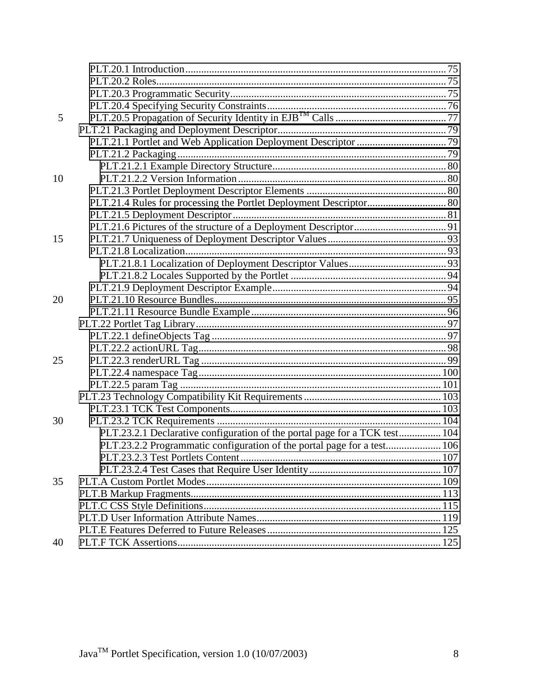| 5  |                                                                            |  |
|----|----------------------------------------------------------------------------|--|
|    |                                                                            |  |
|    |                                                                            |  |
|    |                                                                            |  |
|    |                                                                            |  |
| 10 |                                                                            |  |
|    |                                                                            |  |
|    | PLT.21.4 Rules for processing the Portlet Deployment Descriptor 80         |  |
|    |                                                                            |  |
|    |                                                                            |  |
| 15 |                                                                            |  |
|    |                                                                            |  |
|    |                                                                            |  |
|    |                                                                            |  |
|    |                                                                            |  |
| 20 |                                                                            |  |
|    |                                                                            |  |
|    |                                                                            |  |
|    |                                                                            |  |
|    |                                                                            |  |
| 25 |                                                                            |  |
|    |                                                                            |  |
|    |                                                                            |  |
|    |                                                                            |  |
|    |                                                                            |  |
| 30 |                                                                            |  |
|    | PLT.23.2.1 Declarative configuration of the portal page for a TCK test 104 |  |
|    | PLT.23.2.2 Programmatic configuration of the portal page for a test 106    |  |
|    |                                                                            |  |
|    |                                                                            |  |
| 35 |                                                                            |  |
|    |                                                                            |  |
|    |                                                                            |  |
|    |                                                                            |  |
|    |                                                                            |  |
| 40 |                                                                            |  |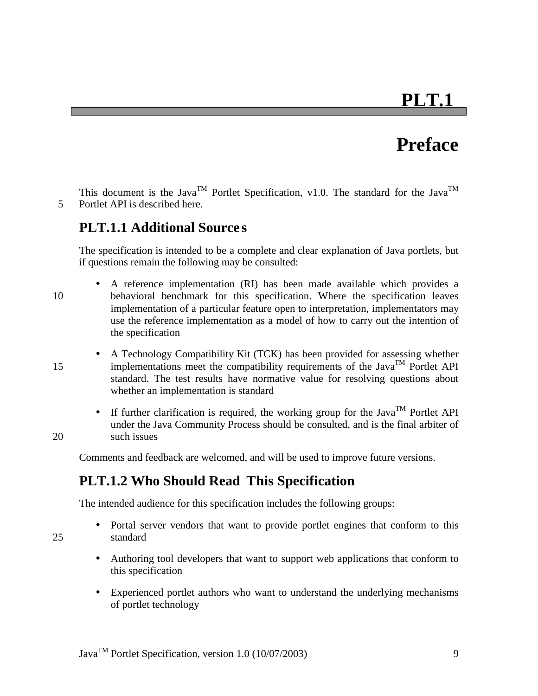# **PLT.1**

## **Preface**

<span id="page-8-0"></span>This document is the Java<sup>TM</sup> Portlet Specification, v1.0. The standard for the Java<sup>TM</sup> 5 Portlet API is described here.

#### **PLT.1.1 Additional Source s**

The specification is intended to be a complete and clear explanation of Java portlets, but if questions remain the following may be consulted:

• A reference implementation (RI) has been made available which provides a 10 behavioral benchmark for this specification. Where the specification leaves implementation of a particular feature open to interpretation, implementators may use the reference implementation as a model of how to carry out the intention of the specification

- A Technology Compatibility Kit (TCK) has been provided for assessing whether 15 implementations meet the compatibility requirements of the Java<sup>TM</sup> Portlet API standard. The test results have normative value for resolving questions about whether an implementation is standard
- If further clarification is required, the working group for the Java<sup>TM</sup> Portlet API under the Java Community Process should be consulted, and is the final arbiter of 20 such issues

Comments and feedback are welcomed, and will be used to improve future versions.

#### **PLT.1.2 Who Should Read This Specification**

The intended audience for this specification includes the following groups:

- Portal server vendors that want to provide portlet engines that conform to this 25 standard
	- Authoring tool developers that want to support web applications that conform to this specification
	- Experienced portlet authors who want to understand the underlying mechanisms of portlet technology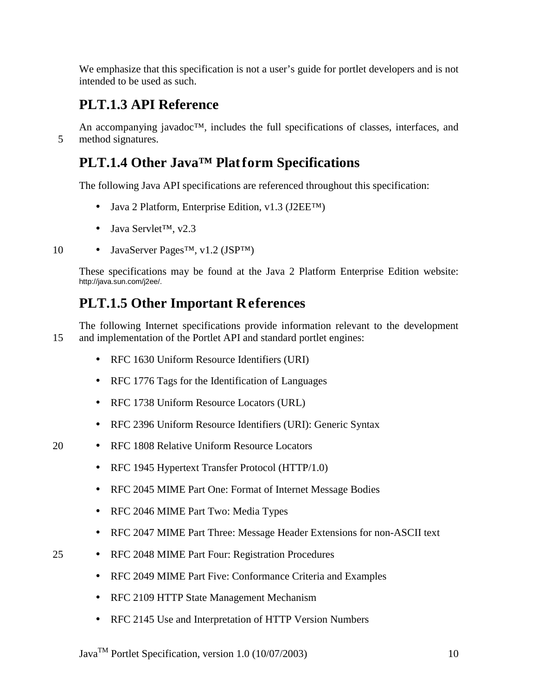<span id="page-9-0"></span>We emphasize that this specification is not a user's guide for portlet developers and is not intended to be used as such.

### **PLT.1.3 API Reference**

An accompanying javadoc™, includes the full specifications of classes, interfaces, and 5 method signatures.

### **PLT.1.4 Other Java™ Plat form Specifications**

The following Java API specifications are referenced throughout this specification:

- Java 2 Platform, Enterprise Edition, v1.3 (J2EE<sup>TM</sup>)
- Java Servlet™, v2.3
- 10 JavaServer Pages™, v1.2 (JSP™)

These specifications may be found at the Java 2 Platform Enterprise Edition website: http://java.sun.com/j2ee/.

### **PLT.1.5 Other Important R eferences**

The following Internet specifications provide information relevant to the development 15 and implementation of the Portlet API and standard portlet engines:

- RFC 1630 Uniform Resource Identifiers (URI)
- RFC 1776 Tags for the Identification of Languages
- RFC 1738 Uniform Resource Locators (URL)
- RFC 2396 Uniform Resource Identifiers (URI): Generic Syntax
- 20 RFC 1808 Relative Uniform Resource Locators
	- RFC 1945 Hypertext Transfer Protocol (HTTP/1.0)
	- RFC 2045 MIME Part One: Format of Internet Message Bodies
	- RFC 2046 MIME Part Two: Media Types
	- RFC 2047 MIME Part Three: Message Header Extensions for non-ASCII text
- 25 RFC 2048 MIME Part Four: Registration Procedures
	- RFC 2049 MIME Part Five: Conformance Criteria and Examples
	- RFC 2109 HTTP State Management Mechanism
	- RFC 2145 Use and Interpretation of HTTP Version Numbers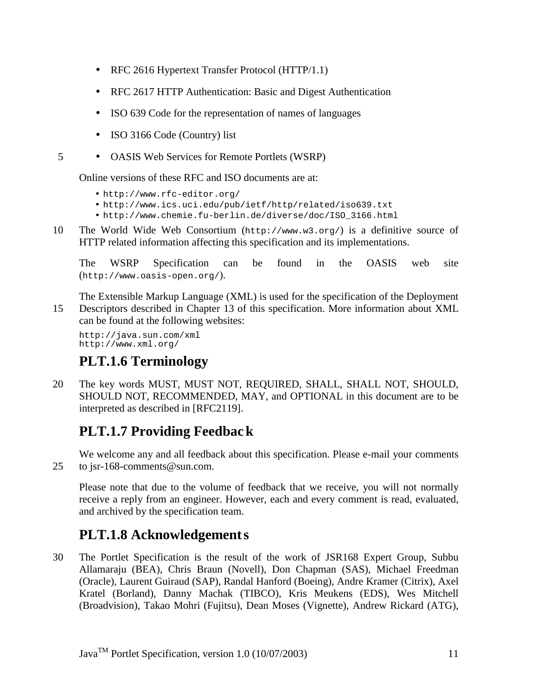- <span id="page-10-0"></span>• RFC 2616 Hypertext Transfer Protocol (HTTP/1.1)
- RFC 2617 HTTP Authentication: Basic and Digest Authentication
- ISO 639 Code for the representation of names of languages
- ISO 3166 Code (Country) list
- 5 OASIS Web Services for Remote Portlets (WSRP)

Online versions of these RFC and ISO documents are at:

- http://www.rfc-editor.org/
- http://www.ics.uci.edu/pub/ietf/http/related/iso639.txt
- http://www.chemie.fu-berlin.de/diverse/doc/ISO\_3166.html
- 10 The World Wide Web Consortium (http://www.w3.org/) is a definitive source of HTTP related information affecting this specification and its implementations.

The WSRP Specification can be found in the OASIS web site (http://www.oasis-open.org/).

The Extensible Markup Language (XML) is used for the specification of the Deployment 15 Descriptors described in Chapter 13 of this specification. More information about XML can be found at the following websites:

http://java.sun.com/xml http://www.xml.org/

### **PLT.1.6 Terminology**

20 The key words MUST, MUST NOT, REQUIRED, SHALL, SHALL NOT, SHOULD, SHOULD NOT, RECOMMENDED, MAY, and OPTIONAL in this document are to be interpreted as described in [RFC2119].

### **PLT.1.7 Providing Feedbac k**

We welcome any and all feedback about this specification. Please e-mail your comments 25 to jsr-168-comments@sun.com.

Please note that due to the volume of feedback that we receive, you will not normally receive a reply from an engineer. However, each and every comment is read, evaluated, and archived by the specification team.

### **PLT.1.8 Acknowledgement s**

30 The Portlet Specification is the result of the work of JSR168 Expert Group, Subbu Allamaraju (BEA), Chris Braun (Novell), Don Chapman (SAS), Michael Freedman (Oracle), Laurent Guiraud (SAP), Randal Hanford (Boeing), Andre Kramer (Citrix), Axel Kratel (Borland), Danny Machak (TIBCO), Kris Meukens (EDS), Wes Mitchell (Broadvision), Takao Mohri (Fujitsu), Dean Moses (Vignette), Andrew Rickard (ATG),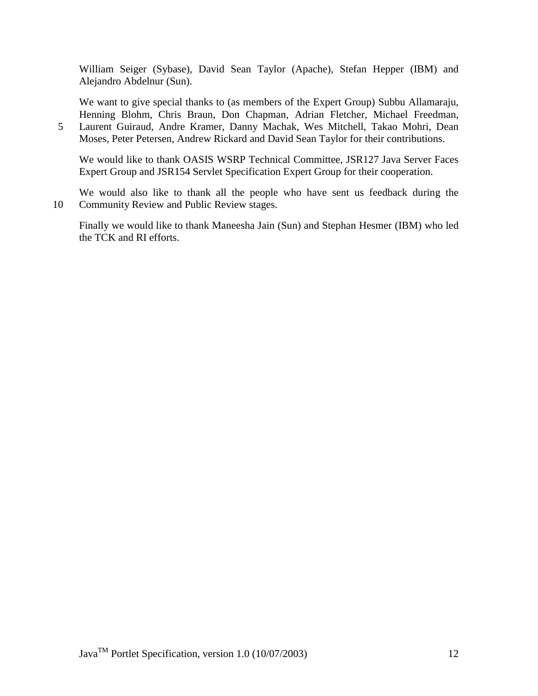William Seiger (Sybase), David Sean Taylor (Apache), Stefan Hepper (IBM) and Alejandro Abdelnur (Sun).

We want to give special thanks to (as members of the Expert Group) Subbu Allamaraju, Henning Blohm, Chris Braun, Don Chapman, Adrian Fletcher, Michael Freedman, 5 Laurent Guiraud, Andre Kramer, Danny Machak, Wes Mitchell, Takao Mohri, Dean Moses, Peter Petersen, Andrew Rickard and David Sean Taylor for their contributions.

We would like to thank OASIS WSRP Technical Committee, JSR127 Java Server Faces Expert Group and JSR154 Servlet Specification Expert Group for their cooperation.

We would also like to thank all the people who have sent us feedback during the 10 Community Review and Public Review stages.

Finally we would like to thank Maneesha Jain (Sun) and Stephan Hesmer (IBM) who led the TCK and RI efforts.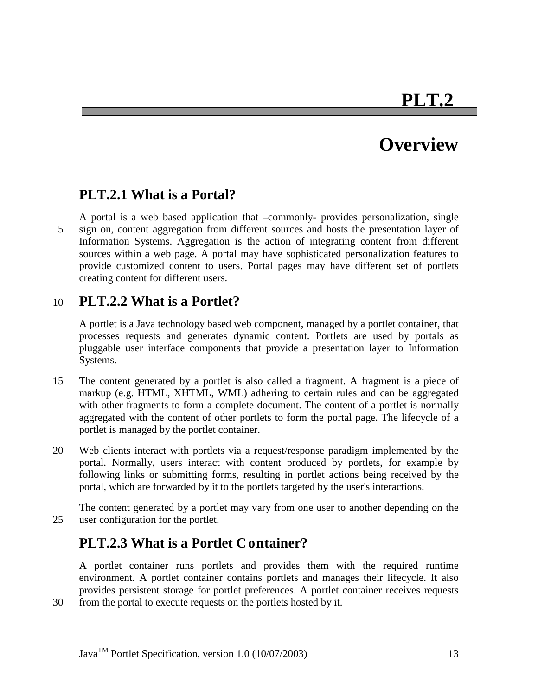## **Overview**

#### <span id="page-12-0"></span>**PLT.2.1 What is a Portal?**

A portal is a web based application that –commonly- provides personalization, single 5 sign on, content aggregation from different sources and hosts the presentation layer of Information Systems. Aggregation is the action of integrating content from different sources within a web page. A portal may have sophisticated personalization features to provide customized content to users. Portal pages may have different set of portlets creating content for different users.

#### 10 **PLT.2.2 What is a Portlet?**

A portlet is a Java technology based web component, managed by a portlet container, that processes requests and generates dynamic content. Portlets are used by portals as pluggable user interface components that provide a presentation layer to Information Systems.

- 15 The content generated by a portlet is also called a fragment. A fragment is a piece of markup (e.g. HTML, XHTML, WML) adhering to certain rules and can be aggregated with other fragments to form a complete document. The content of a portlet is normally aggregated with the content of other portlets to form the portal page. The lifecycle of a portlet is managed by the portlet container.
- 20 Web clients interact with portlets via a request/response paradigm implemented by the portal. Normally, users interact with content produced by portlets, for example by following links or submitting forms, resulting in portlet actions being received by the portal, which are forwarded by it to the portlets targeted by the user's interactions.

The content generated by a portlet may vary from one user to another depending on the 25 user configuration for the portlet.

#### **PLT.2.3 What is a Portlet C ontainer?**

A portlet container runs portlets and provides them with the required runtime environment. A portlet container contains portlets and manages their lifecycle. It also provides persistent storage for portlet preferences. A portlet container receives requests 30 from the portal to execute requests on the portlets hosted by it.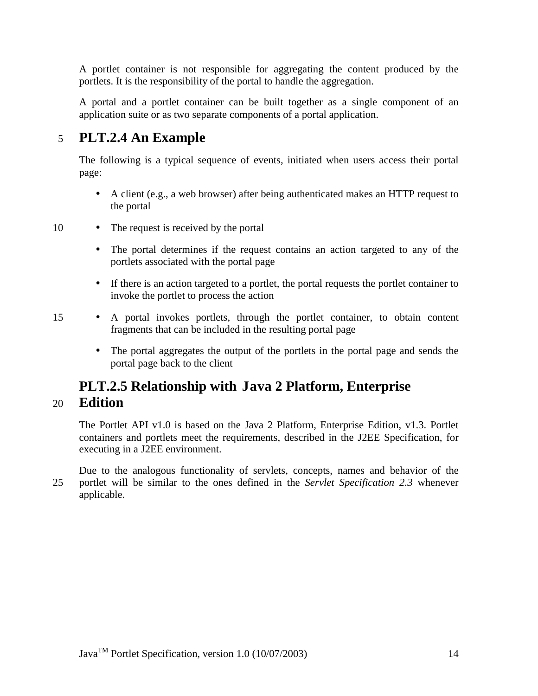<span id="page-13-0"></span>A portlet container is not responsible for aggregating the content produced by the portlets. It is the responsibility of the portal to handle the aggregation.

A portal and a portlet container can be built together as a single component of an application suite or as two separate components of a portal application.

### 5 **PLT.2.4 An Example**

The following is a typical sequence of events, initiated when users access their portal page:

- A client (e.g., a web browser) after being authenticated makes an HTTP request to the portal
- 10 The request is received by the portal
	- The portal determines if the request contains an action targeted to any of the portlets associated with the portal page
	- If there is an action targeted to a portlet, the portal requests the portlet container to invoke the portlet to process the action
- 15 A portal invokes portlets, through the portlet container, to obtain content fragments that can be included in the resulting portal page
	- The portal aggregates the output of the portlets in the portal page and sends the portal page back to the client

# **PLT.2.5 Relationship with Java 2 Platform, Enterprise**

#### 20 **Edition**

The Portlet API v1.0 is based on the Java 2 Platform, Enterprise Edition, v1.3. Portlet containers and portlets meet the requirements, described in the J2EE Specification, for executing in a J2EE environment.

Due to the analogous functionality of servlets, concepts, names and behavior of the 25 portlet will be similar to the ones defined in the *Servlet Specification 2.3* whenever applicable.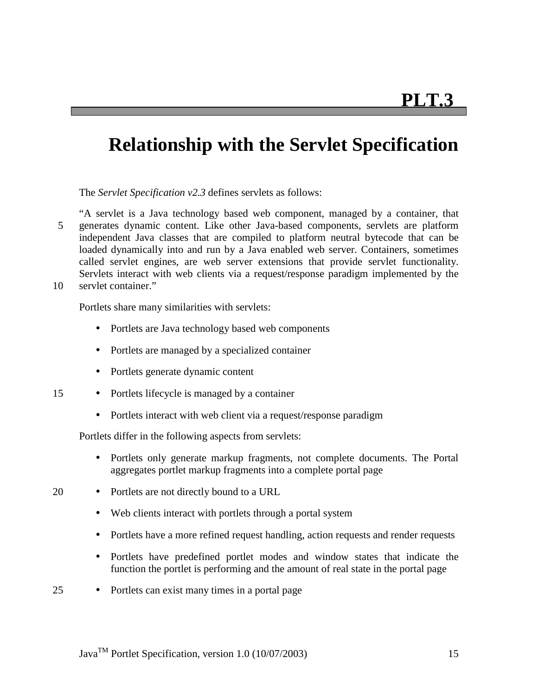### <span id="page-14-0"></span>**Relationship with the Servlet Specification**

The *Servlet Specification v2.3* defines servlets as follows:

"A servlet is a Java technology based web component, managed by a container, that 5 generates dynamic content. Like other Java-based components, servlets are platform independent Java classes that are compiled to platform neutral bytecode that can be loaded dynamically into and run by a Java enabled web server. Containers, sometimes called servlet engines, are web server extensions that provide servlet functionality. Servlets interact with web clients via a request/response paradigm implemented by the 10 servlet container."

Portlets share many similarities with servlets:

- Portlets are Java technology based web components
- Portlets are managed by a specialized container
- Portlets generate dynamic content
- 15 Portlets lifecycle is managed by a container
	- Portlets interact with web client via a request/response paradigm

Portlets differ in the following aspects from servlets:

- Portlets only generate markup fragments, not complete documents. The Portal aggregates portlet markup fragments into a complete portal page
- 20 Portlets are not directly bound to a URL
	- Web clients interact with portlets through a portal system
	- Portlets have a more refined request handling, action requests and render requests
	- Portlets have predefined portlet modes and window states that indicate the function the portlet is performing and the amount of real state in the portal page
- 25 Portlets can exist many times in a portal page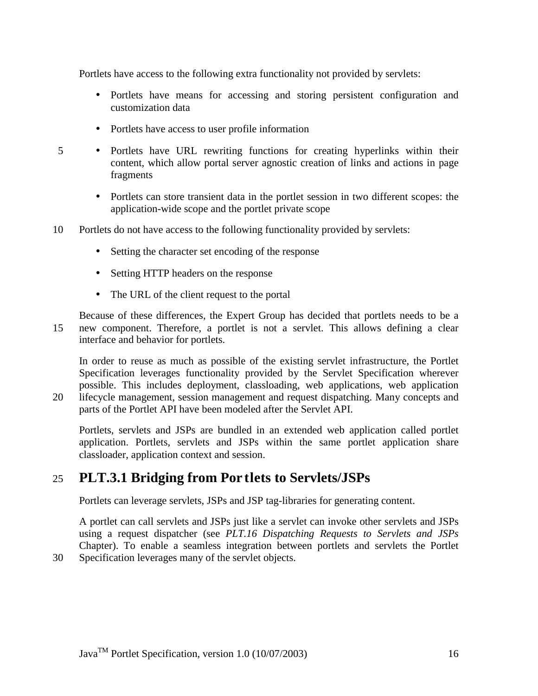<span id="page-15-0"></span>Portlets have access to the following extra functionality not provided by servlets:

- Portlets have means for accessing and storing persistent configuration and customization data
- Portlets have access to user profile information
- 5 Portlets have URL rewriting functions for creating hyperlinks within their content, which allow portal server agnostic creation of links and actions in page fragments
	- Portlets can store transient data in the portlet session in two different scopes: the application-wide scope and the portlet private scope
- 10 Portlets do not have access to the following functionality provided by servlets:
	- Setting the character set encoding of the response
	- Setting HTTP headers on the response
	- The URL of the client request to the portal

Because of these differences, the Expert Group has decided that portlets needs to be a 15 new component. Therefore, a portlet is not a servlet. This allows defining a clear interface and behavior for portlets.

In order to reuse as much as possible of the existing servlet infrastructure, the Portlet Specification leverages functionality provided by the Servlet Specification wherever possible. This includes deployment, classloading, web applications, web application 20 lifecycle management, session management and request dispatching. Many concepts and parts of the Portlet API have been modeled after the Servlet API.

Portlets, servlets and JSPs are bundled in an extended web application called portlet application. Portlets, servlets and JSPs within the same portlet application share classloader, application context and session.

#### 25 **PLT.3.1 Bridging from Por tlets to Servlets/JSPs**

Portlets can leverage servlets, JSPs and JSP tag-libraries for generating content.

A portlet can call servlets and JSPs just like a servlet can invoke other servlets and JSPs using a request dispatcher (see *PLT.16 Dispatching Requests to Servlets and JSPs* Chapter). To enable a seamless integration between portlets and servlets the Portlet 30 Specification leverages many of the servlet objects.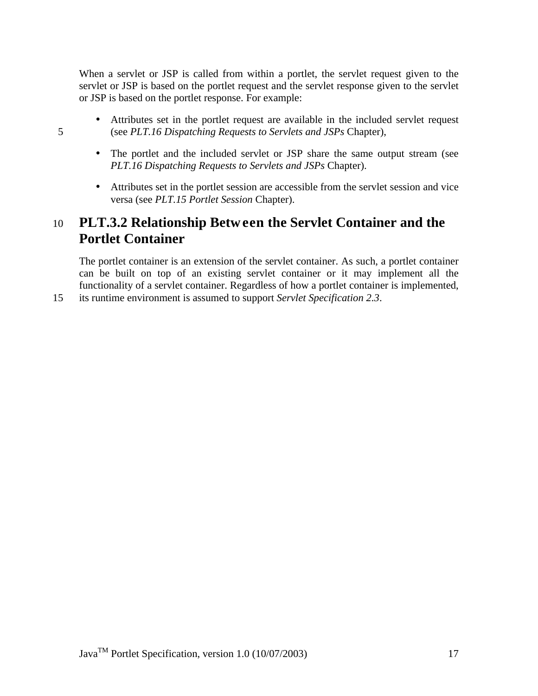<span id="page-16-0"></span>When a servlet or JSP is called from within a portlet, the servlet request given to the servlet or JSP is based on the portlet request and the servlet response given to the servlet or JSP is based on the portlet response. For example:

- Attributes set in the portlet request are available in the included servlet request 5 (see *PLT.16 Dispatching Requests to Servlets and JSPs* Chapter),
	- The portlet and the included servlet or JSP share the same output stream (see *PLT.16 Dispatching Requests to Servlets and JSPs* Chapter).
	- Attributes set in the portlet session are accessible from the servlet session and vice versa (see *PLT.15 Portlet Session* Chapter).

#### 10 **PLT.3.2 Relationship Betw een the Servlet Container and the Portlet Container**

The portlet container is an extension of the servlet container. As such, a portlet container can be built on top of an existing servlet container or it may implement all the functionality of a servlet container. Regardless of how a portlet container is implemented, 15 its runtime environment is assumed to support *Servlet Specification 2.3*.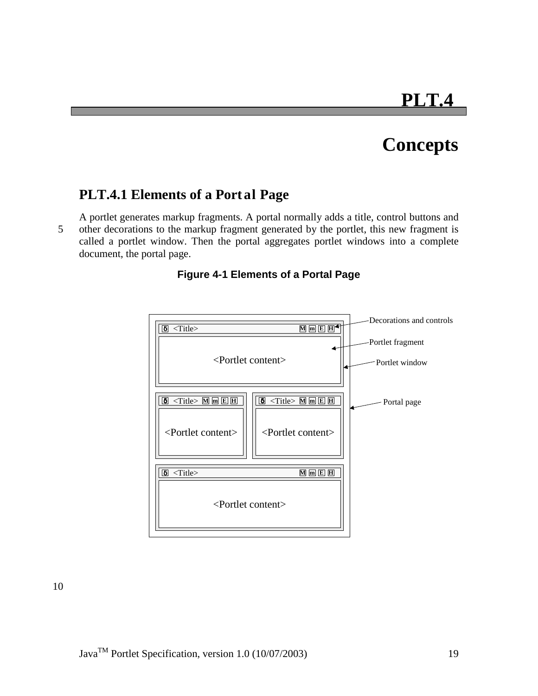# **PLT.4**

## **Concepts**

#### <span id="page-18-0"></span>**PLT.4.1 Elements of a Port al Page**

A portlet generates markup fragments. A portal normally adds a title, control buttons and 5 other decorations to the markup fragment generated by the portlet, this new fragment is called a portlet window. Then the portal aggregates portlet windows into a complete document, the portal page.





10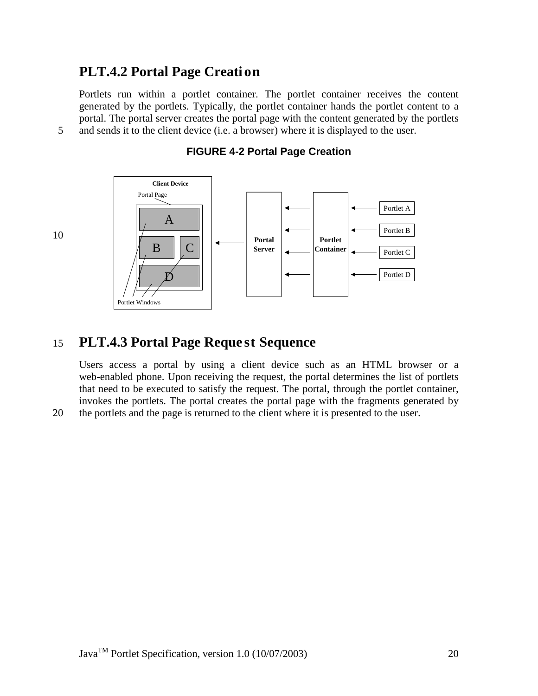#### <span id="page-19-0"></span>**PLT.4.2 Portal Page Creati on**

Portlets run within a portlet container. The portlet container receives the content generated by the portlets. Typically, the portlet container hands the portlet content to a portal. The portal server creates the portal page with the content generated by the portlets 5 and sends it to the client device (i.e. a browser) where it is displayed to the user.



**FIGURE 4-2 Portal Page Creation**

#### 15 **PLT.4.3 Portal Page Reque st Sequence**

Users access a portal by using a client device such as an HTML browser or a web-enabled phone. Upon receiving the request, the portal determines the list of portlets that need to be executed to satisfy the request. The portal, through the portlet container, invokes the portlets. The portal creates the portal page with the fragments generated by 20 the portlets and the page is returned to the client where it is presented to the user.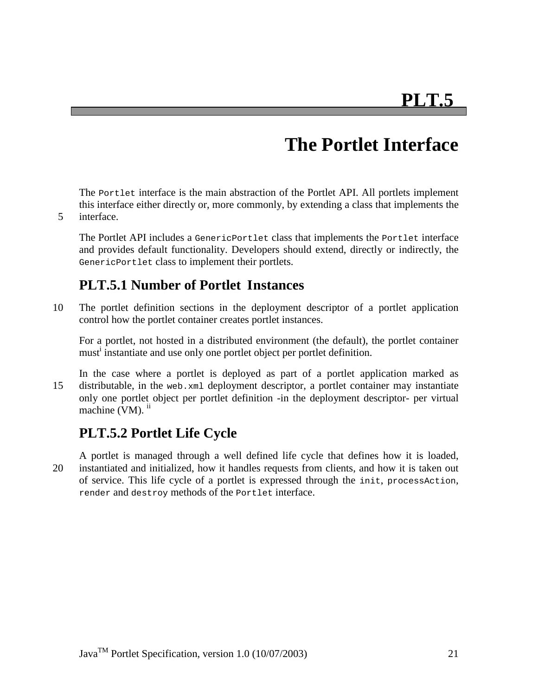### **The Portlet Interface**

<span id="page-20-0"></span>The Portlet interface is the main abstraction of the Portlet API. All portlets implement this interface either directly or, more commonly, by extending a class that implements the

5 interface.

The Portlet API includes a GenericPortlet class that implements the Portlet interface and provides default functionality. Developers should extend, directly or indirectly, the GenericPortlet class to implement their portlets.

#### **PLT.5.1 Number of Portlet Instances**

10 The portlet definition sections in the deployment descriptor of a portlet application control how the portlet container creates portlet instances.

For a portlet, not hosted in a distributed environment (the default), the portlet container must<sup>i</sup> instantiate and use only one portlet object per portlet definition.

In the case where a portlet is deployed as part of a portlet application marked as 15 distributable, in the web.xml deployment descriptor, a portlet container may instantiate only one portlet object per portlet definition -in the deployment descriptor- per virtual machine  $(VM)$ .  $ii$ 

#### **PLT.5.2 Portlet Life Cycle**

A portlet is managed through a well defined life cycle that defines how it is loaded, 20 instantiated and initialized, how it handles requests from clients, and how it is taken out of service. This life cycle of a portlet is expressed through the init, processAction, render and destroy methods of the Portlet interface.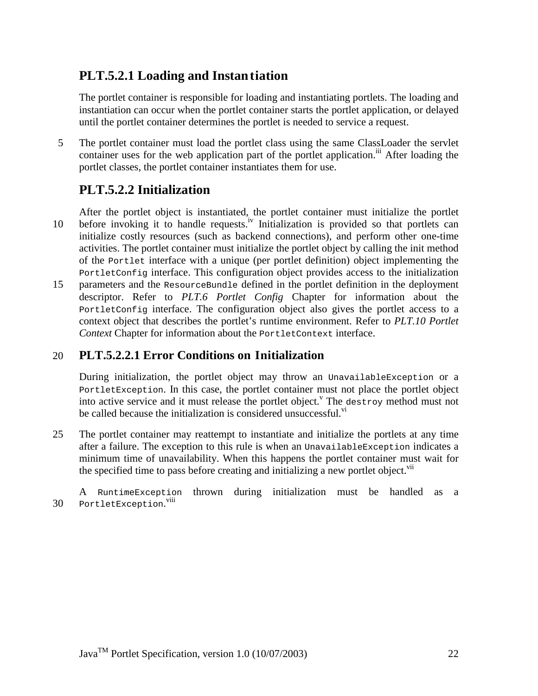#### <span id="page-21-0"></span>**PLT.5.2.1 Loading and Instantiation**

The portlet container is responsible for loading and instantiating portlets. The loading and instantiation can occur when the portlet container starts the portlet application, or delayed until the portlet container determines the portlet is needed to service a request.

5 The portlet container must load the portlet class using the same ClassLoader the servlet container uses for the web application part of the portlet application.<sup>iii</sup> After loading the portlet classes, the portlet container instantiates them for use.

#### **PLT.5.2.2 Initialization**

- After the portlet object is instantiated, the portlet container must initialize the portlet 10 before invoking it to handle requests.<sup>iv</sup> Initialization is provided so that portlets can initialize costly resources (such as backend connections), and perform other one-time activities. The portlet container must initialize the portlet object by calling the init method of the Portlet interface with a unique (per portlet definition) object implementing the PortletConfig interface. This configuration object provides access to the initialization
- 15 parameters and the ResourceBundle defined in the portlet definition in the deployment descriptor. Refer to *PLT.6 Portlet Config* Chapter for information about the PortletConfig interface. The configuration object also gives the portlet access to a context object that describes the portlet's runtime environment. Refer to *PLT.10 Portlet Context* Chapter for information about the PortletContext interface.

#### 20 **PLT.5.2.2.1 Error Conditions on Initialization**

During initialization, the portlet object may throw an UnavailableException or a PortletException. In this case, the portlet container must not place the portlet object into active service and it must release the portlet object.<sup>V</sup> The destroy method must not be called because the initialization is considered unsuccessful. $\overline{v}$ <sup>i</sup>

25 The portlet container may reattempt to instantiate and initialize the portlets at any time after a failure. The exception to this rule is when an UnavailableException indicates a minimum time of unavailability. When this happens the portlet container must wait for the specified time to pass before creating and initializing a new portlet object.<sup>VII</sup>

A RuntimeException thrown during initialization must be handled as a 30 PortletException.<sup>viii</sup>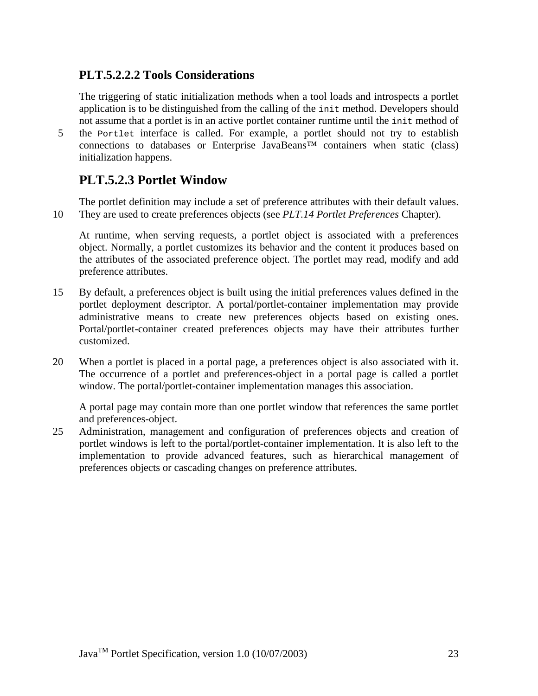#### <span id="page-22-0"></span>**PLT.5.2.2.2 Tools Considerations**

The triggering of static initialization methods when a tool loads and introspects a portlet application is to be distinguished from the calling of the init method. Developers should not assume that a portlet is in an active portlet container runtime until the init method of

5 the Portlet interface is called. For example, a portlet should not try to establish connections to databases or Enterprise JavaBeans™ containers when static (class) initialization happens.

#### **PLT.5.2.3 Portlet Window**

The portlet definition may include a set of preference attributes with their default values. 10 They are used to create preferences objects (see *PLT.14 Portlet Preferences* Chapter).

At runtime, when serving requests, a portlet object is associated with a preferences object. Normally, a portlet customizes its behavior and the content it produces based on the attributes of the associated preference object. The portlet may read, modify and add preference attributes.

- 15 By default, a preferences object is built using the initial preferences values defined in the portlet deployment descriptor. A portal/portlet-container implementation may provide administrative means to create new preferences objects based on existing ones. Portal/portlet-container created preferences objects may have their attributes further customized.
- 20 When a portlet is placed in a portal page, a preferences object is also associated with it. The occurrence of a portlet and preferences-object in a portal page is called a portlet window. The portal/portlet-container implementation manages this association.

A portal page may contain more than one portlet window that references the same portlet and preferences-object.

25 Administration, management and configuration of preferences objects and creation of portlet windows is left to the portal/portlet-container implementation. It is also left to the implementation to provide advanced features, such as hierarchical management of preferences objects or cascading changes on preference attributes.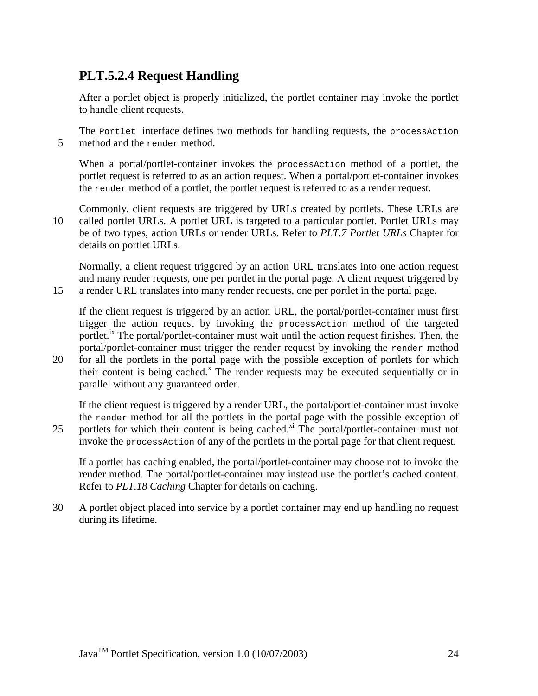#### <span id="page-23-0"></span>**PLT.5.2.4 Request Handling**

After a portlet object is properly initialized, the portlet container may invoke the portlet to handle client requests.

The Portlet interface defines two methods for handling requests, the processAction 5 method and the render method.

When a portal/portlet-container invokes the processAction method of a portlet, the portlet request is referred to as an action request. When a portal/portlet-container invokes the render method of a portlet, the portlet request is referred to as a render request.

Commonly, client requests are triggered by URLs created by portlets. These URLs are 10 called portlet URLs. A portlet URL is targeted to a particular portlet. Portlet URLs may be of two types, action URLs or render URLs. Refer to *PLT.7 Portlet URLs* Chapter for details on portlet URLs.

Normally, a client request triggered by an action URL translates into one action request and many render requests, one per portlet in the portal page. A client request triggered by 15 a render URL translates into many render requests, one per portlet in the portal page.

If the client request is triggered by an action URL, the portal/portlet-container must first trigger the action request by invoking the processAction method of the targeted portlet.<sup>ix</sup> The portal/portlet-container must wait until the action request finishes. Then, the portal/portlet-container must trigger the render request by invoking the render method

20 for all the portlets in the portal page with the possible exception of portlets for which their content is being cached.<sup>x</sup> The render requests may be executed sequentially or in parallel without any guaranteed order.

If the client request is triggered by a render URL, the portal/portlet-container must invoke the render method for all the portlets in the portal page with the possible exception of 25 portlets for which their content is being cached.<sup>xi</sup> The portal/portlet-container must not invoke the processAction of any of the portlets in the portal page for that client request.

If a portlet has caching enabled, the portal/portlet-container may choose not to invoke the render method. The portal/portlet-container may instead use the portlet's cached content. Refer to *PLT.18 Caching* Chapter for details on caching.

30 A portlet object placed into service by a portlet container may end up handling no request during its lifetime.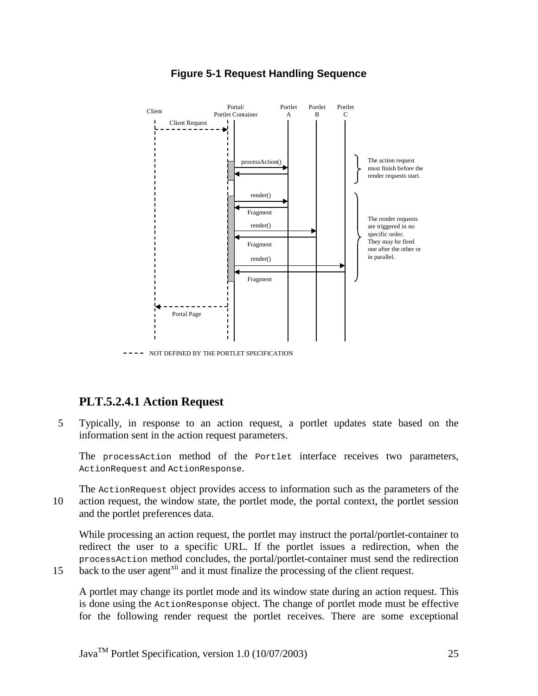

#### **Figure 5-1 Request Handling Sequence**

---- NOT DEFINED BY THE PORTLET SPECIFICATION

#### **PLT.5.2.4.1 Action Request**

5 Typically, in response to an action request, a portlet updates state based on the information sent in the action request parameters.

The processAction method of the Portlet interface receives two parameters, ActionRequest and ActionResponse.

The ActionRequest object provides access to information such as the parameters of the 10 action request, the window state, the portlet mode, the portal context, the portlet session and the portlet preferences data.

While processing an action request, the portlet may instruct the portal/portlet-container to redirect the user to a specific URL. If the portlet issues a redirection, when the processAction method concludes, the portal/portlet-container must send the redirection 15 back to the user agent<sup>xii</sup> and it must finalize the processing of the client request.

A portlet may change its portlet mode and its window state during an action request. This is done using the ActionResponse object. The change of portlet mode must be effective for the following render request the portlet receives. There are some exceptional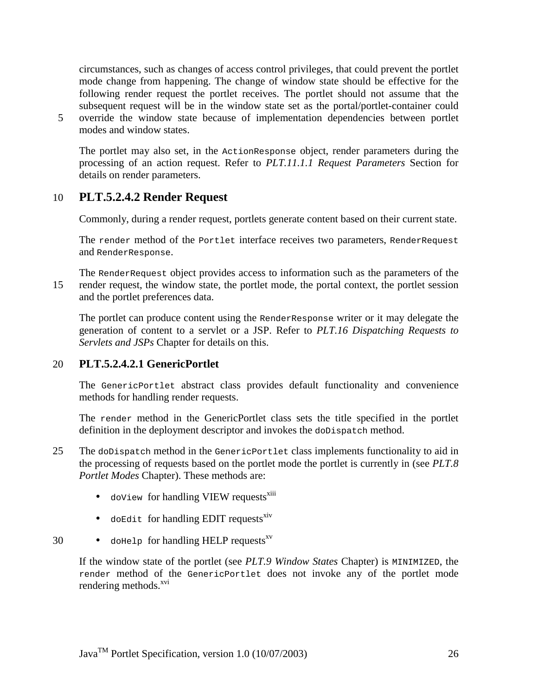circumstances, such as changes of access control privileges, that could prevent the portlet mode change from happening. The change of window state should be effective for the following render request the portlet receives. The portlet should not assume that the subsequent request will be in the window state set as the portal/portlet-container could 5 override the window state because of implementation dependencies between portlet

The portlet may also set, in the ActionResponse object, render parameters during the processing of an action request. Refer to *PLT.11.1.1 Request Parameters* Section for

#### 10 **PLT.5.2.4.2 Render Request**

details on render parameters.

modes and window states.

Commonly, during a render request, portlets generate content based on their current state.

The render method of the Portlet interface receives two parameters, RenderRequest and RenderResponse.

The RenderRequest object provides access to information such as the parameters of the 15 render request, the window state, the portlet mode, the portal context, the portlet session and the portlet preferences data.

The portlet can produce content using the RenderResponse writer or it may delegate the generation of content to a servlet or a JSP. Refer to *PLT.16 Dispatching Requests to Servlets and JSPs* Chapter for details on this.

#### 20 **PLT.5.2.4.2.1 GenericPortlet**

The GenericPortlet abstract class provides default functionality and convenience methods for handling render requests.

The render method in the GenericPortlet class sets the title specified in the portlet definition in the deployment descriptor and invokes the doDispatch method.

- 25 The doDispatch method in the GenericPortlet class implements functionality to aid in the processing of requests based on the portlet mode the portlet is currently in (see *PLT.8 Portlet Modes* Chapter). These methods are:
	- $\bullet$  doView for handling VIEW requests $x_{\text{min}}$
	- doEdit for handling EDIT requests<sup>xiv</sup>
- $\text{30}$  doHelp for handling HELP requests<sup>xv</sup>

If the window state of the portlet (see *PLT.9 Window States* Chapter) is MINIMIZED, the render method of the GenericPortlet does not invoke any of the portlet mode rendering methods.<sup>xvi</sup>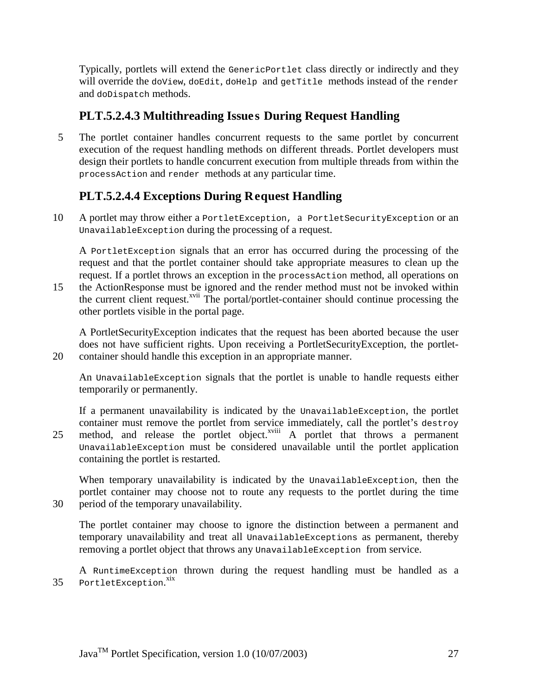Typically, portlets will extend the GenericPortlet class directly or indirectly and they will override the doView, doEdit, doHelp and getTitle methods instead of the render and doDispatch methods.

#### **PLT.5.2.4.3 Multithreading Issues During Request Handling**

5 The portlet container handles concurrent requests to the same portlet by concurrent execution of the request handling methods on different threads. Portlet developers must design their portlets to handle concurrent execution from multiple threads from within the processAction and render methods at any particular time.

#### **PLT.5.2.4.4 Exceptions During Request Handling**

10 A portlet may throw either a PortletException, a PortletSecurityException or an UnavailableException during the processing of a request.

A PortletException signals that an error has occurred during the processing of the request and that the portlet container should take appropriate measures to clean up the request. If a portlet throws an exception in the processAction method, all operations on

15 the ActionResponse must be ignored and the render method must not be invoked within the current client request.<sup>xvii</sup> The portal/portlet-container should continue processing the other portlets visible in the portal page.

A PortletSecurityException indicates that the request has been aborted because the user does not have sufficient rights. Upon receiving a PortletSecurityException, the portlet-20 container should handle this exception in an appropriate manner.

An UnavailableException signals that the portlet is unable to handle requests either temporarily or permanently.

If a permanent unavailability is indicated by the UnavailableException, the portlet container must remove the portlet from service immediately, call the portlet's destroy 25 method, and release the portlet object. $\frac{x}{y}$  A portlet that throws a permanent UnavailableException must be considered unavailable until the portlet application containing the portlet is restarted.

When temporary unavailability is indicated by the UnavailableException, then the portlet container may choose not to route any requests to the portlet during the time 30 period of the temporary unavailability.

The portlet container may choose to ignore the distinction between a permanent and temporary unavailability and treat all UnavailableExceptions as permanent, thereby removing a portlet object that throws any unavailableException from service.

A RuntimeException thrown during the request handling must be handled as a 35 PortletException. Xix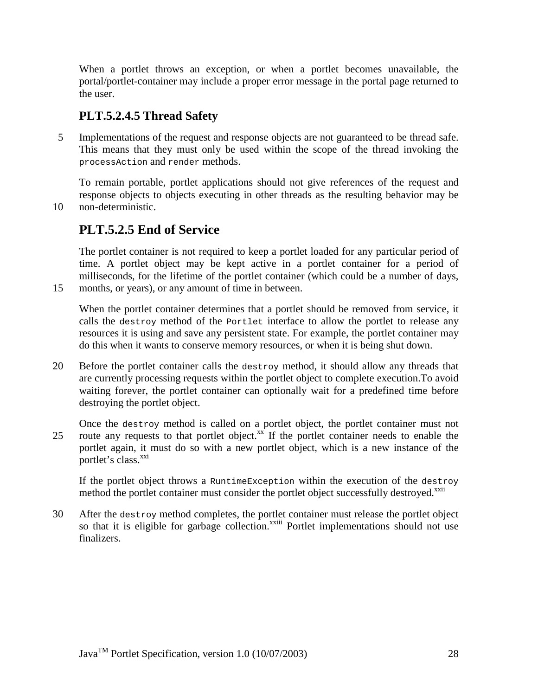<span id="page-27-0"></span>When a portlet throws an exception, or when a portlet becomes unavailable, the portal/portlet-container may include a proper error message in the portal page returned to the user.

#### **PLT.5.2.4.5 Thread Safety**

5 Implementations of the request and response objects are not guaranteed to be thread safe. This means that they must only be used within the scope of the thread invoking the processAction and render methods.

To remain portable, portlet applications should not give references of the request and response objects to objects executing in other threads as the resulting behavior may be 10 non-deterministic.

#### **PLT.5.2.5 End of Service**

The portlet container is not required to keep a portlet loaded for any particular period of time. A portlet object may be kept active in a portlet container for a period of milliseconds, for the lifetime of the portlet container (which could be a number of days, 15 months, or years), or any amount of time in between.

When the portlet container determines that a portlet should be removed from service, it calls the destroy method of the Portlet interface to allow the portlet to release any resources it is using and save any persistent state. For example, the portlet container may do this when it wants to conserve memory resources, or when it is being shut down.

- 20 Before the portlet container calls the destroy method, it should allow any threads that are currently processing requests within the portlet object to complete execution.To avoid waiting forever, the portlet container can optionally wait for a predefined time before destroying the portlet object.
- Once the destroy method is called on a portlet object, the portlet container must not 25 route any requests to that portlet object. $\frac{xx}{x}$  If the portlet container needs to enable the portlet again, it must do so with a new portlet object, which is a new instance of the portlet's class.<sup>xxi</sup>

If the portlet object throws a RuntimeException within the execution of the destroy method the portlet container must consider the portlet object successfully destroyed.<sup>xxii</sup>

30 After the destroy method completes, the portlet container must release the portlet object so that it is eligible for garbage collection.<sup>xxiii</sup> Portlet implementations should not use finalizers.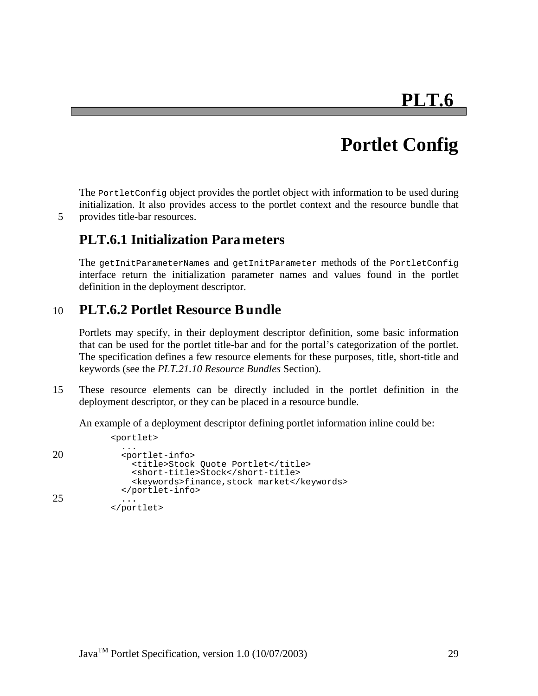# **Portlet Config**

<span id="page-28-0"></span>The PortletConfig object provides the portlet object with information to be used during initialization. It also provides access to the portlet context and the resource bundle that 5 provides title-bar resources.

#### **PLT.6.1 Initialization Para meters**

The getInitParameterNames and getInitParameter methods of the PortletConfig interface return the initialization parameter names and values found in the portlet definition in the deployment descriptor.

#### 10 **PLT.6.2 Portlet Resource B undle**

Portlets may specify, in their deployment descriptor definition, some basic information that can be used for the portlet title-bar and for the portal's categorization of the portlet. The specification defines a few resource elements for these purposes, title, short-title and keywords (see the *PLT.21.10 Resource Bundles* Section).

15 These resource elements can be directly included in the portlet definition in the deployment descriptor, or they can be placed in a resource bundle.

An example of a deployment descriptor defining portlet information inline could be:

<portlet> ...

```
20 <portlet-info>
              <title>Stock Quote Portlet</title>
              <short-title>Stock</short-title>
              <keywords>finance,stock market</keywords>
            </portlet-info>
25
          </portlet>
```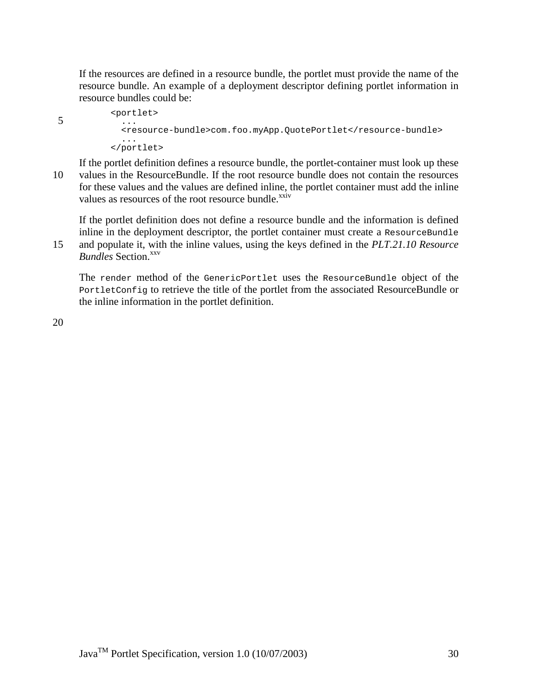If the resources are defined in a resource bundle, the portlet must provide the name of the resource bundle. An example of a deployment descriptor defining portlet information in resource bundles could be:

<portlet>

```
\overline{5} ...
             <resource-bundle>com.foo.myApp.QuotePortlet</resource-bundle>
          ... </portlet>
```
If the portlet definition defines a resource bundle, the portlet-container must look up these 10 values in the ResourceBundle. If the root resource bundle does not contain the resources for these values and the values are defined inline, the portlet container must add the inline values as resources of the root resource bundle.<sup>xxiv</sup>

If the portlet definition does not define a resource bundle and the information is defined inline in the deployment descriptor, the portlet container must create a ResourceBundle 15 and populate it, with the inline values, using the keys defined in the *PLT.21.10 Resource*

*Bundles* Section.<sup>xxv</sup>

The render method of the GenericPortlet uses the ResourceBundle object of the PortletConfig to retrieve the title of the portlet from the associated ResourceBundle or the inline information in the portlet definition.

20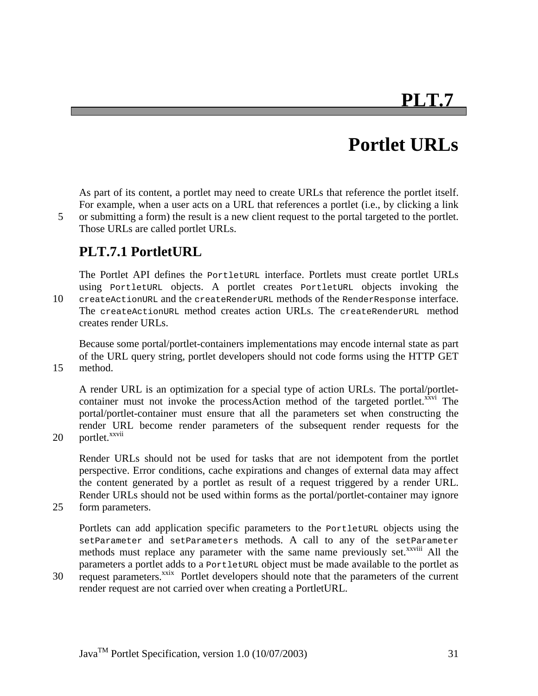# **PLT.7**

### **Portlet URLs**

<span id="page-30-0"></span>As part of its content, a portlet may need to create URLs that reference the portlet itself. For example, when a user acts on a URL that references a portlet (i.e., by clicking a link 5 or submitting a form) the result is a new client request to the portal targeted to the portlet. Those URLs are called portlet URLs.

#### **PLT.7.1 PortletURL**

The Portlet API defines the PortletURL interface. Portlets must create portlet URLs using PortletURL objects. A portlet creates PortletURL objects invoking the 10 createActionURL and the createRenderURL methods of the RenderResponse interface. The createActionURL method creates action URLs. The createRenderURL method creates render URLs.

Because some portal/portlet-containers implementations may encode internal state as part of the URL query string, portlet developers should not code forms using the HTTP GET 15 method.

A render URL is an optimization for a special type of action URLs. The portal/portletcontainer must not invoke the processAction method of the targeted portlet.<sup>xxvi</sup> The portal/portlet-container must ensure that all the parameters set when constructing the render URL become render parameters of the subsequent render requests for the

20 portlet.<sup>xxvii</sup>

Render URLs should not be used for tasks that are not idempotent from the portlet perspective. Error conditions, cache expirations and changes of external data may affect the content generated by a portlet as result of a request triggered by a render URL. Render URLs should not be used within forms as the portal/portlet-container may ignore

25 form parameters.

Portlets can add application specific parameters to the PortletURL objects using the setParameter and setParameters methods. A call to any of the setParameter methods must replace any parameter with the same name previously set.<sup>xxviii</sup> All the parameters a portlet adds to a PortletURL object must be made available to the portlet as

30 request parameters. $^{xxix}$  Portlet developers should note that the parameters of the current render request are not carried over when creating a PortletURL.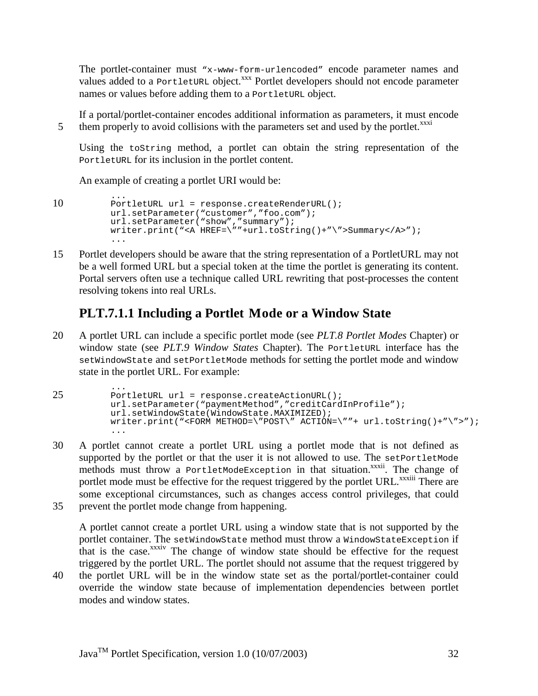<span id="page-31-0"></span>The portlet-container must "x-www-form-urlencoded" encode parameter names and values added to a PortletURL object.<sup>xxx</sup> Portlet developers should not encode parameter names or values before adding them to a PortletURL object.

If a portal/portlet-container encodes additional information as parameters, it must encode 5 them properly to avoid collisions with the parameters set and used by the portlet. $^{xxxi}$ 

Using the toString method, a portlet can obtain the string representation of the PortletURL for its inclusion in the portlet content.

An example of creating a portlet URI would be:

... 10 PortletURL url = response.createRenderURL(); url.setParameter("customer","foo.com"); url.setParameter("show","summary"); writer.print("<A HREF=\""+url.toString()+"\">Summary</A>"); ...

15 Portlet developers should be aware that the string representation of a PortletURL may not be a well formed URL but a special token at the time the portlet is generating its content. Portal servers often use a technique called URL rewriting that post-processes the content resolving tokens into real URLs.

#### **PLT.7.1.1 Including a Portlet Mode or a Window State**

20 A portlet URL can include a specific portlet mode (see *PLT.8 Portlet Modes* Chapter) or window state (see *PLT.9 Window States* Chapter). The PortletURL interface has the setWindowState and setPortletMode methods for setting the portlet mode and window state in the portlet URL. For example:

... 25 PortletURL url = response.createActionURL(); url.setParameter("paymentMethod","creditCardInProfile"); url.setWindowState(WindowState.MAXIMIZED); writer.print("<FORM METHOD=\"POST\" ACTION=\""+ url.toString()+"\">"); ...

30 A portlet cannot create a portlet URL using a portlet mode that is not defined as supported by the portlet or that the user it is not allowed to use. The setPortletMode methods must throw a PortletModeException in that situation.<sup>xxxii</sup>. The change of portlet mode must be effective for the request triggered by the portlet URL.<sup>xxxiii</sup> There are some exceptional circumstances, such as changes access control privileges, that could 35 prevent the portlet mode change from happening.

A portlet cannot create a portlet URL using a window state that is not supported by the portlet container. The setWindowState method must throw a WindowStateException if that is the case.<sup>xxxiv</sup> The change of window state should be effective for the request triggered by the portlet URL. The portlet should not assume that the request triggered by

40 the portlet URL will be in the window state set as the portal/portlet-container could override the window state because of implementation dependencies between portlet modes and window states.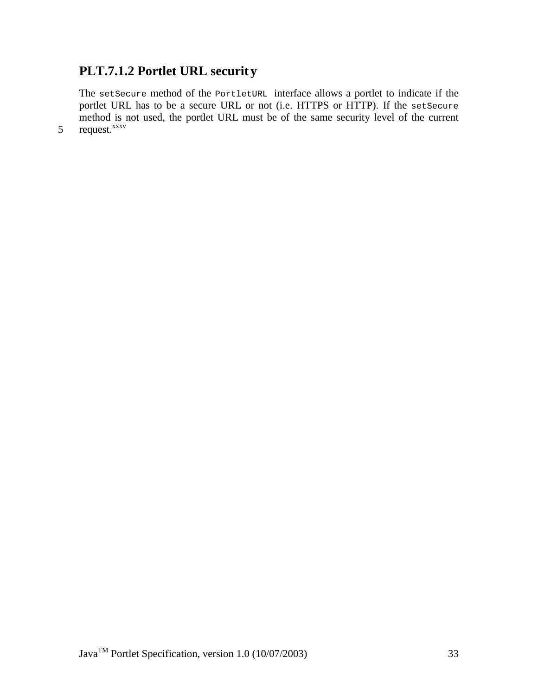#### <span id="page-32-0"></span>**PLT.7.1.2 Portlet URL securit y**

The setSecure method of the PortletURL interface allows a portlet to indicate if the portlet URL has to be a secure URL or not (i.e. HTTPS or HTTP). If the setSecure method is not used, the portlet URL must be of the same security level of the current 5 request.<sup>xxxv</sup>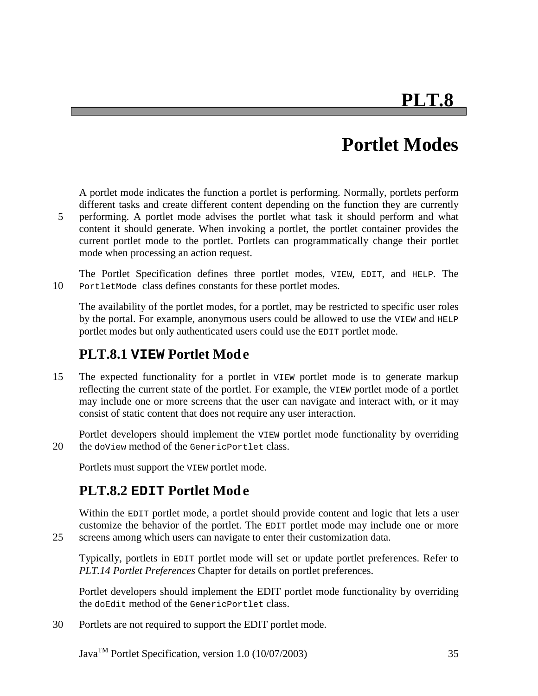### **Portlet Modes**

<span id="page-34-0"></span>A portlet mode indicates the function a portlet is performing. Normally, portlets perform different tasks and create different content depending on the function they are currently 5 performing. A portlet mode advises the portlet what task it should perform and what content it should generate. When invoking a portlet, the portlet container provides the current portlet mode to the portlet. Portlets can programmatically change their portlet mode when processing an action request.

The Portlet Specification defines three portlet modes, VIEW, EDIT, and HELP. The 10 PortletMode class defines constants for these portlet modes.

The availability of the portlet modes, for a portlet, may be restricted to specific user roles by the portal. For example, anonymous users could be allowed to use the VIEW and HELP portlet modes but only authenticated users could use the EDIT portlet mode.

#### **PLT.8.1 VIEW Portlet Mod e**

15 The expected functionality for a portlet in VIEW portlet mode is to generate markup reflecting the current state of the portlet. For example, the VIEW portlet mode of a portlet may include one or more screens that the user can navigate and interact with, or it may consist of static content that does not require any user interaction.

Portlet developers should implement the VIEW portlet mode functionality by overriding 20 the doview method of the GenericPortlet class.

Portlets must support the VIEW portlet mode.

#### **PLT.8.2 EDIT Portlet Mod e**

Within the EDIT portlet mode, a portlet should provide content and logic that lets a user customize the behavior of the portlet. The EDIT portlet mode may include one or more 25 screens among which users can navigate to enter their customization data.

Typically, portlets in EDIT portlet mode will set or update portlet preferences. Refer to *PLT.14 Portlet Preferences* Chapter for details on portlet preferences.

Portlet developers should implement the EDIT portlet mode functionality by overriding the doEdit method of the GenericPortlet class.

30 Portlets are not required to support the EDIT portlet mode.

 $Java^{TM}$  Portlet Specification, version 1.0 (10/07/2003) 35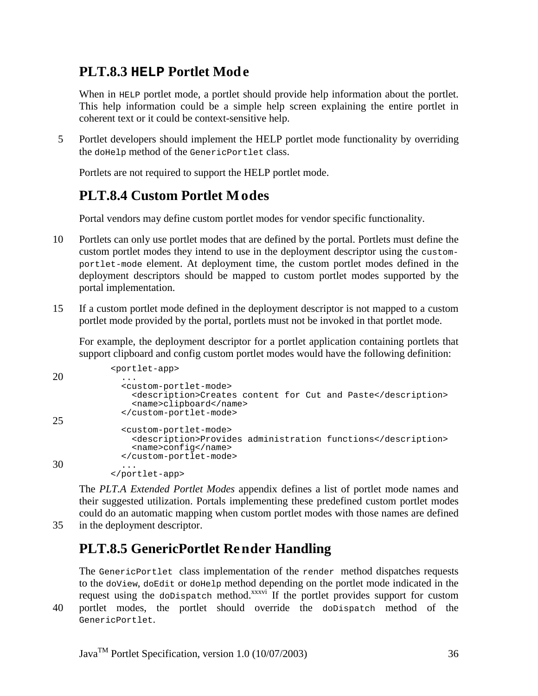#### <span id="page-35-0"></span>**PLT.8.3 HELP Portlet Mod e**

When in HELP portlet mode, a portlet should provide help information about the portlet. This help information could be a simple help screen explaining the entire portlet in coherent text or it could be context-sensitive help.

5 Portlet developers should implement the HELP portlet mode functionality by overriding the doHelp method of the GenericPortlet class.

Portlets are not required to support the HELP portlet mode.

#### **PLT.8.4 Custom Portlet M odes**

Portal vendors may define custom portlet modes for vendor specific functionality.

- 10 Portlets can only use portlet modes that are defined by the portal. Portlets must define the custom portlet modes they intend to use in the deployment descriptor using the customportlet-mode element. At deployment time, the custom portlet modes defined in the deployment descriptors should be mapped to custom portlet modes supported by the portal implementation.
- 15 If a custom portlet mode defined in the deployment descriptor is not mapped to a custom portlet mode provided by the portal, portlets must not be invoked in that portlet mode.

For example, the deployment descriptor for a portlet application containing portlets that support clipboard and config custom portlet modes would have the following definition:

```
<portlet-app>
20 \qquad \qquad \ldots<custom-portlet-mode>
               <description>Creates content for Cut and Paste</description>
               <name>clipboard</name>
             </custom-portlet-mode>
25
             <custom-portlet-mode>
               <description>Provides administration functions</description>
               <name>config</name>
             </custom-portlet-mode>
30 ...
           </portlet-app>
```
The *PLT.A Extended Portlet Modes* appendix defines a list of portlet mode names and their suggested utilization. Portals implementing these predefined custom portlet modes could do an automatic mapping when custom portlet modes with those names are defined 35 in the deployment descriptor.

### **PLT.8.5 GenericPortlet Re nder Handling**

The GenericPortlet class implementation of the render method dispatches requests to the doView, doEdit or doHelp method depending on the portlet mode indicated in the request using the doDispatch method.<sup>xxxvi</sup> If the portlet provides support for custom 40 portlet modes, the portlet should override the doDispatch method of the GenericPortlet.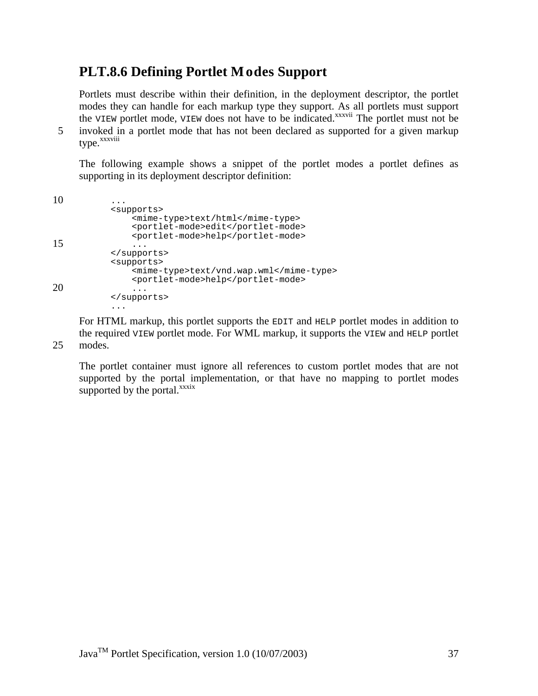### **PLT.8.6 Defining Portlet M odes Support**

Portlets must describe within their definition, in the deployment descriptor, the portlet modes they can handle for each markup type they support. As all portlets must support the VIEW portlet mode, VIEW does not have to be indicated.<sup>xxxvii</sup> The portlet must not be

5 invoked in a portlet mode that has not been declared as supported for a given markup type.<sup>xxxviii</sup>

The following example shows a snippet of the portlet modes a portlet defines as supporting in its deployment descriptor definition:

```
10 ...
          <supports>
              <mime-type>text/html</mime-type>
              <portlet-mode>edit</portlet-mode>
              <portlet-mode>help</portlet-mode>
15 ...
          </supports>
          <supports>
              <mime-type>text/vnd.wap.wml</mime-type>
              <portlet-mode>help</portlet-mode>
20 \qquad \qquad \ldots</supports>
           ...
```
For HTML markup, this portlet supports the EDIT and HELP portlet modes in addition to the required VIEW portlet mode. For WML markup, it supports the VIEW and HELP portlet 25 modes.

The portlet container must ignore all references to custom portlet modes that are not supported by the portal implementation, or that have no mapping to portlet modes supported by the portal.<sup>xxxix</sup>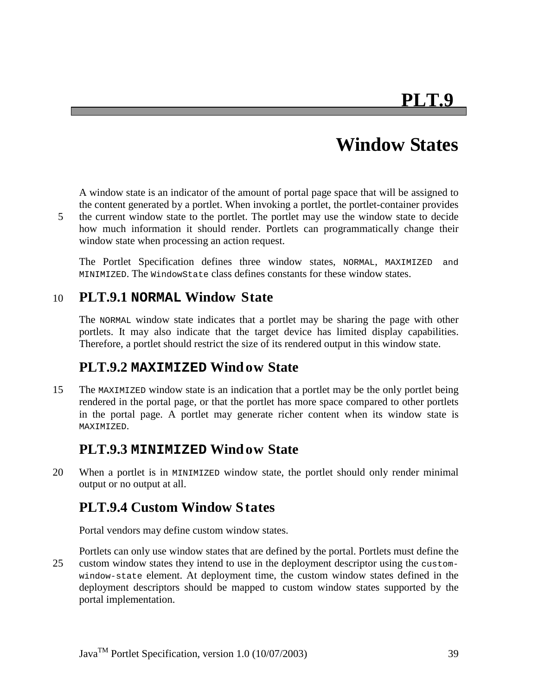# **Window States**

A window state is an indicator of the amount of portal page space that will be assigned to the content generated by a portlet. When invoking a portlet, the portlet-container provides 5 the current window state to the portlet. The portlet may use the window state to decide how much information it should render. Portlets can programmatically change their window state when processing an action request.

The Portlet Specification defines three window states, NORMAL, MAXIMIZED and MINIMIZED. The WindowState class defines constants for these window states.

#### 10 **PLT.9.1 NORMAL Window State**

The NORMAL window state indicates that a portlet may be sharing the page with other portlets. It may also indicate that the target device has limited display capabilities. Therefore, a portlet should restrict the size of its rendered output in this window state.

# **PLT.9.2 MAXIMIZED Wind ow State**

15 The MAXIMIZED window state is an indication that a portlet may be the only portlet being rendered in the portal page, or that the portlet has more space compared to other portlets in the portal page. A portlet may generate richer content when its window state is MAXIMIZED.

# **PLT.9.3 MINIMIZED Wind ow State**

20 When a portlet is in MINIMIZED window state, the portlet should only render minimal output or no output at all.

# **PLT.9.4 Custom Window States**

Portal vendors may define custom window states.

Portlets can only use window states that are defined by the portal. Portlets must define the 25 custom window states they intend to use in the deployment descriptor using the customwindow-state element. At deployment time, the custom window states defined in the deployment descriptors should be mapped to custom window states supported by the portal implementation.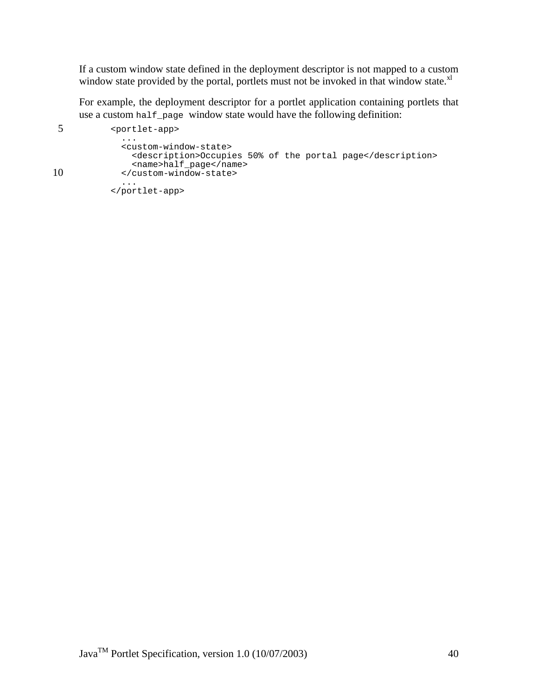If a custom window state defined in the deployment descriptor is not mapped to a custom window state provided by the portal, portlets must not be invoked in that window state.<sup>xl</sup>

For example, the deployment descriptor for a portlet application containing portlets that use a custom half\_page window state would have the following definition:

```
5 <portlet-app>
            ...
            <custom-window-state>
             <description>Occupies 50% of the portal page</description>
             <name>half_page</name>
10 </custom-window-state>
            ...
          </portlet-app>
```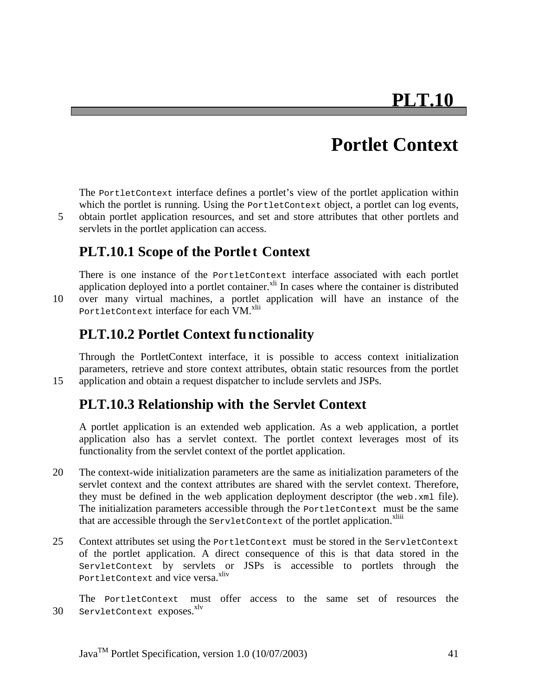# **Portlet Context**

The PortletContext interface defines a portlet's view of the portlet application within which the portlet is running. Using the PortletContext object, a portlet can log events, 5 obtain portlet application resources, and set and store attributes that other portlets and

servlets in the portlet application can access.

### **PLT.10.1** Scope of the Portlet Context

There is one instance of the PortletContext interface associated with each portlet application deployed into a portlet container.<sup>xli</sup> In cases where the container is distributed 10 over many virtual machines, a portlet application will have an instance of the PortletContext interface for each VM.<sup>xlii</sup>

### **PLT.10.2 Portlet Context fu nctionality**

Through the PortletContext interface, it is possible to access context initialization parameters, retrieve and store context attributes, obtain static resources from the portlet 15 application and obtain a request dispatcher to include servlets and JSPs.

#### **PLT.10.3 Relationship with the Servlet Context**

A portlet application is an extended web application. As a web application, a portlet application also has a servlet context. The portlet context leverages most of its functionality from the servlet context of the portlet application.

- 20 The context-wide initialization parameters are the same as initialization parameters of the servlet context and the context attributes are shared with the servlet context. Therefore, they must be defined in the web application deployment descriptor (the web.xml file). The initialization parameters accessible through the PortletContext must be the same that are accessible through the ServletContext of the portlet application.<sup>xliii</sup>
- 25 Context attributes set using the PortletContext must be stored in the ServletContext of the portlet application. A direct consequence of this is that data stored in the ServletContext by servlets or JSPs is accessible to portlets through the PortletContext and vice versa. $x^{div}$

The PortletContext must offer access to the same set of resources the 30 ServletContext exposes. Xlv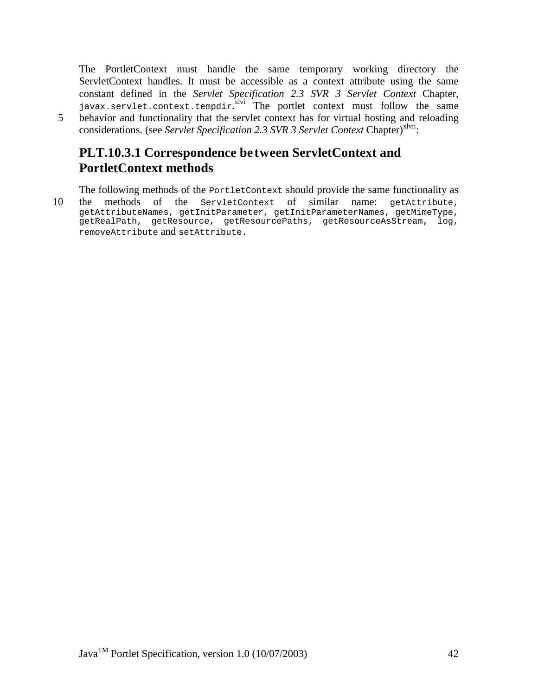The PortletContext must handle the same temporary working directory the ServletContext handles. It must be accessible as a context attribute using the same constant defined in the *Servlet Specification 2.3 SVR 3 Servlet Context* Chapter, javax.servlet.context.tempdir. The portlet context must follow the same 5 behavior and functionality that the servlet context has for virtual hosting and reloading considerations. (see *Servlet Specification 2.3 SVR 3 Servlet Context* Chapter)<sup>xlvii</sup>:

#### **PLT.10.3.1 Correspondence between ServletContext and PortletContext methods**

The following methods of the PortletContext should provide the same functionality as

10 the methods of the ServletContext of similar name: getAttribute, getAttributeNames, getInitParameter, getInitParameterNames, getMimeType, getRealPath, getResource, getResourcePaths, getResourceAsStream, log, removeAttribute and setAttribute.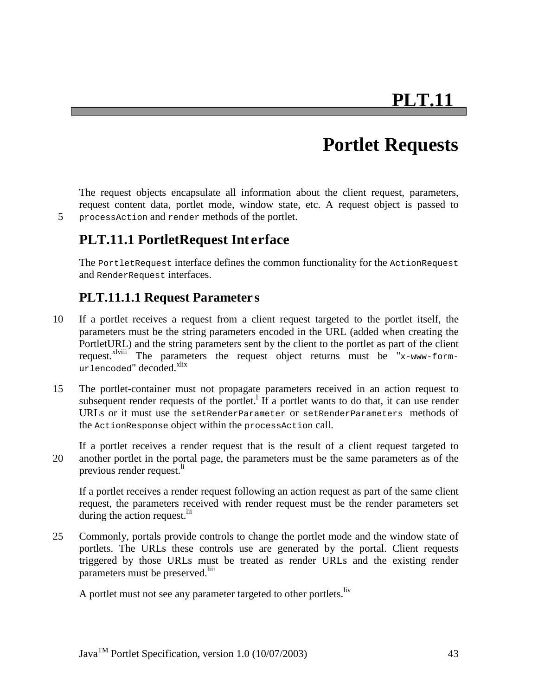# **Portlet Requests**

The request objects encapsulate all information about the client request, parameters, request content data, portlet mode, window state, etc. A request object is passed to 5 processAction and render methods of the portlet.

# **PLT.11.1 PortletRequest Int erface**

The PortletRequest interface defines the common functionality for the ActionRequest and RenderRequest interfaces.

#### **PLT.11.1.1 Request Parameters**

- 10 If a portlet receives a request from a client request targeted to the portlet itself, the parameters must be the string parameters encoded in the URL (added when creating the PortletURL) and the string parameters sent by the client to the portlet as part of the client request. $x^{\text{lviii}}$  The parameters the request object returns must be " $x$ -www-formurlencoded" decoded.xlix
- 15 The portlet-container must not propagate parameters received in an action request to subsequent render requests of the portlet.<sup>1</sup> If a portlet wants to do that, it can use render URLs or it must use the setRenderParameter or setRenderParameters methods of the ActionResponse object within the processAction call.

If a portlet receives a render request that is the result of a client request targeted to 20 another portlet in the portal page, the parameters must be the same parameters as of the previous render request.<sup>li</sup>

If a portlet receives a render request following an action request as part of the same client request, the parameters received with render request must be the render parameters set during the action request. $\frac{di}{di}$ 

25 Commonly, portals provide controls to change the portlet mode and the window state of portlets. The URLs these controls use are generated by the portal. Client requests triggered by those URLs must be treated as render URLs and the existing render parameters must be preserved.<sup>liii</sup>

A portlet must not see any parameter targeted to other portlets. liv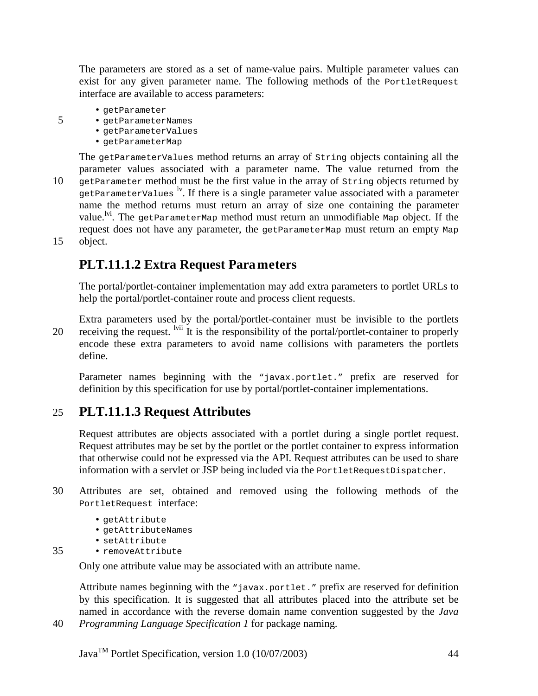The parameters are stored as a set of name-value pairs. Multiple parameter values can exist for any given parameter name. The following methods of the PortletRequest interface are available to access parameters:

- getParameter
- 
- 5 getParameterNames
	- getParameterValues
	- getParameterMap

The getParameterValues method returns an array of string objects containing all the parameter values associated with a parameter name. The value returned from the 10 getParameter method must be the first value in the array of String objects returned by getParameterValues  $\frac{dv}{dt}$ . If there is a single parameter value associated with a parameter name the method returns must return an array of size one containing the parameter value.<sup> $\frac{1}{1}$ </sup>. The getParameterMap method must return an unmodifiable Map object. If the

- request does not have any parameter, the getParameterMap must return an empty Map 15 object.
	- **PLT.11.1.2 Extra Request Para meters**

The portal/portlet-container implementation may add extra parameters to portlet URLs to help the portal/portlet-container route and process client requests.

Extra parameters used by the portal/portlet-container must be invisible to the portlets 20 receiving the request. <sup>Ivii</sup> It is the responsibility of the portal/portlet-container to properly encode these extra parameters to avoid name collisions with parameters the portlets define.

Parameter names beginning with the "javax.portlet." prefix are reserved for definition by this specification for use by portal/portlet-container implementations.

#### 25 **PLT.11.1.3 Request Attributes**

Request attributes are objects associated with a portlet during a single portlet request. Request attributes may be set by the portlet or the portlet container to express information that otherwise could not be expressed via the API. Request attributes can be used to share information with a servlet or JSP being included via the PortletRequestDispatcher.

- 30 Attributes are set, obtained and removed using the following methods of the PortletRequest interface:
	- getAttribute
	- getAttributeNames
	- setAttribute
- 35 removeAttribute

Only one attribute value may be associated with an attribute name.

Attribute names beginning with the "javax.portlet." prefix are reserved for definition by this specification. It is suggested that all attributes placed into the attribute set be named in accordance with the reverse domain name convention suggested by the *Java*

40 *Programming Language Specification 1* for package naming.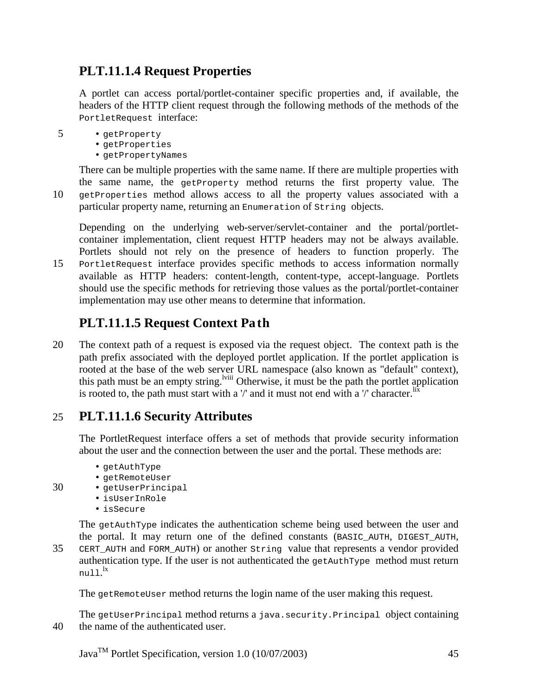### **PLT.11.1.4 Request Properties**

A portlet can access portal/portlet-container specific properties and, if available, the headers of the HTTP client request through the following methods of the methods of the PortletRequest interface:

#### 5 • getProperty

- getProperties
- getPropertyNames

There can be multiple properties with the same name. If there are multiple properties with the same name, the getProperty method returns the first property value. The 10 getProperties method allows access to all the property values associated with a particular property name, returning an Enumeration of String objects.

Depending on the underlying web-server/servlet-container and the portal/portletcontainer implementation, client request HTTP headers may not be always available. Portlets should not rely on the presence of headers to function properly. The 15 PortletRequest interface provides specific methods to access information normally available as HTTP headers: content-length, content-type, accept-language. Portlets should use the specific methods for retrieving those values as the portal/portlet-container implementation may use other means to determine that information.

### **PLT.11.1.5 Request Context Path**

20 The context path of a request is exposed via the request object. The context path is the path prefix associated with the deployed portlet application. If the portlet application is rooted at the base of the web server URL namespace (also known as "default" context), this path must be an empty string.  $\frac{1}{1}$  Otherwise, it must be the path the portlet application is rooted to, the path must start with a  $\frac{1}{2}$  and it must not end with a  $\frac{1}{2}$  character. Its

#### 25 **PLT.11.1.6 Security Attributes**

The PortletRequest interface offers a set of methods that provide security information about the user and the connection between the user and the portal. These methods are:

- getAuthType
- getRemoteUser
- 30 getUserPrincipal
	- isUserInRole
	- isSecure

The getAuthType indicates the authentication scheme being used between the user and the portal. It may return one of the defined constants (BASIC\_AUTH, DIGEST\_AUTH, 35 CERT\_AUTH and FORM\_AUTH) or another String value that represents a vendor provided authentication type. If the user is not authenticated the getAuthType method must return null. lx

The getRemoteUser method returns the login name of the user making this request.

The getUserPrincipal method returns a java.security.Principal object containing 40 the name of the authenticated user.

 $\text{Java}^{\text{TM}}$  Portlet Specification, version 1.0 (10/07/2003) 45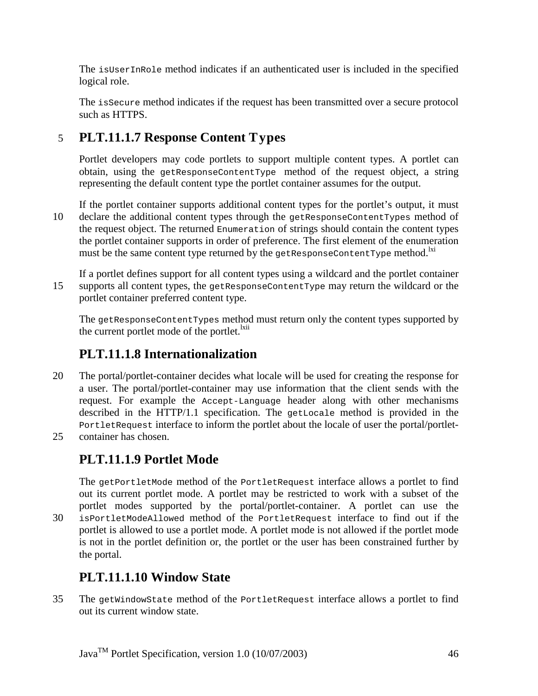The isUserInRole method indicates if an authenticated user is included in the specified logical role.

The isSecure method indicates if the request has been transmitted over a secure protocol such as HTTPS.

# 5 **PLT.11.1.7 Response Content Types**

Portlet developers may code portlets to support multiple content types. A portlet can obtain, using the getResponseContentType method of the request object, a string representing the default content type the portlet container assumes for the output.

- If the portlet container supports additional content types for the portlet's output, it must 10 declare the additional content types through the getResponseContentTypes method of the request object. The returned Enumeration of strings should contain the content types the portlet container supports in order of preference. The first element of the enumeration must be the same content type returned by the getResponseContentType method.<sup>lxi</sup>
- If a portlet defines support for all content types using a wildcard and the portlet container 15 supports all content types, the getResponseContentType may return the wildcard or the portlet container preferred content type.

The getResponseContentTypes method must return only the content types supported by the current portlet mode of the portlet.<sup>lxii</sup>

# **PLT.11.1.8 Internationalization**

- 20 The portal/portlet-container decides what locale will be used for creating the response for a user. The portal/portlet-container may use information that the client sends with the request. For example the Accept-Language header along with other mechanisms described in the HTTP/1.1 specification. The getLocale method is provided in the PortletRequest interface to inform the portlet about the locale of user the portal/portlet-25 container has chosen.
- 

# **PLT.11.1.9 Portlet Mode**

The getPortletMode method of the PortletRequest interface allows a portlet to find out its current portlet mode. A portlet may be restricted to work with a subset of the portlet modes supported by the portal/portlet-container. A portlet can use the 30 isPortletModeAllowed method of the PortletRequest interface to find out if the portlet is allowed to use a portlet mode. A portlet mode is not allowed if the portlet mode is not in the portlet definition or, the portlet or the user has been constrained further by the portal.

# **PLT.11.1.10 Window State**

35 The getWindowState method of the PortletRequest interface allows a portlet to find out its current window state.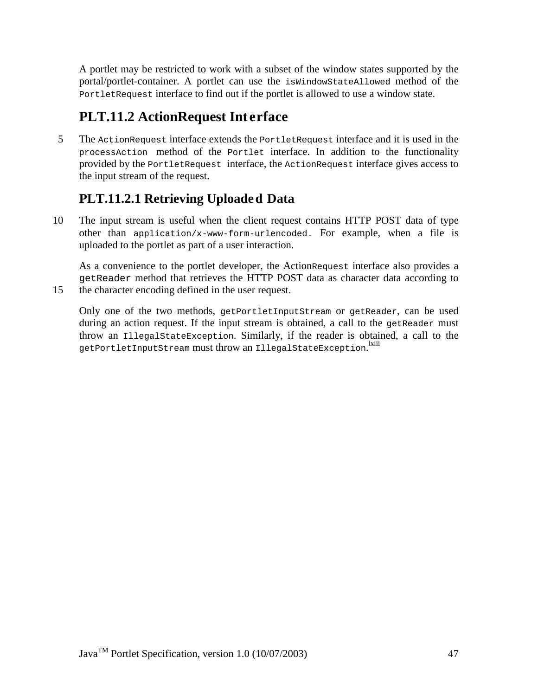A portlet may be restricted to work with a subset of the window states supported by the portal/portlet-container. A portlet can use the isWindowStateAllowed method of the PortletRequest interface to find out if the portlet is allowed to use a window state.

# **PLT.11.2 ActionRequest Int erface**

5 The ActionRequest interface extends the PortletRequest interface and it is used in the processAction method of the Portlet interface. In addition to the functionality provided by the PortletRequest interface, the ActionRequest interface gives access to the input stream of the request.

# **PLT.11.2.1 Retrieving Uploaded Data**

10 The input stream is useful when the client request contains HTTP POST data of type other than application/x-www-form-urlencoded. For example, when a file is uploaded to the portlet as part of a user interaction.

As a convenience to the portlet developer, the ActionRequest interface also provides a getReader method that retrieves the HTTP POST data as character data according to 15 the character encoding defined in the user request.

Only one of the two methods, getPortletInputStream or getReader, can be used during an action request. If the input stream is obtained, a call to the getReader must throw an IllegalStateException. Similarly, if the reader is obtained, a call to the getPortletInputStream must throw an IllegalStateException. lxiii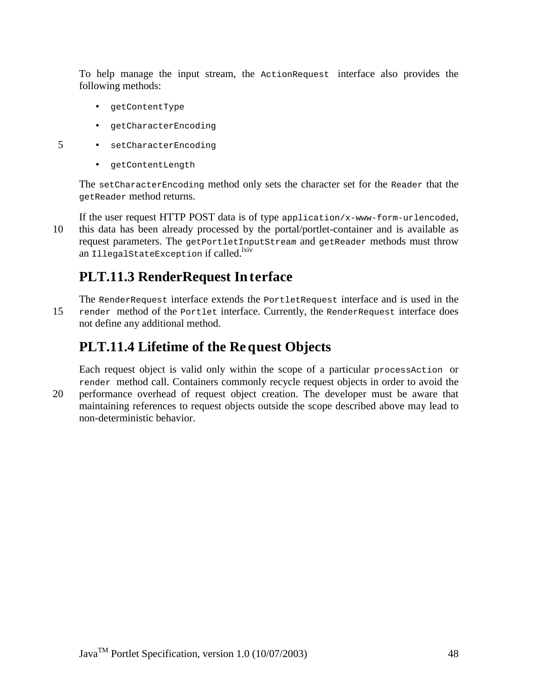To help manage the input stream, the ActionRequest interface also provides the following methods:

- getContentType
- getCharacterEncoding
- 5 setCharacterEncoding
	- getContentLength

The setCharacterEncoding method only sets the character set for the Reader that the getReader method returns.

If the user request HTTP POST data is of type application/x-www-form-urlencoded, 10 this data has been already processed by the portal/portlet-container and is available as request parameters. The getPortletInputStream and getReader methods must throw an IllegalStateException if called.<sup>kiv</sup>

# **PLT.11.3 RenderRequest In terface**

The RenderRequest interface extends the PortletRequest interface and is used in the 15 render method of the Portlet interface. Currently, the RenderRequest interface does not define any additional method.

# **PLT.11.4 Lifetime of the Re quest Objects**

Each request object is valid only within the scope of a particular processAction or render method call. Containers commonly recycle request objects in order to avoid the 20 performance overhead of request object creation. The developer must be aware that maintaining references to request objects outside the scope described above may lead to non-deterministic behavior.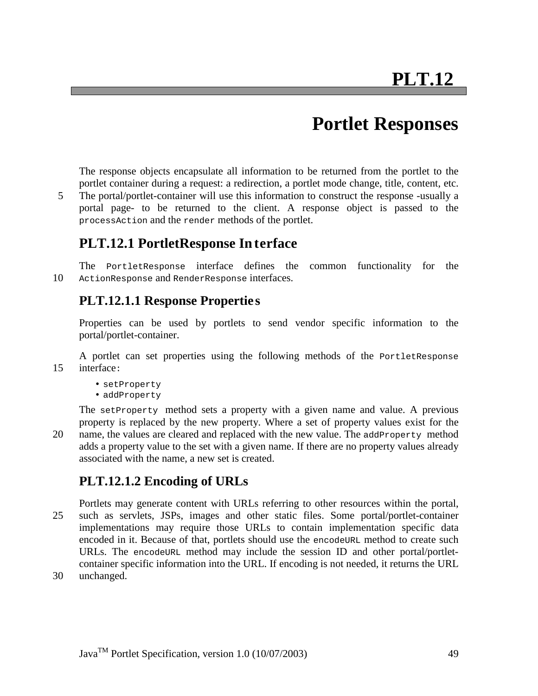# **Portlet Responses**

The response objects encapsulate all information to be returned from the portlet to the portlet container during a request: a redirection, a portlet mode change, title, content, etc.

5 The portal/portlet-container will use this information to construct the response -usually a portal page- to be returned to the client. A response object is passed to the processAction and the render methods of the portlet.

### **PLT.12.1 PortletResponse In terface**

The PortletResponse interface defines the common functionality for the 10 ActionResponse and RenderResponse interfaces.

#### **PLT.12.1.1 Response Properties**

Properties can be used by portlets to send vendor specific information to the portal/portlet-container.

A portlet can set properties using the following methods of the PortletResponse 15 interface:

- setProperty
- addProperty

The setProperty method sets a property with a given name and value. A previous property is replaced by the new property. Where a set of property values exist for the 20 name, the values are cleared and replaced with the new value. The addProperty method adds a property value to the set with a given name. If there are no property values already associated with the name, a new set is created.

#### **PLT.12.1.2 Encoding of URLs**

- Portlets may generate content with URLs referring to other resources within the portal, 25 such as servlets, JSPs, images and other static files. Some portal/portlet-container implementations may require those URLs to contain implementation specific data encoded in it. Because of that, portlets should use the encodeURL method to create such URLs. The encodeURL method may include the session ID and other portal/portletcontainer specific information into the URL. If encoding is not needed, it returns the URL 30 unchanged.
-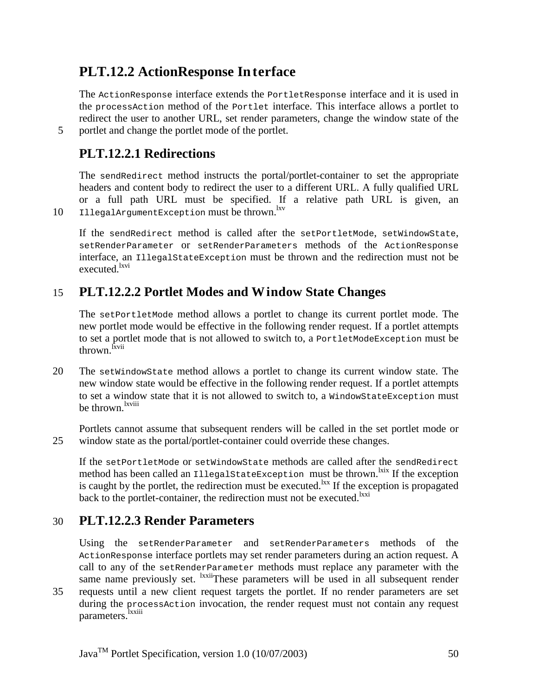# **PLT.12.2 ActionResponse In terface**

The ActionResponse interface extends the PortletResponse interface and it is used in the processAction method of the Portlet interface. This interface allows a portlet to redirect the user to another URL, set render parameters, change the window state of the 5 portlet and change the portlet mode of the portlet.

#### **PLT.12.2.1 Redirections**

The sendRedirect method instructs the portal/portlet-container to set the appropriate headers and content body to redirect the user to a different URL. A fully qualified URL or a full path URL must be specified. If a relative path URL is given, an  $10$  IllegalArgumentException must be thrown.<sup>lxv</sup>

If the sendRedirect method is called after the setPortletMode, setWindowState, setRenderParameter or setRenderParameters methods of the ActionResponse interface, an IllegalStateException must be thrown and the redirection must not be executed.<sup>lxvi</sup>

#### 15 **PLT.12.2.2 Portlet Modes and Window State Changes**

The setPortletMode method allows a portlet to change its current portlet mode. The new portlet mode would be effective in the following render request. If a portlet attempts to set a portlet mode that is not allowed to switch to, a PortletModeException must be thrown.<sup>*fxvii*</sup>

20 The setWindowState method allows a portlet to change its current window state. The new window state would be effective in the following render request. If a portlet attempts to set a window state that it is not allowed to switch to, a WindowStateException must be thrown.<sup>lxviii</sup>

Portlets cannot assume that subsequent renders will be called in the set portlet mode or 25 window state as the portal/portlet-container could override these changes.

If the setPortletMode or setWindowState methods are called after the sendRedirect method has been called an IllegalStateException must be thrown.<sup>lxix</sup> If the exception is caught by the portlet, the redirection must be executed.<sup>lxx</sup> If the exception is propagated back to the portlet-container, the redirection must not be executed.<sup>lxxi</sup>

#### 30 **PLT.12.2.3 Render Parameters**

Using the setRenderParameter and setRenderParameters methods of the ActionResponse interface portlets may set render parameters during an action request. A call to any of the setRenderParameter methods must replace any parameter with the same name previously set. <sup>Ixxii</sup>These parameters will be used in all subsequent render 35 requests until a new client request targets the portlet. If no render parameters are set during the processAction invocation, the render request must not contain any request parameters.<sup>Ixxiii</sup>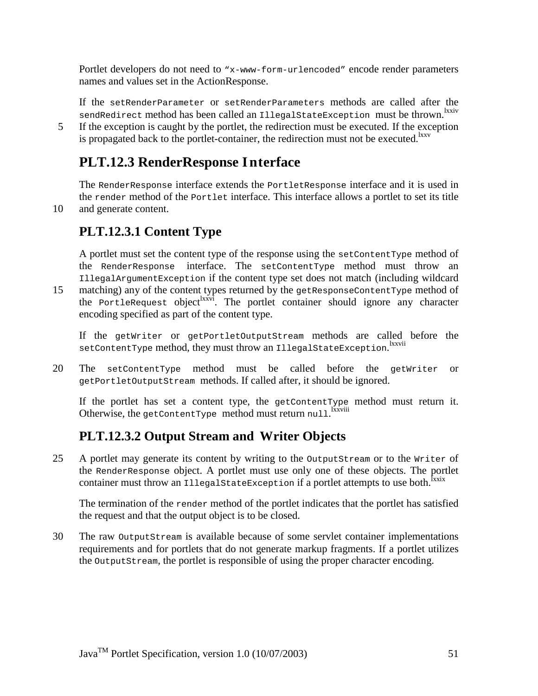Portlet developers do not need to "x-www-form-urlencoded" encode render parameters names and values set in the ActionResponse.

If the setRenderParameter or setRenderParameters methods are called after the sendRedirect method has been called an IllegalStateException must be thrown.<sup>lxxiv</sup>

5 If the exception is caught by the portlet, the redirection must be executed. If the exception is propagated back to the portlet-container, the redirection must not be executed.<sup>lxxv</sup>

# **PLT.12.3 RenderResponse I nterface**

The RenderResponse interface extends the PortletResponse interface and it is used in the render method of the Portlet interface. This interface allows a portlet to set its title 10 and generate content.

#### **PLT.12.3.1 Content Type**

A portlet must set the content type of the response using the setContentType method of the RenderResponse interface. The setContentType method must throw an IllegalArgumentException if the content type set does not match (including wildcard 15 matching) any of the content types returned by the getResponseContentType method of the PortleRequest object xxvi. The portlet container should ignore any character encoding specified as part of the content type.

If the getWriter or getPortletOutputStream methods are called before the setContentType method, they must throw an IllegalStateException. <sup>Ixxvii</sup>

20 The setContentType method must be called before the getWriter or getPortletOutputStream methods. If called after, it should be ignored.

If the portlet has set a content type, the getContentType method must return it. Otherwise, the getContentType method must return null.<sup>Ixxviii</sup>

# **PLT.12.3.2 Output Stream and Writer Objects**

25 A portlet may generate its content by writing to the OutputStream or to the Writer of the RenderResponse object. A portlet must use only one of these objects. The portlet container must throw an IllegalStateException if a portlet attempts to use both.<sup>Ixxix</sup>

The termination of the render method of the portlet indicates that the portlet has satisfied the request and that the output object is to be closed.

30 The raw OutputStream is available because of some servlet container implementations requirements and for portlets that do not generate markup fragments. If a portlet utilizes the OutputStream, the portlet is responsible of using the proper character encoding.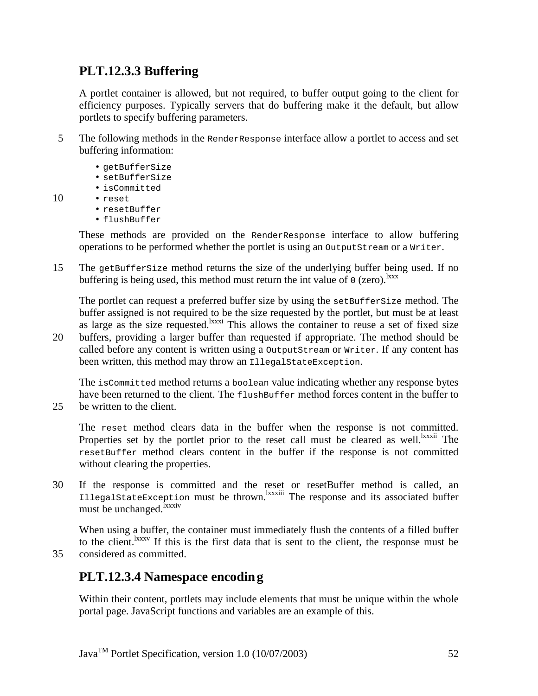### **PLT.12.3.3 Buffering**

A portlet container is allowed, but not required, to buffer output going to the client for efficiency purposes. Typically servers that do buffering make it the default, but allow portlets to specify buffering parameters.

- 5 The following methods in the RenderResponse interface allow a portlet to access and set buffering information:
	- getBufferSize
	- setBufferSize
	- isCommitted
- 10 reset
	- resetBuffer
	- flushBuffer

These methods are provided on the RenderResponse interface to allow buffering operations to be performed whether the portlet is using an OutputStream or a Writer.

15 The getBufferSize method returns the size of the underlying buffer being used. If no buffering is being used, this method must return the int value of  $\sigma$  (zero).<sup>lxxx</sup>

The portlet can request a preferred buffer size by using the setBufferSize method. The buffer assigned is not required to be the size requested by the portlet, but must be at least as large as the size requested.<sup>1xxxi</sup> This allows the container to reuse a set of fixed size

20 buffers, providing a larger buffer than requested if appropriate. The method should be called before any content is written using a OutputStream or Writer. If any content has been written, this method may throw an IllegalStateException.

The isCommitted method returns a boolean value indicating whether any response bytes have been returned to the client. The flushBuffer method forces content in the buffer to 25 be written to the client.

The reset method clears data in the buffer when the response is not committed. Properties set by the portlet prior to the reset call must be cleared as well.<sup>IXXXII</sup> The resetBuffer method clears content in the buffer if the response is not committed without clearing the properties.

30 If the response is committed and the reset or resetBuffer method is called, an IllegalStateException must be thrown.lxxxiii The response and its associated buffer must be unchanged.<sup>Ixxxiv</sup>

When using a buffer, the container must immediately flush the contents of a filled buffer to the client.<sup>1xxxv</sup> If this is the first data that is sent to the client, the response must be 35 considered as committed.

#### **PLT.12.3.4 Namespace encoding**

Within their content, portlets may include elements that must be unique within the whole portal page. JavaScript functions and variables are an example of this.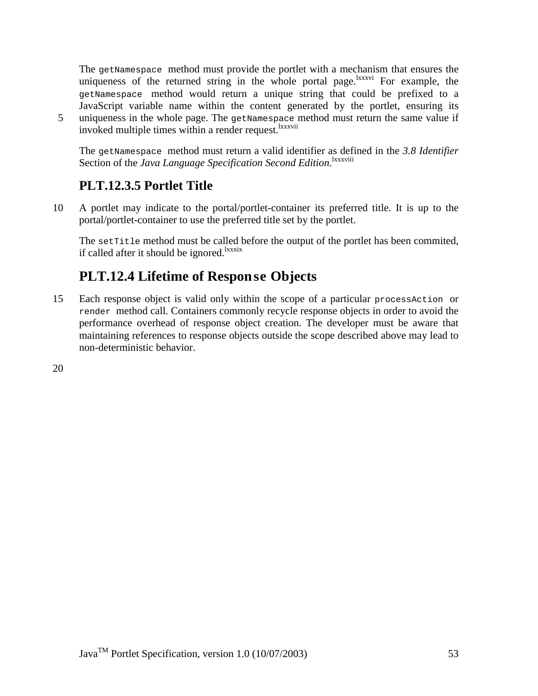The getNamespace method must provide the portlet with a mechanism that ensures the uniqueness of the returned string in the whole portal page.<sup>lxxxvi</sup> For example, the getNamespace method would return a unique string that could be prefixed to a JavaScript variable name within the content generated by the portlet, ensuring its 5 uniqueness in the whole page. The getNamespace method must return the same value if invoked multiple times within a render request.<sup>lxxxvii</sup>

The getNamespace method must return a valid identifier as defined in the *3.8 Identifier* Section of the *Java Language Specification Second Edition*.<sup>1xxxviii</sup>

#### **PLT.12.3.5 Portlet Title**

10 A portlet may indicate to the portal/portlet-container its preferred title. It is up to the portal/portlet-container to use the preferred title set by the portlet.

The set Title method must be called before the output of the portlet has been commited, if called after it should be ignored.<sup>lxxxix</sup>

### **PLT.12.4 Lifetime of Respon se Objects**

15 Each response object is valid only within the scope of a particular processAction or render method call. Containers commonly recycle response objects in order to avoid the performance overhead of response object creation. The developer must be aware that maintaining references to response objects outside the scope described above may lead to non-deterministic behavior.

20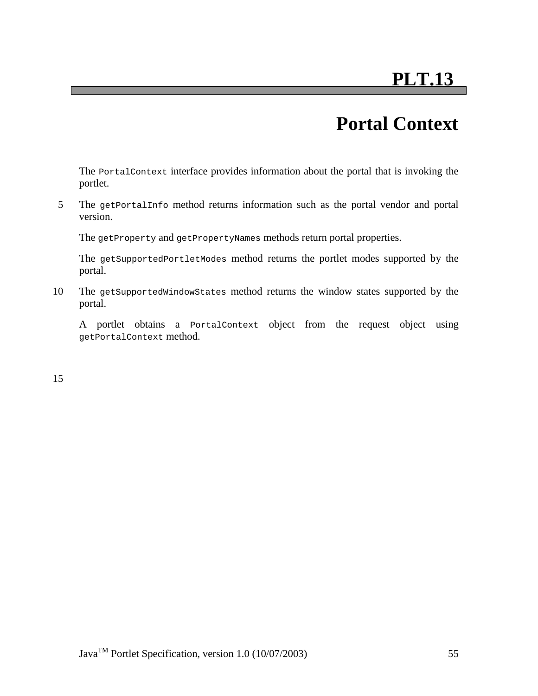# **Portal Context**

The PortalContext interface provides information about the portal that is invoking the portlet.

5 The getPortalInfo method returns information such as the portal vendor and portal version.

The getProperty and getPropertyNames methods return portal properties.

The getSupportedPortletModes method returns the portlet modes supported by the portal.

10 The getSupportedWindowStates method returns the window states supported by the portal.

A portlet obtains a PortalContext object from the request object using getPortalContext method.

15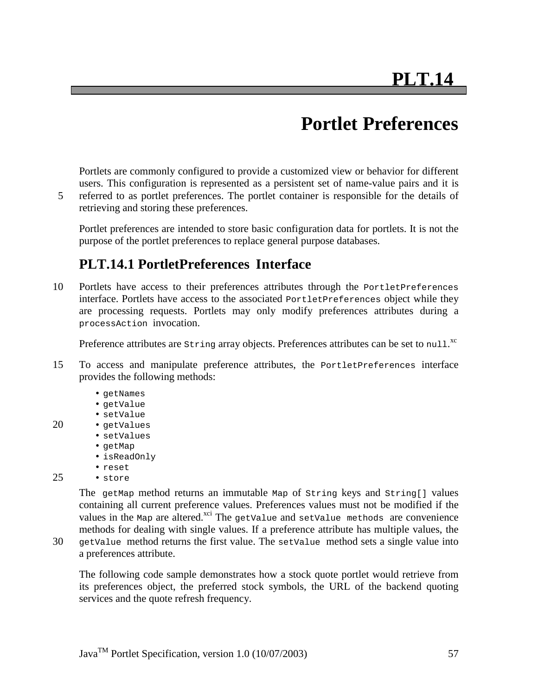# **Portlet Preferences**

Portlets are commonly configured to provide a customized view or behavior for different users. This configuration is represented as a persistent set of name-value pairs and it is

5 referred to as portlet preferences. The portlet container is responsible for the details of retrieving and storing these preferences.

Portlet preferences are intended to store basic configuration data for portlets. It is not the purpose of the portlet preferences to replace general purpose databases.

# **PLT.14.1 PortletPreferences Interface**

10 Portlets have access to their preferences attributes through the PortletPreferences interface. Portlets have access to the associated PortletPreferences object while they are processing requests. Portlets may only modify preferences attributes during a processAction invocation.

Preference attributes are string array objects. Preferences attributes can be set to null.<sup>xc</sup>

- 15 To access and manipulate preference attributes, the PortletPreferences interface provides the following methods:
	- getNames
	- getValue
	- setValue
- 20 getValues
	- setValues
	- getMap
	- isReadOnly
	- reset
- 25 store

The getMap method returns an immutable Map of String keys and String[] values containing all current preference values. Preferences values must not be modified if the values in the Map are altered. $x<sup>ci</sup>$  The getValue and setValue methods are convenience methods for dealing with single values. If a preference attribute has multiple values, the

30 getValue method returns the first value. The setValue method sets a single value into a preferences attribute.

The following code sample demonstrates how a stock quote portlet would retrieve from its preferences object, the preferred stock symbols, the URL of the backend quoting services and the quote refresh frequency.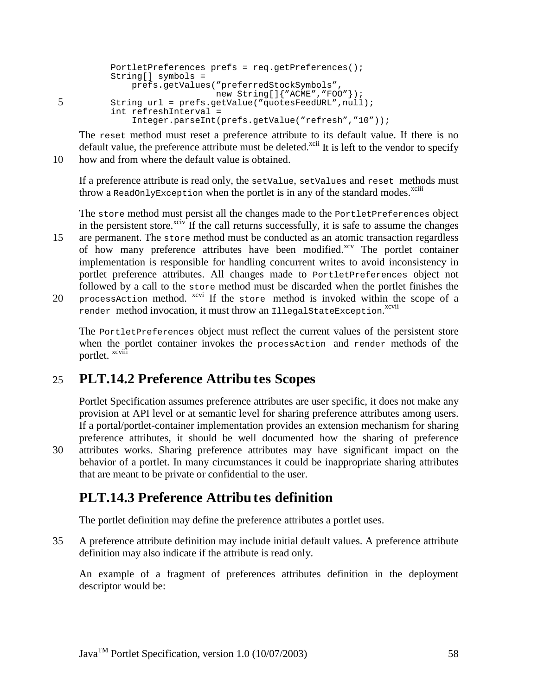```
PortletPreferences prefs = req.getPreferences();
         String[] symbols =
             prefs.getValues("preferredStockSymbols",
                             new String[]{"ACME","FOO"});
5 String url = prefs.getValue("quotesFeedURL",null);
         int refreshInterval =
             Integer.parseInt(prefs.getValue("refresh","10"));
```
The reset method must reset a preference attribute to its default value. If there is no default value, the preference attribute must be deleted.<sup> $x$ cii</sup> It is left to the vendor to specify 10 how and from where the default value is obtained.

If a preference attribute is read only, the setValue, setValues and reset methods must throw a ReadOnlyException when the portlet is in any of the standard modes.<sup> $x$ ciii</sup>

The store method must persist all the changes made to the PortletPreferences object in the persistent store. $x$ civ If the call returns successfully, it is safe to assume the changes

- 15 are permanent. The store method must be conducted as an atomic transaction regardless of how many preference attributes have been modified.<sup> $xcv$ </sup> The portlet container implementation is responsible for handling concurrent writes to avoid inconsistency in portlet preference attributes. All changes made to PortletPreferences object not followed by a call to the store method must be discarded when the portlet finishes the
- 20 processAction method.  $x\text{ }$  If the store method is invoked within the scope of a render **method invocation, it must throw an** <code>IllegalStateException.</code><sup>xcvii</sup>

The PortletPreferences object must reflect the current values of the persistent store when the portlet container invokes the processAction and render methods of the portlet. xcviii

#### 25 **PLT.14.2 Preference Attribu tes Scopes**

Portlet Specification assumes preference attributes are user specific, it does not make any provision at API level or at semantic level for sharing preference attributes among users. If a portal/portlet-container implementation provides an extension mechanism for sharing preference attributes, it should be well documented how the sharing of preference 30 attributes works. Sharing preference attributes may have significant impact on the behavior of a portlet. In many circumstances it could be inappropriate sharing attributes that are meant to be private or confidential to the user.

# **PLT.14.3 Preference Attribu tes definition**

The portlet definition may define the preference attributes a portlet uses.

35 A preference attribute definition may include initial default values. A preference attribute definition may also indicate if the attribute is read only.

An example of a fragment of preferences attributes definition in the deployment descriptor would be: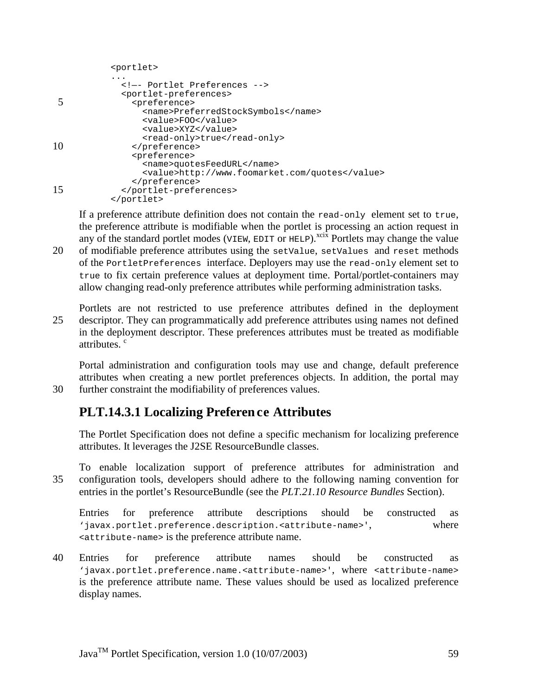|    | <portlet></portlet>                                                                                                                                            |
|----|----------------------------------------------------------------------------------------------------------------------------------------------------------------|
|    | Portlet Preferences<br><portlet-preferences><br/><preference><br/><name>PreferredStockSymbols</name><br/><value>F00</value></preference></portlet-preferences> |
| 10 | <value>XYZ</value><br><read-only>true</read-only><br><br><preference><br/><name>quotesFeedURL</name></preference>                                              |
| 15 | <value>http://www.foomarket.com/quotes</value><br><br><br>                                                                                                     |

If a preference attribute definition does not contain the read-only element set to true, the preference attribute is modifiable when the portlet is processing an action request in any of the standard portlet modes (VIEW, EDIT or HELP).<sup> $x$ cix</sup> Portlets may change the value

20 of modifiable preference attributes using the setValue, setValues and reset methods of the PortletPreferences interface. Deployers may use the read-only element set to true to fix certain preference values at deployment time. Portal/portlet-containers may allow changing read-only preference attributes while performing administration tasks.

Portlets are not restricted to use preference attributes defined in the deployment 25 descriptor. They can programmatically add preference attributes using names not defined in the deployment descriptor. These preferences attributes must be treated as modifiable attributes.<sup>c</sup>

Portal administration and configuration tools may use and change, default preference attributes when creating a new portlet preferences objects. In addition, the portal may 30 further constraint the modifiability of preferences values.

#### **PLT.14.3.1 Localizing Preferen ce Attributes**

The Portlet Specification does not define a specific mechanism for localizing preference attributes. It leverages the J2SE ResourceBundle classes.

To enable localization support of preference attributes for administration and 35 configuration tools, developers should adhere to the following naming convention for entries in the portlet's ResourceBundle (see the *PLT.21.10 Resource Bundles* Section).

Entries for preference attribute descriptions should be constructed as 'javax.portlet.preference.description.<attribute-name>', where <attribute-name> is the preference attribute name.

40 Entries for preference attribute names should be constructed as 'javax.portlet.preference.name.<attribute-name>', where <attribute-name> is the preference attribute name. These values should be used as localized preference display names.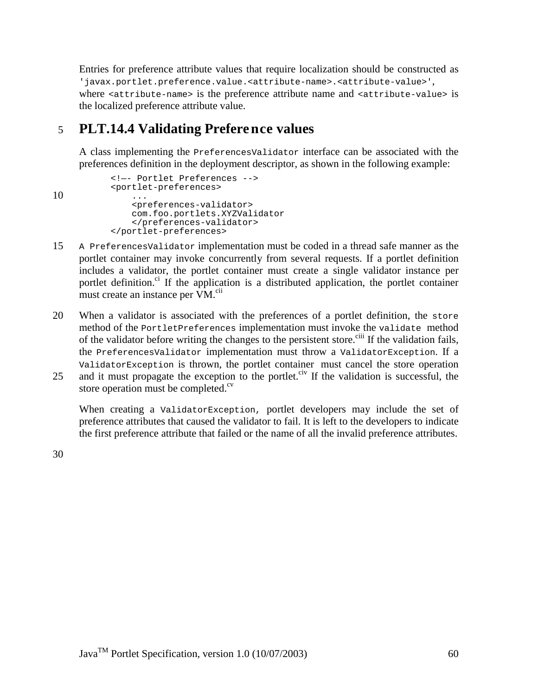Entries for preference attribute values that require localization should be constructed as 'javax.portlet.preference.value.<attribute-name>.<attribute-value>', where <attribute-name> is the preference attribute name and <attribute-value> is the localized preference attribute value.

# 5 **PLT.14.4 Validating Prefere nce values**

A class implementing the PreferencesValidator interface can be associated with the preferences definition in the deployment descriptor, as shown in the following example:

<!—- Portlet Preferences --> <portlet-preferences> 10 ... <preferences-validator> com.foo.portlets.XYZValidator </preferences-validator> </portlet-preferences>

- 15 A PreferencesValidator implementation must be coded in a thread safe manner as the portlet container may invoke concurrently from several requests. If a portlet definition includes a validator, the portlet container must create a single validator instance per portlet definition.<sup>ci</sup> If the application is a distributed application, the portlet container must create an instance per VM.<sup>cii</sup>
- 20 When a validator is associated with the preferences of a portlet definition, the store method of the PortletPreferences implementation must invoke the validate method of the validator before writing the changes to the persistent store.<sup>ciii</sup> If the validation fails, the PreferencesValidator implementation must throw a ValidatorException. If a ValidatorException is thrown, the portlet container must cancel the store operation
- 25 and it must propagate the exception to the portlet.<sup>civ</sup> If the validation is successful, the store operation must be completed. $\mathbf{c}^{\mathbf{v}}$

When creating a ValidatorException, portlet developers may include the set of preference attributes that caused the validator to fail. It is left to the developers to indicate the first preference attribute that failed or the name of all the invalid preference attributes.

30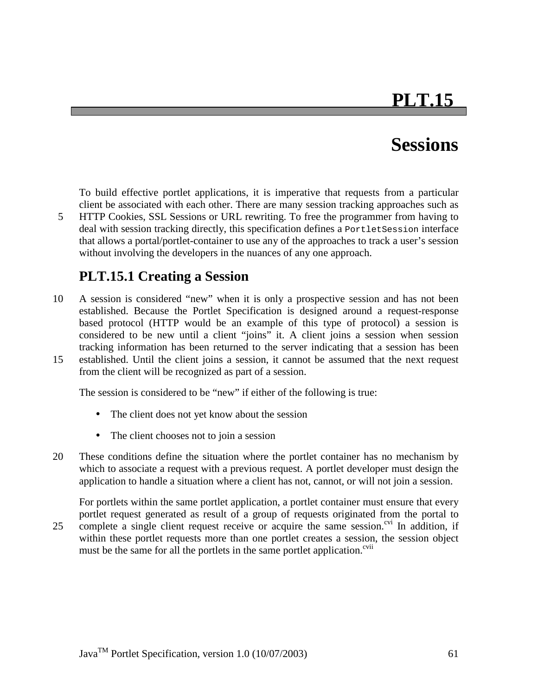# **Sessions**

To build effective portlet applications, it is imperative that requests from a particular client be associated with each other. There are many session tracking approaches such as 5 HTTP Cookies, SSL Sessions or URL rewriting. To free the programmer from having to deal with session tracking directly, this specification defines a PortletSession interface that allows a portal/portlet-container to use any of the approaches to track a user's session without involving the developers in the nuances of any one approach.

# **PLT.15.1 Creating a Session**

10 A session is considered "new" when it is only a prospective session and has not been established. Because the Portlet Specification is designed around a request-response based protocol (HTTP would be an example of this type of protocol) a session is considered to be new until a client "joins" it. A client joins a session when session tracking information has been returned to the server indicating that a session has been 15 established. Until the client joins a session, it cannot be assumed that the next request from the client will be recognized as part of a session.

The session is considered to be "new" if either of the following is true:

- The client does not yet know about the session
- The client chooses not to join a session
- 20 These conditions define the situation where the portlet container has no mechanism by which to associate a request with a previous request. A portlet developer must design the application to handle a situation where a client has not, cannot, or will not join a session.

For portlets within the same portlet application, a portlet container must ensure that every portlet request generated as result of a group of requests originated from the portal to 25 complete a single client request receive or acquire the same session.<sup> $\rm{cvi}$ </sup> In addition, if within these portlet requests more than one portlet creates a session, the session object must be the same for all the portlets in the same portlet application. $\frac{c_{\text{VII}}}{c_{\text{VII}}}$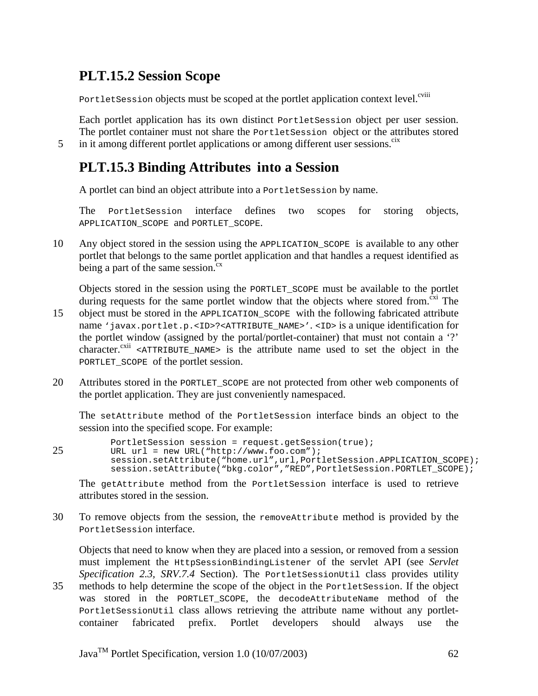# **PLT.15.2 Session Scope**

PortletSession objects must be scoped at the portlet application context level.<sup>cviii</sup>

Each portlet application has its own distinct PortletSession object per user session. The portlet container must not share the PortletSession object or the attributes stored  $\frac{1}{5}$  in it among different portlet applications or among different user sessions.<sup>cix</sup>

# **PLT.15.3 Binding Attributes into a Session**

A portlet can bind an object attribute into a PortletSession by name.

The PortletSession interface defines two scopes for storing objects, APPLICATION SCOPE and PORTLET SCOPE.

10 Any object stored in the session using the APPLICATION SCOPE is available to any other portlet that belongs to the same portlet application and that handles a request identified as being a part of the same session. $c^x$ 

Objects stored in the session using the PORTLET\_SCOPE must be available to the portlet during requests for the same portlet window that the objects where stored from.<sup> $\alpha x$ </sup> The

- 15 object must be stored in the APPLICATION\_SCOPE with the following fabricated attribute name 'javax.portlet.p.<ID>?<ATTRIBUTE\_NAME>'. <ID> is a unique identification for the portlet window (assigned by the portal/portlet-container) that must not contain a '?'  $character.$ <sup>cxii</sup> <ATTRIBUTE\_NAME> is the attribute name used to set the object in the PORTLET SCOPE of the portlet session.
- 20 Attributes stored in the PORTLET\_SCOPE are not protected from other web components of the portlet application. They are just conveniently namespaced.

The setAttribute method of the PortletSession interface binds an object to the session into the specified scope. For example:

PortletSession session = request.getSession(true); 25 URL url = new URL("http://www.foo.com"); session.setAttribute("home.url",url,PortletSession.APPLICATION\_SCOPE); session.setAttribute("bkg.color","RED",PortletSession.PORTLET\_SCOPE);

The getAttribute method from the PortletSession interface is used to retrieve attributes stored in the session.

30 To remove objects from the session, the removeAttribute method is provided by the PortletSession interface.

Objects that need to know when they are placed into a session, or removed from a session must implement the HttpSessionBindingListener of the servlet API (see *Servlet Specification 2.3, SRV.7.4* Section). The PortletSessionUtil class provides utility 35 methods to help determine the scope of the object in the PortletSession. If the object

was stored in the PORTLET\_SCOPE, the decodeAttributeName method of the PortletSessionUtil class allows retrieving the attribute name without any portletcontainer fabricated prefix. Portlet developers should always use the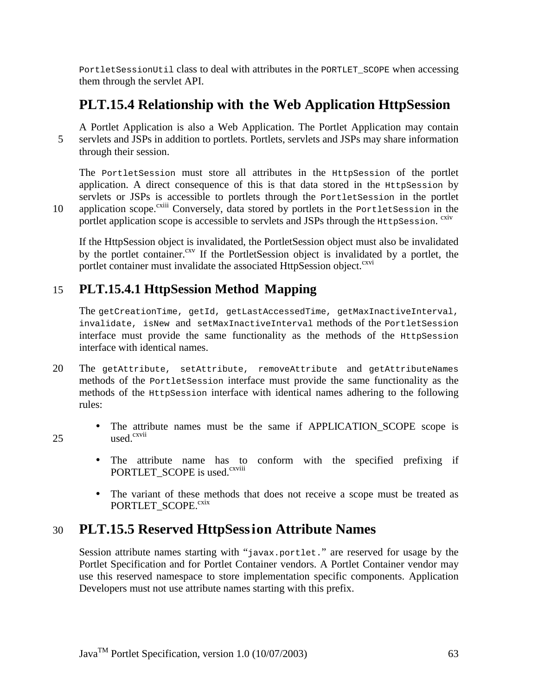PortletSessionUtil class to deal with attributes in the PORTLET\_SCOPE when accessing them through the servlet API.

# **PLT.15.4 Relationship with the Web Application HttpSession**

A Portlet Application is also a Web Application. The Portlet Application may contain 5 servlets and JSPs in addition to portlets. Portlets, servlets and JSPs may share information through their session.

The PortletSession must store all attributes in the HttpSession of the portlet application. A direct consequence of this is that data stored in the HttpSession by servlets or JSPs is accessible to portlets through the PortletSession in the portlet 10 application scope.<sup>cxiii</sup> Conversely, data stored by portlets in the PortletSession in the portlet application scope is accessible to servlets and JSPs through the  $H_t$ ttpSession.  $\frac{c}{c}$ 

If the HttpSession object is invalidated, the PortletSession object must also be invalidated by the portlet container.<sup>cxv</sup> If the PortletSession object is invalidated by a portlet, the portlet container must invalidate the associated HttpSession object.<sup>cxvi</sup>

#### 15 **PLT.15.4.1 HttpSession Method Mapping**

The getCreationTime, getId, getLastAccessedTime, getMaxInactiveInterval, invalidate, isNew and setMaxInactiveInterval methods of the PortletSession interface must provide the same functionality as the methods of the HttpSession interface with identical names.

- 20 The getAttribute, setAttribute, removeAttribute and getAttributeNames methods of the PortletSession interface must provide the same functionality as the methods of the HttpSession interface with identical names adhering to the following rules:
- The attribute names must be the same if APPLICATION SCOPE scope is  $25$  used.<sup>cxvii</sup>
	- The attribute name has to conform with the specified prefixing if PORTLET\_SCOPE is used.<sup>cxviii</sup>
	- The variant of these methods that does not receive a scope must be treated as PORTLET\_SCOPE.cxix

#### 30 **PLT.15.5 Reserved HttpSess ion Attribute Names**

Session attribute names starting with "javax.portlet." are reserved for usage by the Portlet Specification and for Portlet Container vendors. A Portlet Container vendor may use this reserved namespace to store implementation specific components. Application Developers must not use attribute names starting with this prefix.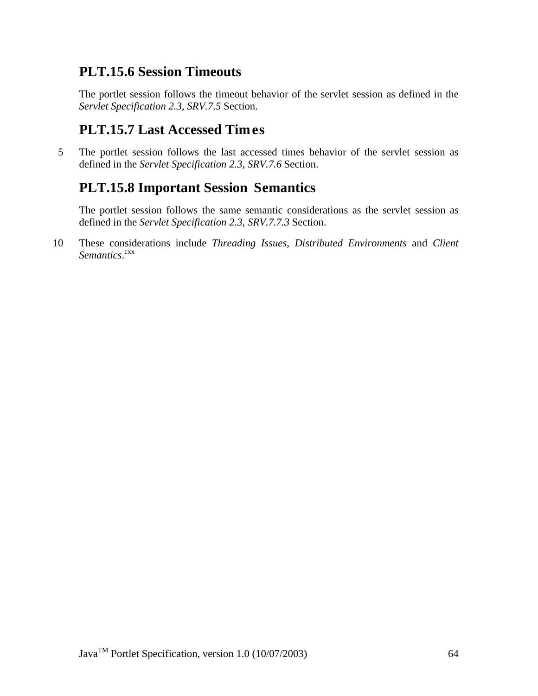# **PLT.15.6 Session Timeouts**

The portlet session follows the timeout behavior of the servlet session as defined in the *Servlet Specification 2.3, SRV.7.5* Section.

# **PLT.15.7 Last Accessed Times**

5 The portlet session follows the last accessed times behavior of the servlet session as defined in the *Servlet Specification 2.3, SRV.7.6* Section.

# **PLT.15.8 Important Session Semantics**

The portlet session follows the same semantic considerations as the servlet session as defined in the *Servlet Specification 2.3, SRV.7.7.3* Section.

10 These considerations include *Threading Issues*, *Distributed Environments* and *Client* Semantics.<sup>cxx</sup>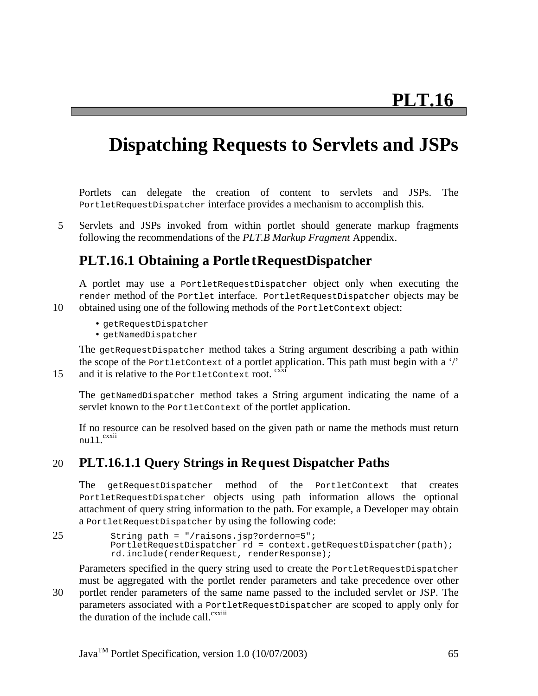# **Dispatching Requests to Servlets and JSPs**

Portlets can delegate the creation of content to servlets and JSPs. The PortletRequestDispatcher interface provides a mechanism to accomplish this.

5 Servlets and JSPs invoked from within portlet should generate markup fragments following the recommendations of the *PLT.B Markup Fragment* Appendix.

#### **PLT.16.1 Obtaining a Portle tRequestDispatcher**

A portlet may use a PortletRequestDispatcher object only when executing the render method of the Portlet interface. PortletRequestDispatcher objects may be 10 obtained using one of the following methods of the PortletContext object:

- getRequestDispatcher
- getNamedDispatcher

The getRequestDispatcher method takes a String argument describing a path within the scope of the PortletContext of a portlet application. This path must begin with a '/' 15 and it is relative to the PortletContext root.  $\frac{\text{cxxi}}{\text{cxxi}}$ 

The getNamedDispatcher method takes a String argument indicating the name of a servlet known to the PortletContext of the portlet application.

If no resource can be resolved based on the given path or name the methods must return null. cxxii

#### 20 **PLT.16.1.1 Query Strings in Request Dispatcher Paths**

The getRequestDispatcher method of the PortletContext that creates PortletRequestDispatcher objects using path information allows the optional attachment of query string information to the path. For example, a Developer may obtain a PortletRequestDispatcher by using the following code:

25 String path =  $\sqrt{r}$  /raisons.jsp?orderno=5"; PortletRequestDispatcher rd = context.getRequestDispatcher(path); rd.include(renderRequest, renderResponse);

Parameters specified in the query string used to create the PortletRequestDispatcher must be aggregated with the portlet render parameters and take precedence over other

30 portlet render parameters of the same name passed to the included servlet or JSP. The parameters associated with a PortletRequestDispatcher are scoped to apply only for the duration of the include call. $\frac{c}{c}$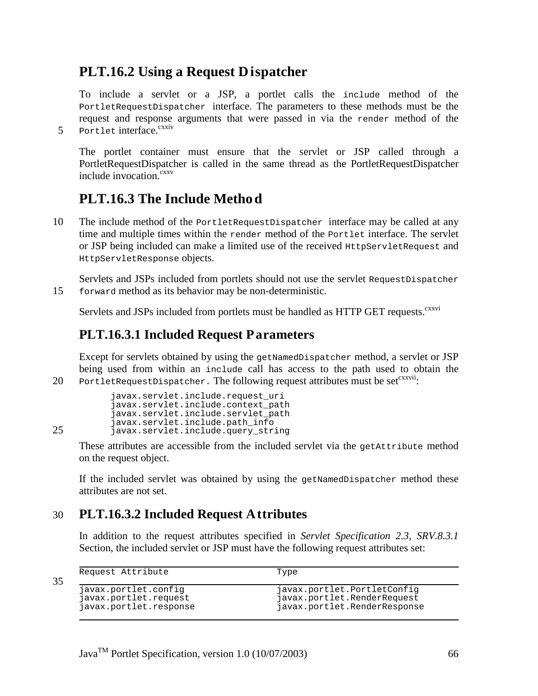### **PLT.16.2 Using a Request D ispatcher**

To include a servlet or a JSP, a portlet calls the include method of the PortletRequestDispatcher interface. The parameters to these methods must be the request and response arguments that were passed in via the render method of the  $5$  Portlet interface.  $c$ <sup>cxxiv</sup>

The portlet container must ensure that the servlet or JSP called through a PortletRequestDispatcher is called in the same thread as the PortletRequestDispatcher include invocation.<sup>cxxv</sup>

# **PLT.16.3 The Include Metho d**

10 The include method of the PortletRequestDispatcher interface may be called at any time and multiple times within the render method of the Portlet interface. The servlet or JSP being included can make a limited use of the received HttpServletRequest and HttpServletResponse objects.

Servlets and JSPs included from portlets should not use the servlet RequestDispatcher 15 forward method as its behavior may be non-deterministic.

Servlets and JSPs included from portlets must be handled as HTTP GET requests.<sup>cxxvi</sup>

#### **PLT.16.3.1 Included Request Parameters**

Except for servlets obtained by using the getNamedDispatcher method, a servlet or JSP being used from within an include call has access to the path used to obtain the 20 PortletRequestDispatcher. The following request attributes must be set $c^{cxxvii}$ :

javax.servlet.include.request\_uri javax.servlet.include.context\_path javax.servlet.include.servlet\_path javax.servlet.include.path\_info 25 javax.servlet.include.query\_string

> These attributes are accessible from the included servlet via the getAttribute method on the request object.

> If the included servlet was obtained by using the getNamedDispatcher method these attributes are not set.

#### 30 **PLT.16.3.2 Included Request Attributes**

In addition to the request attributes specified in *Servlet Specification 2.3, SRV.8.3.1* Section, the included servlet or JSP must have the following request attributes set:

Request Attribute Type 35 javax.portlet.config javax.portlet.PortletConfig javax.portlet.RenderRequest javax.portlet.response javax.portlet.RenderResponse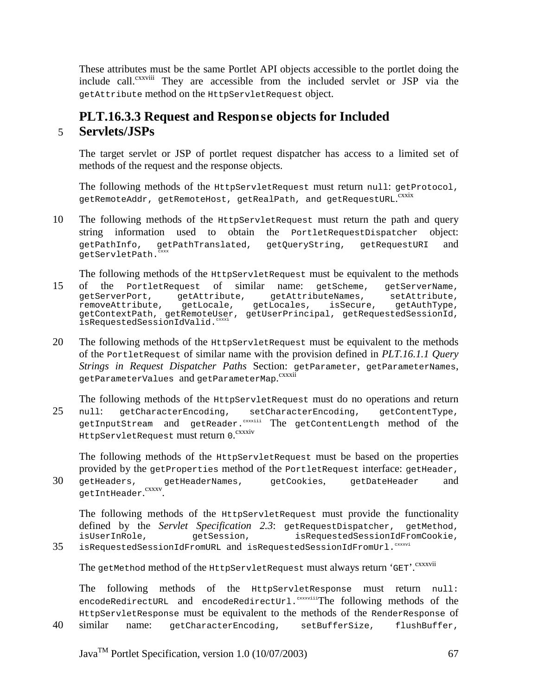These attributes must be the same Portlet API objects accessible to the portlet doing the include call.<sup>cxxviii</sup> They are accessible from the included servlet or JSP via the getAttribute method on the HttpServletRequest object.

#### **PLT.16.3.3 Request and Response objects for Included** 5 **Servlets/JSPs**

The target servlet or JSP of portlet request dispatcher has access to a limited set of methods of the request and the response objects.

The following methods of the HttpServletRequest must return null: getProtocol, getRemoteAddr, getRemoteHost, getRealPath, and getRequestURL. CXXIX

10 The following methods of the HttpServletRequest must return the path and query string information used to obtain the PortletRequestDispatcher object: getPathInfo, getPathTranslated, getQueryString, getRequestURI and getServletPath.<sup>cy</sup>

The following methods of the HttpServletRequest must be equivalent to the methods

- 15 of the PortletRequest of similar name: getScheme, getServerName,<br>getServerPort, getAttribute, getAttributeNames, setAttribute, getServerPort, getAttribute, getAttributeNames, setAttribute,<br>removeAttribute, getLocale, getLocales, isSecure, getAuthType, getLocales, isSecure, getContextPath, getRemoteUser, getUserPrincipal, getRequestedSessionId, isRequestedSessionIdValid.<sup>cx</sup>
- 20 The following methods of the HttpServletRequest must be equivalent to the methods of the PortletRequest of similar name with the provision defined in *PLT.16.1.1 Query Strings in Request Dispatcher Paths* Section: getParameter, getParameterNames, getParameterValues and getParameterMap. CXXXII
- The following methods of the HttpServletRequest must do no operations and return 25 null: getCharacterEncoding, setCharacterEncoding, getContentType, getInputStream and getReader.<sup>cxxxiii</sup> The getContentLength method of the <code>HttpServletRequest</code> must return <code>0. $\mathrm{c}^\mathrm{xxxxiv}$ </code>

The following methods of the HttpServletRequest must be based on the properties provided by the getProperties method of the PortletRequest interface: getHeader,

 $30$  getHeaders, getHeaderNames,  $\,$  getCookies,  $\,$  getDateHeader  $\,$  and .<br>getIntHeader.<sup>cxxxv</sup>.

The following methods of the HttpServletRequest must provide the functionality defined by the *Servlet Specification 2.3*: getRequestDispatcher, getMethod, isUserInRole, getSession, isRequestedSessionIdFromCookie, isRequestedSessionIdFromCookie, 35 isRequestedSessionIdFromURL and isRequestedSessionIdFromUrl.<sup>cxxxvi</sup>

The getMethod method of the HttpServletRequest must always return 'GET'. CXXXVII

The following methods of the HttpServletResponse must return null: encodeRedirectURL and encodeRedirectUrl.<sup>cxxxviii</sup>The following methods of the HttpServletResponse must be equivalent to the methods of the RenderResponse of 40 similar name: getCharacterEncoding, setBufferSize, flushBuffer,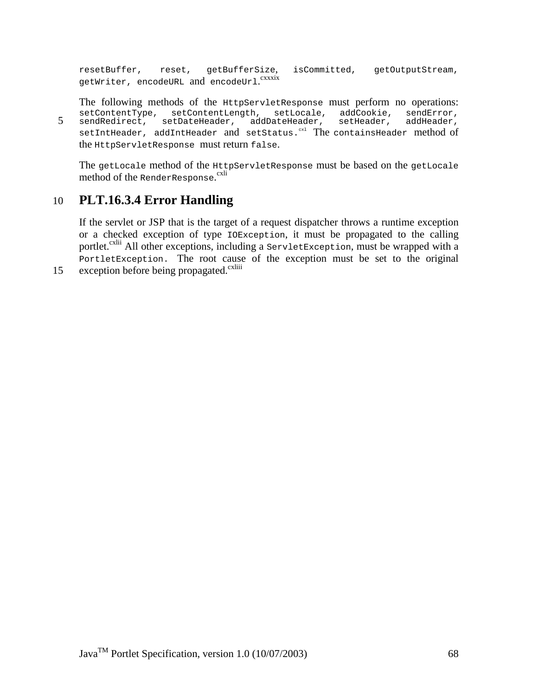resetBuffer, reset, getBufferSize, isCommitted, getOutputStream, getWriter, encodeURL and encodeUrl. CXXXIX

The following methods of the HttpServletResponse must perform no operations:<br>setContentType, setContentLength, setLocale, addCookie, sendError, setContentLength, setLocale, addCookie, sendError,<br>etDateHeader, addDateHeader, setHeader, addHeader,  $5$  sendRedirect, setDateHeader, addDateHeader, setIntHeader, addIntHeader and setStatus.<sup>oxl</sup> The containsHeader method of the HttpServletResponse must return false.

The getLocale method of the HttpServletResponse must be based on the getLocale  $\operatorname{method}$  of the <code>RenderResponse. $\stackrel{\text{exli}}{ }$ </code>

#### 10 **PLT.16.3.4 Error Handling**

If the servlet or JSP that is the target of a request dispatcher throws a runtime exception or a checked exception of type IOException, it must be propagated to the calling portlet.<sup>cxlii</sup> All other exceptions, including a ServletException, must be wrapped with a PortletException. The root cause of the exception must be set to the original 15 exception before being propagated.<sup>cxliii</sup>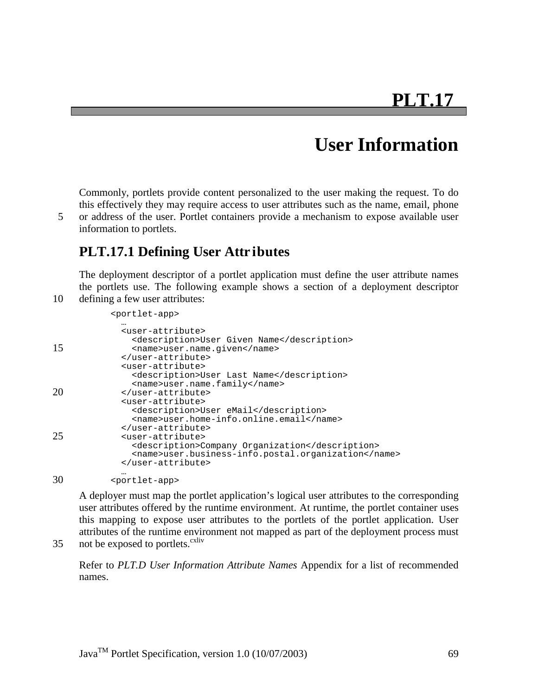# **User Information**

Commonly, portlets provide content personalized to the user making the request. To do this effectively they may require access to user attributes such as the name, email, phone

5 or address of the user. Portlet containers provide a mechanism to expose available user information to portlets.

#### **PLT.17.1 Defining User Attr ibutes**

The deployment descriptor of a portlet application must define the user attribute names the portlets use. The following example shows a section of a deployment descriptor 10 defining a few user attributes:

 $control$ <sup>+</sup>-app>

|    | NOT CICL ANDS                                                                                                                                                                                      |
|----|----------------------------------------------------------------------------------------------------------------------------------------------------------------------------------------------------|
| 15 | <user-attribute><br/><description>User Given Name</description><br/><name>user.name.given</name><br/></user-attribute><br><user-attribute></user-attribute>                                        |
| 20 | <description>User Last Name</description><br><name>user.name.family</name><br><br><user-attribute><br/><description>User eMail</description></user-attribute>                                      |
| 25 | <name>user.home-info.online.email</name><br><br><user-attribute><br/><description>Company Organization</description><br/><name>user.business-info.postal.organization</name><br/></user-attribute> |
| 30 | <br><portlet-app></portlet-app>                                                                                                                                                                    |

A deployer must map the portlet application's logical user attributes to the corresponding user attributes offered by the runtime environment. At runtime, the portlet container uses this mapping to expose user attributes to the portlets of the portlet application. User attributes of the runtime environment not mapped as part of the deployment process must

35 not be exposed to portlets. $\frac{\text{cxliv}}{\text{cxliv}}$ 

Refer to *PLT.D User Information Attribute Names* Appendix for a list of recommended names.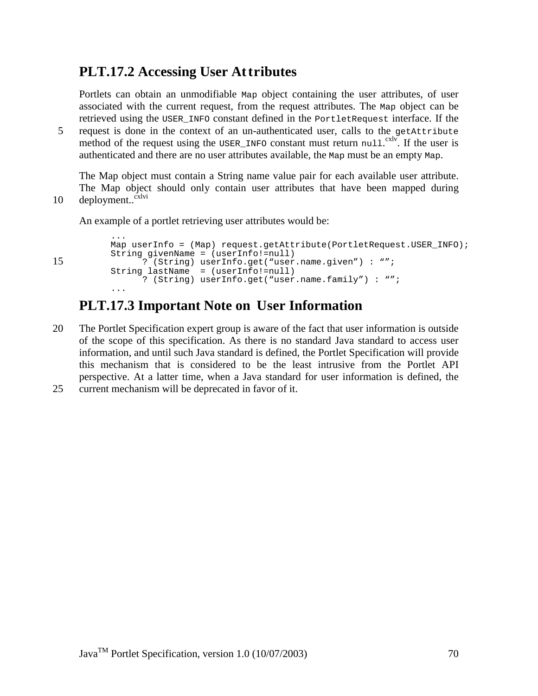# **PLT.17.2 Accessing User At tributes**

Portlets can obtain an unmodifiable Map object containing the user attributes, of user associated with the current request, from the request attributes. The Map object can be retrieved using the USER\_INFO constant defined in the PortletRequest interface. If the

5 request is done in the context of an un-authenticated user, calls to the getAttribute method of the request using the USER\_INFO constant must return null.<sup>cxlv</sup>. If the user is authenticated and there are no user attributes available, the Map must be an empty Map.

The Map object must contain a String name value pair for each available user attribute. The Map object should only contain user attributes that have been mapped during  $10$  deployment.. $c^{\text{ixlvi}}$ 

...

An example of a portlet retrieving user attributes would be:

```
Map userInfo = (Map) request.getAttribute(PortletRequest.USER_INFO);
          String givenName = (userInfo!=null)
15 ? (String) userInfo.get("user.name.given") : "";
          String lastName = (userInfo!=null)
                ? (String) userInfo.get("user.name.family") : "";
```
# **PLT.17.3 Important Note on User Information**

- 20 The Portlet Specification expert group is aware of the fact that user information is outside of the scope of this specification. As there is no standard Java standard to access user information, and until such Java standard is defined, the Portlet Specification will provide this mechanism that is considered to be the least intrusive from the Portlet API perspective. At a latter time, when a Java standard for user information is defined, the
- 25 current mechanism will be deprecated in favor of it.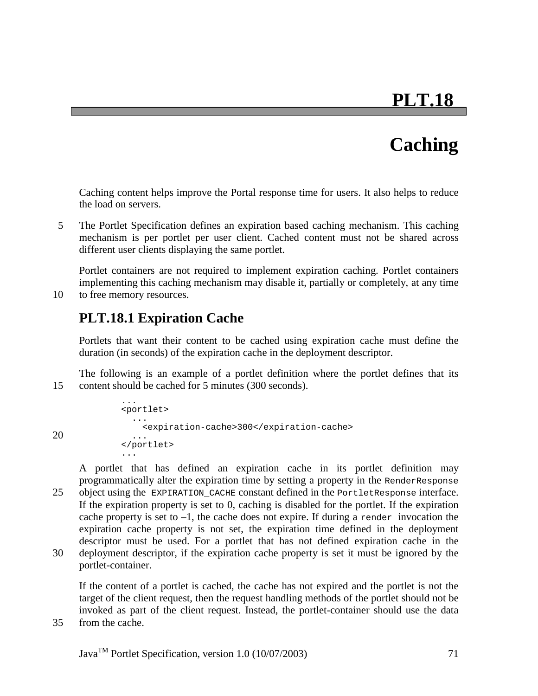# **Caching**

Caching content helps improve the Portal response time for users. It also helps to reduce the load on servers.

5 The Portlet Specification defines an expiration based caching mechanism. This caching mechanism is per portlet per user client. Cached content must not be shared across different user clients displaying the same portlet.

Portlet containers are not required to implement expiration caching. Portlet containers implementing this caching mechanism may disable it, partially or completely, at any time 10 to free memory resources.

# **PLT.18.1 Expiration Cache**

Portlets that want their content to be cached using expiration cache must define the duration (in seconds) of the expiration cache in the deployment descriptor.

The following is an example of a portlet definition where the portlet defines that its 15 content should be cached for 5 minutes (300 seconds).

```
...
              <portlet>
                ...
                 <expiration-cache>300</expiration-cache>
20
              </portlet>
              ...
```
A portlet that has defined an expiration cache in its portlet definition may programmatically alter the expiration time by setting a property in the RenderResponse 25 object using the EXPIRATION\_CACHE constant defined in the PortletResponse interface. If the expiration property is set to 0, caching is disabled for the portlet. If the expiration cache property is set to  $-1$ , the cache does not expire. If during a render invocation the expiration cache property is not set, the expiration time defined in the deployment descriptor must be used. For a portlet that has not defined expiration cache in the 30 deployment descriptor, if the expiration cache property is set it must be ignored by the portlet-container.

If the content of a portlet is cached, the cache has not expired and the portlet is not the target of the client request, then the request handling methods of the portlet should not be invoked as part of the client request. Instead, the portlet-container should use the data

35 from the cache.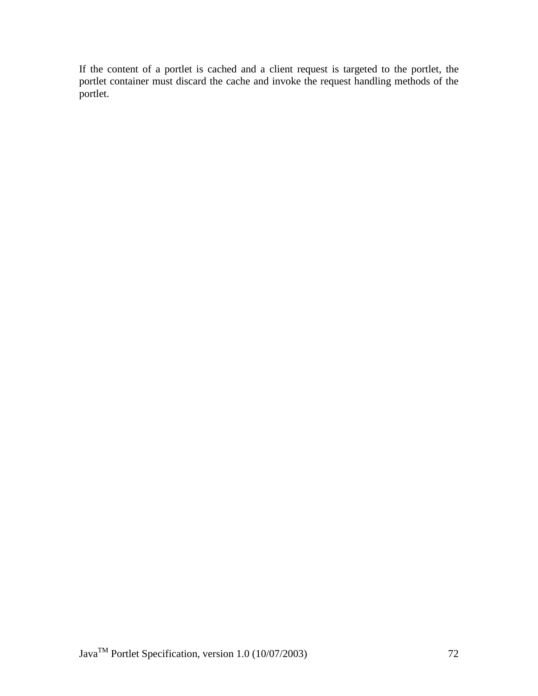If the content of a portlet is cached and a client request is targeted to the portlet, the portlet container must discard the cache and invoke the request handling methods of the portlet.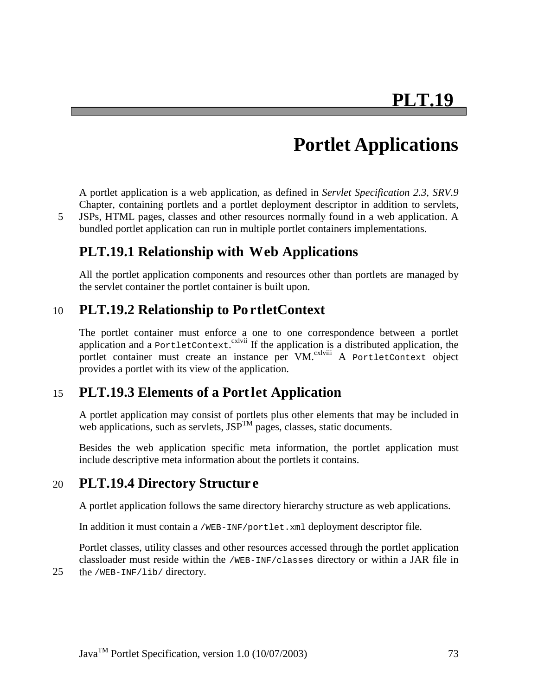# **Portlet Applications**

A portlet application is a web application, as defined in *Servlet Specification 2.3, SRV.9* Chapter, containing portlets and a portlet deployment descriptor in addition to servlets, 5 JSPs, HTML pages, classes and other resources normally found in a web application. A

bundled portlet application can run in multiple portlet containers implementations.

#### **PLT.19.1 Relationship with Web Applications**

All the portlet application components and resources other than portlets are managed by the servlet container the portlet container is built upon.

#### 10 **PLT.19.2 Relationship to Po rtletContext**

The portlet container must enforce a one to one correspondence between a portlet application and a PortletContext.  $\frac{c}{}$ <sup>cxlvii</sup> If the application is a distributed application, the portlet container must create an instance per VM.<sup>cxlviii</sup> A PortletContext object provides a portlet with its view of the application.

#### 15 **PLT.19.3 Elements of a Port let Application**

A portlet application may consist of portlets plus other elements that may be included in web applications, such as servlets,  $JSP^{TM}$  pages, classes, static documents.

Besides the web application specific meta information, the portlet application must include descriptive meta information about the portlets it contains.

#### 20 **PLT.19.4 Directory Structur e**

A portlet application follows the same directory hierarchy structure as web applications.

In addition it must contain a /WEB-INF/portlet.xml deployment descriptor file.

Portlet classes, utility classes and other resources accessed through the portlet application classloader must reside within the /WEB-INF/classes directory or within a JAR file in

25 the /WEB-INF/lib/ directory.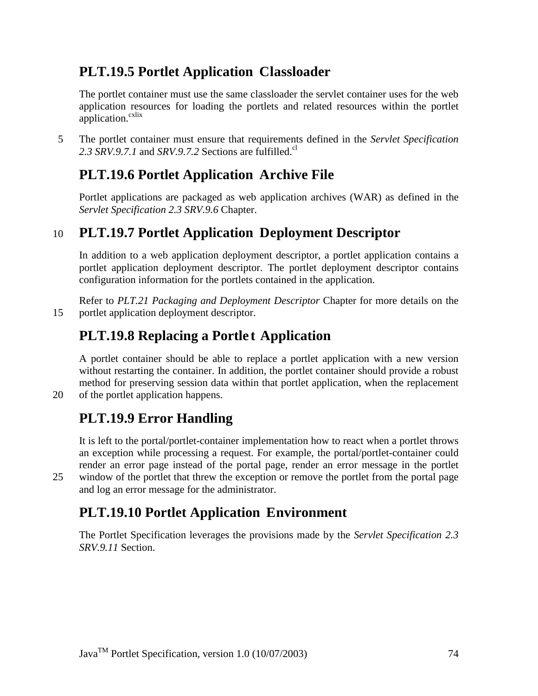### **PLT.19.5 Portlet Application Classloader**

The portlet container must use the same classloader the servlet container uses for the web application resources for loading the portlets and related resources within the portlet application.<sup>cxlix</sup>

5 The portlet container must ensure that requirements defined in the *Servlet Specification* 2.3 SRV.9.7.1 and SRV.9.7.2 Sections are fulfilled.<sup>cl</sup>

#### **PLT.19.6 Portlet Application Archive File**

Portlet applications are packaged as web application archives (WAR) as defined in the *Servlet Specification 2.3 SRV.9.6* Chapter.

#### 10 **PLT.19.7 Portlet Application Deployment Descriptor**

In addition to a web application deployment descriptor, a portlet application contains a portlet application deployment descriptor. The portlet deployment descriptor contains configuration information for the portlets contained in the application.

Refer to *PLT.21 Packaging and Deployment Descriptor* Chapter for more details on the 15 portlet application deployment descriptor.

# **PLT.19.8 Replacing a Portle t Application**

A portlet container should be able to replace a portlet application with a new version without restarting the container. In addition, the portlet container should provide a robust method for preserving session data within that portlet application, when the replacement 20 of the portlet application happens.

# **PLT.19.9 Error Handling**

It is left to the portal/portlet-container implementation how to react when a portlet throws an exception while processing a request. For example, the portal/portlet-container could render an error page instead of the portal page, render an error message in the portlet 25 window of the portlet that threw the exception or remove the portlet from the portal page and log an error message for the administrator.

# **PLT.19.10 Portlet Application Environment**

The Portlet Specification leverages the provisions made by the *Servlet Specification 2.3 SRV.9.11* Section.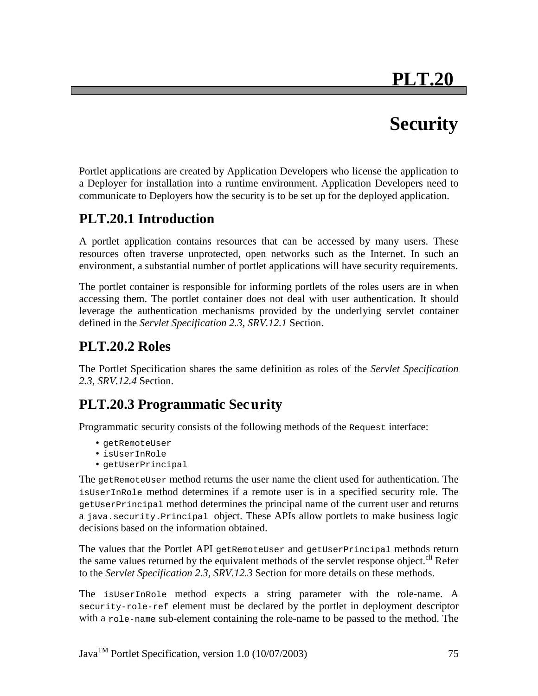# **Security**

Portlet applications are created by Application Developers who license the application to a Deployer for installation into a runtime environment. Application Developers need to communicate to Deployers how the security is to be set up for the deployed application.

### **PLT.20.1 Introduction**

A portlet application contains resources that can be accessed by many users. These resources often traverse unprotected, open networks such as the Internet. In such an environment, a substantial number of portlet applications will have security requirements.

The portlet container is responsible for informing portlets of the roles users are in when accessing them. The portlet container does not deal with user authentication. It should leverage the authentication mechanisms provided by the underlying servlet container defined in the *Servlet Specification 2.3, SRV.12.1* Section.

#### **PLT.20.2 Roles**

The Portlet Specification shares the same definition as roles of the *Servlet Specification 2.3, SRV.12.4* Section.

# **PLT.20.3 Programmatic Sec urity**

Programmatic security consists of the following methods of the Request interface:

- getRemoteUser
- isUserInRole
- getUserPrincipal

The getRemoteUser method returns the user name the client used for authentication. The isUserInRole method determines if a remote user is in a specified security role. The getUserPrincipal method determines the principal name of the current user and returns a java.security.Principal object. These APIs allow portlets to make business logic decisions based on the information obtained.

The values that the Portlet API getRemoteUser and getUserPrincipal methods return the same values returned by the equivalent methods of the servlet response object.<sup>cli</sup> Refer to the *Servlet Specification 2.3, SRV.12.3* Section for more details on these methods.

The isUserInRole method expects a string parameter with the role-name. A security-role-ref element must be declared by the portlet in deployment descriptor with a role-name sub-element containing the role-name to be passed to the method. The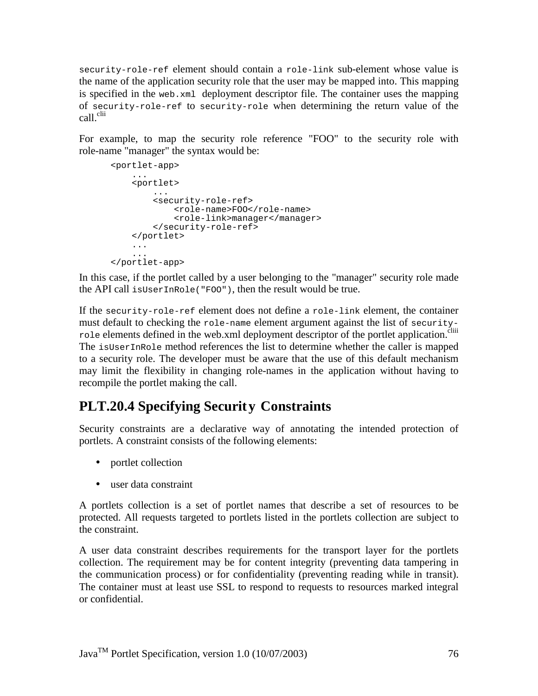security-role-ref element should contain a role-link sub-element whose value is the name of the application security role that the user may be mapped into. This mapping is specified in the web. $x_{m1}$  deployment descriptor file. The container uses the mapping of security-role-ref to security-role when determining the return value of the call.<sup>clii</sup>

For example, to map the security role reference "FOO" to the security role with role-name "manager" the syntax would be:

```
<portlet-app>
    ...
    <portlet>
        ...
        <security-role-ref>
           <role-name>FOO</role-name>
            <role-link>manager</manager>
        </security-role-ref>
    </portlet>
    ...
    ...
</portlet-app>
```
In this case, if the portlet called by a user belonging to the "manager" security role made the API call isUserInRole("FOO"), then the result would be true.

If the security-role-ref element does not define a role-link element, the container must default to checking the role-name element argument against the list of securityrole elements defined in the web.xml deployment descriptor of the portlet application.<sup>cliii</sup> The isUserInRole method references the list to determine whether the caller is mapped to a security role. The developer must be aware that the use of this default mechanism may limit the flexibility in changing role-names in the application without having to recompile the portlet making the call.

# **PLT.20.4 Specifying Security Constraints**

Security constraints are a declarative way of annotating the intended protection of portlets. A constraint consists of the following elements:

- portlet collection
- user data constraint

A portlets collection is a set of portlet names that describe a set of resources to be protected. All requests targeted to portlets listed in the portlets collection are subject to the constraint.

A user data constraint describes requirements for the transport layer for the portlets collection. The requirement may be for content integrity (preventing data tampering in the communication process) or for confidentiality (preventing reading while in transit). The container must at least use SSL to respond to requests to resources marked integral or confidential.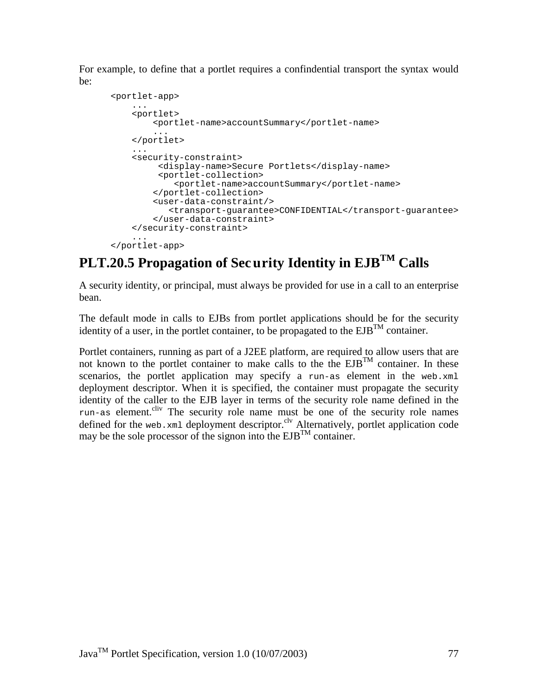For example, to define that a portlet requires a confindential transport the syntax would be:

```
<portlet-app>
    <portlet>
        <portlet-name>accountSummary</portlet-name>
        ...
    </portlet>
    ...
    <security-constraint>
         <display-name>Secure Portlets</display-name>
         <portlet-collection>
           <portlet-name>accountSummary</portlet-name>
        </portlet-collection>
        <user-data-constraint/>
           <transport-guarantee>CONFIDENTIAL</transport-guarantee>
        </user-data-constraint>
    </security-constraint>
    ...
</portlet-app>
```
# **PLT.20.5 Propagation of Sec urity Identity in EJBTM Calls**

A security identity, or principal, must always be provided for use in a call to an enterprise bean.

The default mode in calls to EJBs from portlet applications should be for the security identity of a user, in the portlet container, to be propagated to the  $EJB^{TM}$  container.

Portlet containers, running as part of a J2EE platform, are required to allow users that are not known to the portlet container to make calls to the the  $EJB^{TM}$  container. In these scenarios, the portlet application may specify a run-as element in the web.xml deployment descriptor. When it is specified, the container must propagate the security identity of the caller to the EJB layer in terms of the security role name defined in the run-as element.<sup>cliv</sup> The security role name must be one of the security role names defined for the web.xml deployment descriptor.<sup>clv</sup> Alternatively, portlet application code may be the sole processor of the signon into the  $EJB^{TM}$  container.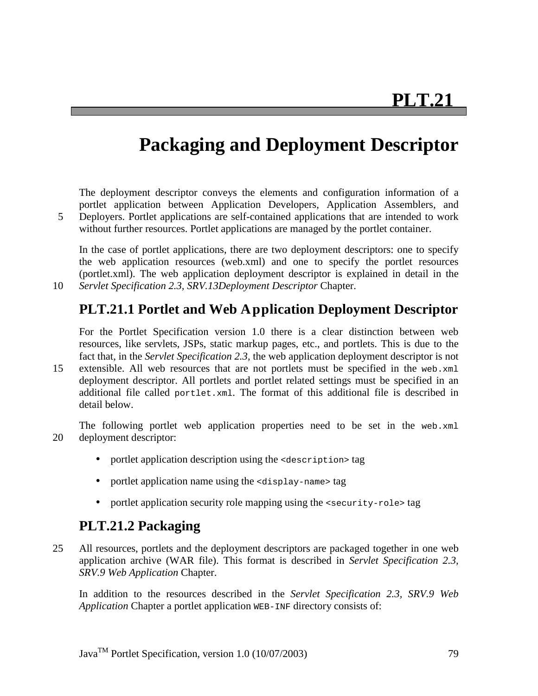# **Packaging and Deployment Descriptor**

The deployment descriptor conveys the elements and configuration information of a portlet application between Application Developers, Application Assemblers, and 5 Deployers. Portlet applications are self-contained applications that are intended to work without further resources. Portlet applications are managed by the portlet container.

In the case of portlet applications, there are two deployment descriptors: one to specify the web application resources (web.xml) and one to specify the portlet resources (portlet.xml). The web application deployment descriptor is explained in detail in the 10 *Servlet Specification 2.3, SRV.13Deployment Descriptor* Chapter.

### **PLT.21.1 Portlet and Web A pplication Deployment Descriptor**

For the Portlet Specification version 1.0 there is a clear distinction between web resources, like servlets, JSPs, static markup pages, etc., and portlets. This is due to the fact that, in the *Servlet Specification 2.3,* the web application deployment descriptor is not 15 extensible. All web resources that are not portlets must be specified in the web.xml

deployment descriptor. All portlets and portlet related settings must be specified in an additional file called portlet.xml. The format of this additional file is described in detail below.

The following portlet web application properties need to be set in the web.xml 20 deployment descriptor:

- portlet application description using the <description> tag
- portlet application name using the <display-name> tag
- portlet application security role mapping using the <security-role>tag

#### **PLT.21.2 Packaging**

25 All resources, portlets and the deployment descriptors are packaged together in one web application archive (WAR file). This format is described in *Servlet Specification 2.3, SRV.9 Web Application* Chapter.

In addition to the resources described in the *Servlet Specification 2.3, SRV.9 Web Application* Chapter a portlet application WEB-INF directory consists of: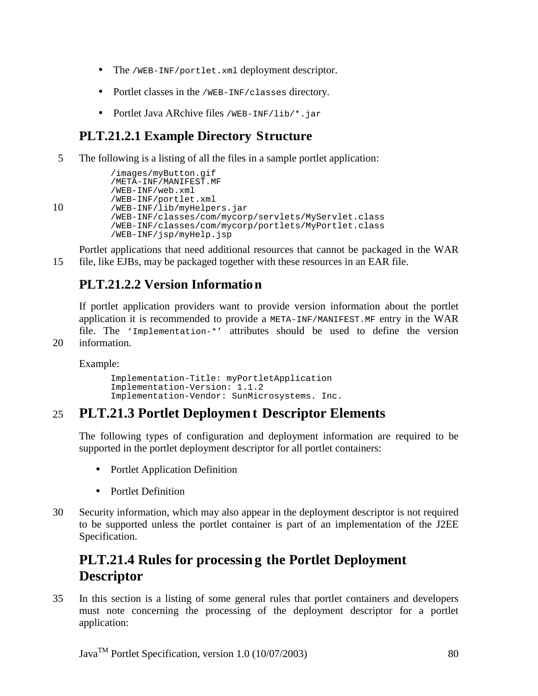- The /WEB-INF/portlet.xml deployment descriptor.
- Portlet classes in the /WEB-INF/classes directory.
- Portlet Java ARchive files / WEB-INF/lib/\*.jar

#### **PLT.21.2.1 Example Directory Structure**

5 The following is a listing of all the files in a sample portlet application:

```
/images/myButton.gif
          /META-INF/MANIFEST.MF
          /WEB-INF/web.xml
          /WEB-INF/portlet.xml
10 /WEB-INF/lib/myHelpers.jar
          /WEB-INF/classes/com/mycorp/servlets/MyServlet.class
          /WEB-INF/classes/com/mycorp/portlets/MyPortlet.class
          /WEB-INF/jsp/myHelp.jsp
```
Portlet applications that need additional resources that cannot be packaged in the WAR 15 file, like EJBs, may be packaged together with these resources in an EAR file.

#### **PLT.21.2.2 Version Information**

If portlet application providers want to provide version information about the portlet application it is recommended to provide a META-INF/MANIFEST.MF entry in the WAR file. The 'Implementation-\*' attributes should be used to define the version 20 information.

Example:

Implementation-Title: myPortletApplication Implementation-Version: 1.1.2 Implementation-Vendor: SunMicrosystems. Inc.

#### 25 **PLT.21.3 Portlet Deploymen t Descriptor Elements**

The following types of configuration and deployment information are required to be supported in the portlet deployment descriptor for all portlet containers:

- Portlet Application Definition
- Portlet Definition
- 30 Security information, which may also appear in the deployment descriptor is not required to be supported unless the portlet container is part of an implementation of the J2EE Specification.

# **PLT.21.4 Rules for processin g the Portlet Deployment Descriptor**

35 In this section is a listing of some general rules that portlet containers and developers must note concerning the processing of the deployment descriptor for a portlet application: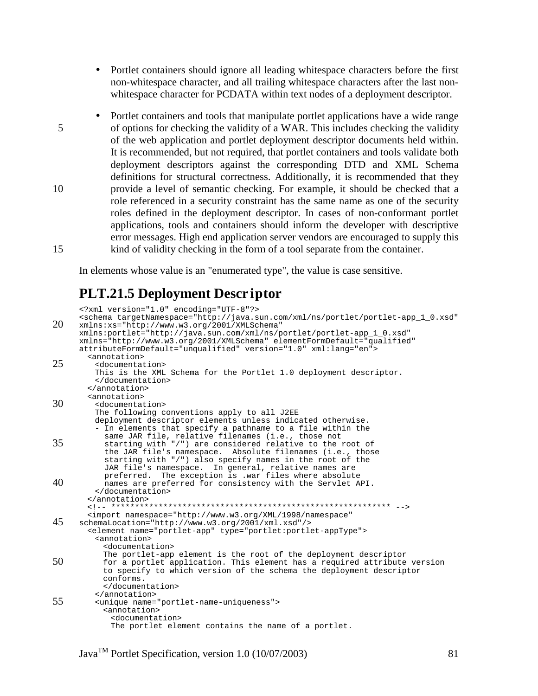- Portlet containers should ignore all leading whitespace characters before the first non-whitespace character, and all trailing whitespace characters after the last nonwhitespace character for PCDATA within text nodes of a deployment descriptor.
- Portlet containers and tools that manipulate portlet applications have a wide range 5 of options for checking the validity of a WAR. This includes checking the validity of the web application and portlet deployment descriptor documents held within. It is recommended, but not required, that portlet containers and tools validate both deployment descriptors against the corresponding DTD and XML Schema definitions for structural correctness. Additionally, it is recommended that they 10 provide a level of semantic checking. For example, it should be checked that a role referenced in a security constraint has the same name as one of the security roles defined in the deployment descriptor. In cases of non-conformant portlet applications, tools and containers should inform the developer with descriptive error messages. High end application server vendors are encouraged to supply this 15 kind of validity checking in the form of a tool separate from the container.

In elements whose value is an "enumerated type", the value is case sensitive.

# **PLT.21.5 Deployment Descr iptor**

```
<?xml version="1.0" encoding="UTF-8"?>
     <schema targetNamespace="http://java.sun.com/xml/ns/portlet/portlet-app_1_0.xsd"
20 xmlns:xs="http://www.w3.org/2001/XMLSchema"
     xmlns:portlet="http://java.sun.com/xml/ns/portlet/portlet-app_1_0.xsd"
     xmlns="http://www.w3.org/2001/XMLSchema" elementFormDefault="qualified"
     attributeFormDefault="unqualified" version="1.0" xml:lang="en">
       <annotation>
25 documentation>
         This is the XML Schema for the Portlet 1.0 deployment descriptor.
         </documentation>
       </annotation>
       <annotation>
30 <documentation>
         The following conventions apply to all J2EE
         deployment descriptor elements unless indicated otherwise.
         - In elements that specify a pathname to a file within the
           same JAR file, relative filenames (i.e., those not
35 starting with "/") are considered relative to the root of
           the JAR file's namespace. Absolute filenames (i.e., those
           starting with "/") also specify names in the root of the
           JAR file's namespace. In general, relative names are<br>preferred. The exception is .war files where absolute
preferred. The exception is .war files where absolute 40 names are preferred for consistency with the Servlet API.
         </documentation>
       </annotation>
       <!-- *********************************************************** -->
       <import namespace="http://www.w3.org/XML/1998/namespace"
45 schemaLocation="http://www.w3.org/2001/xml.xsd"/>
       <element name="portlet-app" type="portlet:portlet-appType">
         <annotation>
           <documentation>
           The portlet-app element is the root of the deployment descriptor
50 for a portlet application. This element has a required attribute version
           to specify to which version of the schema the deployment descriptor
           conforms.
           </documentation>
         </annotation>
55 <unique name="portlet-name-uniqueness">
           <annotation>
            <documentation>
            The portlet element contains the name of a portlet.
```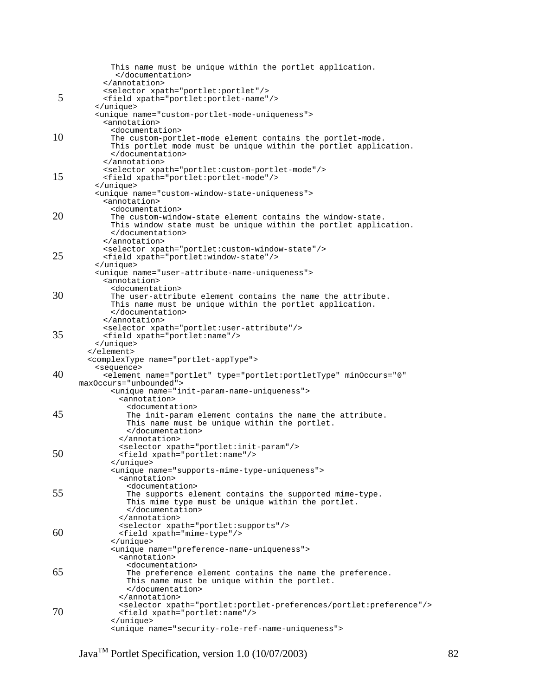|    | This name must be unique within the portlet application.<br><br>                                                                   |
|----|------------------------------------------------------------------------------------------------------------------------------------|
| 5  | <selector xpath="portlet:portlet"></selector><br><field xpath="portlet:portlet-name"></field>                                      |
|    | <br><unique name="custom-portlet-mode-uniqueness"><br/><annotation></annotation></unique>                                          |
|    | <documentation></documentation>                                                                                                    |
| 10 | The custom-portlet-mode element contains the portlet-mode.<br>This portlet mode must be unique within the portlet application.<br> |
|    |                                                                                                                                    |
| 15 | <selector xpath="portlet:custom-portlet-mode"></selector>                                                                          |
|    | <field xpath="portlet:portlet-mode"></field><br>                                                                                   |
|    | <unique name="custom-window-state-uniqueness"></unique>                                                                            |
|    | <annotation></annotation>                                                                                                          |
|    | <documentation></documentation>                                                                                                    |
| 20 | The custom-window-state element contains the window-state.                                                                         |
|    | This window state must be unique within the portlet application.<br>                                                               |
|    | <br><selector xpath="portlet: custom-window-state"></selector>                                                                     |
| 25 | <field xpath="portlet:window-state"></field>                                                                                       |
|    |                                                                                                                                    |
|    | <unique name="user-attribute-name-uniqueness"><br/><annotation></annotation></unique>                                              |
|    | <documentation></documentation>                                                                                                    |
| 30 | The user-attribute element contains the name the attribute.                                                                        |
|    | This name must be unique within the portlet application.                                                                           |
|    |                                                                                                                                    |
|    |                                                                                                                                    |
| 35 | <selector xpath="portlet:user-attribute"></selector>                                                                               |
|    | <field xpath="portlet:name"></field><br>                                                                                           |
|    |                                                                                                                                    |
|    | <complextype name="portlet-appType"></complextype>                                                                                 |
|    | <sequence></sequence>                                                                                                              |
| 40 | <element <="" minoccurs="0" name="portlet" th="" type="portlet:portletType"></element>                                             |
|    | maxOccurs="unbounded"><br><unique name="init-param-name-uniqueness"></unique>                                                      |
|    | <annotation></annotation>                                                                                                          |
|    | <documentation></documentation>                                                                                                    |
| 45 | The init-param element contains the name the attribute.                                                                            |
|    | This name must be unique within the portlet.                                                                                       |
|    |                                                                                                                                    |
|    |                                                                                                                                    |
| 50 | <selector xpath="portlet:init-param"></selector><br><field xpath="portlet:name"></field>                                           |
|    |                                                                                                                                    |
|    | <unique name="supports-mime-type-uniqueness"></unique>                                                                             |
|    | <annotation></annotation>                                                                                                          |
|    | <documentation></documentation>                                                                                                    |
| 55 | The supports element contains the supported mime-type.                                                                             |
|    | This mime type must be unique within the portlet.                                                                                  |
|    | <br>                                                                                                                               |
|    | <selector xpath="portlet:supports"></selector>                                                                                     |
| 60 | <field xpath="mime-type"></field>                                                                                                  |
|    |                                                                                                                                    |
|    | <unique name="preference-name-uniqueness"></unique>                                                                                |
|    | <annotation></annotation>                                                                                                          |
|    | <documentation></documentation>                                                                                                    |
| 65 | The preference element contains the name the preference.                                                                           |
|    | This name must be unique within the portlet.                                                                                       |
|    | <br>                                                                                                                               |
|    | <selector xpath="portlet:portlet-preferences/portlet:preference"></selector>                                                       |
| 70 | <field xpath="portlet:name"></field>                                                                                               |
|    |                                                                                                                                    |
|    | <unique name="security-role-ref-name-uniqueness"></unique>                                                                         |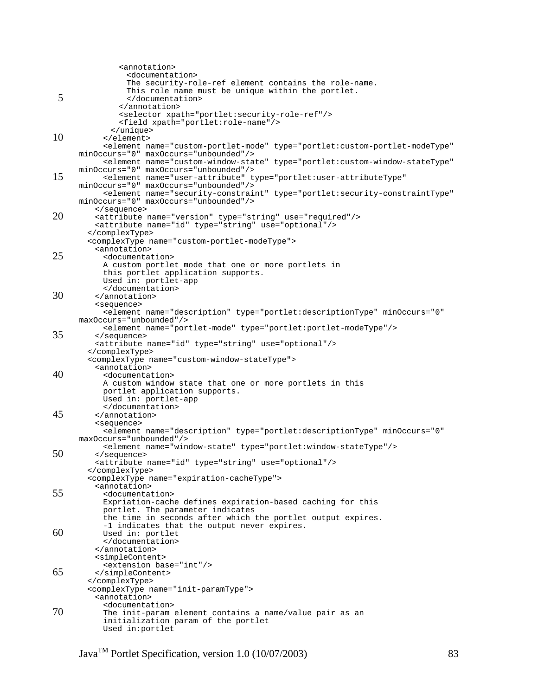|    | <annotation></annotation>                                                                        |
|----|--------------------------------------------------------------------------------------------------|
|    | <documentation></documentation>                                                                  |
|    | The security-role-ref element contains the role-name.                                            |
| 5  | This role name must be unique within the portlet.                                                |
|    |                                                                                                  |
|    | <br><selector xpath="portlet:security-role-ref"></selector>                                      |
|    | <field xpath="portlet:role-name"></field>                                                        |
|    |                                                                                                  |
| 10 |                                                                                                  |
|    | <element <="" name="custom-portlet-mode" th="" type="portlet:custom-portlet-modeType"></element> |
|    | minOccurs="0" maxOccurs="unbounded"/>                                                            |
|    | <element <="" name="custom-window-state" th="" type="portlet:custom-window-stateType"></element> |
|    | minOccurs="0" maxOccurs="unbounded"/>                                                            |
| 15 | <element <="" name="user-attribute" th="" type="portlet:user-attributeType"></element>           |
|    | minOccurs="0" maxOccurs="unbounded"/>                                                            |
|    | <element <="" name="security-constraint" th="" type="portlet:security-constraintType"></element> |
|    | $minOccurs="0" maxOccurs="unbounded*/>$                                                          |
|    |                                                                                                  |
| 20 | <attribute name="version" type="string" use="required"></attribute>                              |
|    | <attribute name="id" type="string" use="optional"></attribute>                                   |
|    |                                                                                                  |
|    | <complextype name="custom-portlet-modeType"></complextype>                                       |
| 25 | <annotation></annotation>                                                                        |
|    | <documentation></documentation>                                                                  |
|    | A custom portlet mode that one or more portlets in                                               |
|    | this portlet application supports.<br>Used in: portlet-app                                       |
|    |                                                                                                  |
| 30 |                                                                                                  |
|    | <sequence></sequence>                                                                            |
|    | <element <="" minoccurs="0" name="description" th="" type="portlet:descriptionType"></element>   |
|    | $maxOccurs="unbounded"$                                                                          |
|    | <element name="portlet-mode" type="portlet:portlet-modeType"></element>                          |
| 35 |                                                                                                  |
|    | <attribute name="id" type="string" use="optional"></attribute>                                   |
|    |                                                                                                  |
|    | <complextype name="custom-window-stateType"></complextype>                                       |
|    | <annotation></annotation>                                                                        |
| 40 | <documentation></documentation>                                                                  |
|    | A custom window state that one or more portlets in this                                          |
|    | portlet application supports.                                                                    |
|    | Used in: portlet-app                                                                             |
| 45 | <br>                                                                                             |
|    | <sequence></sequence>                                                                            |
|    | <element <="" minoccurs="0" name="description" th="" type="portlet:descriptionType"></element>   |
|    | maxOccurs="unbounded"/>                                                                          |
|    | <element name="window-state" type="portlet:window-stateType"></element>                          |
| 50 |                                                                                                  |
|    | <attribute name="id" type="string" use="optional"></attribute>                                   |
|    |                                                                                                  |
|    | <complextype name="expiration-cacheType"></complextype>                                          |
|    | <annotation></annotation>                                                                        |
| 55 | <documentation></documentation>                                                                  |
|    | Expriation-cache defines expiration-based caching for this                                       |
|    | portlet. The parameter indicates                                                                 |
|    | the time in seconds after which the portlet output expires.                                      |
|    | -1 indicates that the output never expires.                                                      |
| 60 | Used in: portlet                                                                                 |
|    |                                                                                                  |
|    |                                                                                                  |
|    | <simplecontent></simplecontent>                                                                  |
| 65 | <extension base="int"></extension>                                                               |
|    |                                                                                                  |
|    | <br><complextype name="init-paramType"></complextype>                                            |
|    | <annotation></annotation>                                                                        |
|    | <documentation></documentation>                                                                  |
| 70 | The init-param element contains a name/value pair as an                                          |
|    | initialization param of the portlet                                                              |
|    | Used in: portlet                                                                                 |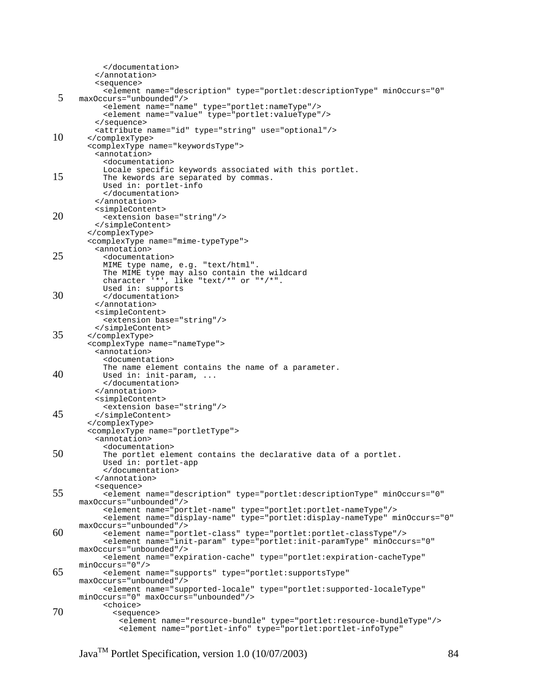```
</documentation>
        </annotation>
         <sequence>
          <element name="description" type="portlet:descriptionType" minOccurs="0"
 5 maxOccurs="unbounded"/>
          <element name="name" type="portlet:nameType"/>
          <element name="value" type="portlet:valueType"/>
        </sequence>
        <attribute name="id" type="string" use="optional"/>
10 </complexType>
       <complexType name="keywordsType">
        <annotation>
          <documentation>
          Locale specific keywords associated with this portlet.
15 The kewords are separated by commas.
          Used in: portlet-info
          </documentation>
        </annotation>
20 - Englevenium base="string"/>
        </simpleContent>
       </complexType>
       <complexType name="mime-typeType">
        <annotation>
25 <documentation>
          MIME type name, e.g. "text/html".
          The MIME type may also contain the wildcard
          character '*', like "text/*" or "*/*".
Used in: supports 30 </documentation>
        </annotation>
        <simpleContent>
          <extension base="string"/>
        </simpleContent>
35 </complexType>
       <complexType name="nameType">
        <annotation>
          <documentation>
          The name element contains the name of a parameter.
40 Used in: init-param, ...
          </documentation>
        </annotation>
        <simpleContent>
          <extension base="string"/>
45 </simpleContent>
       </complexType>
       <complexType name="portletType">
        <annotation>
          <documentation>
50 The portlet element contains the declarative data of a portlet.
          Used in: portlet-app
          </documentation>
        </annotation>
55 <element name="description" type="portlet:descriptionType" minOccurs="0"
     maxOccurs="unbounded"/>
          <element name="portlet-name" type="portlet:portlet-nameType"/>
          <element name="display-name" type="portlet:display-nameType" minOccurs="0"
     maxOccurs="unbounded"/>
60 <element name="portlet-class" type="portlet:portlet-classType"/>
          <element name="init-param" type="portlet:init-paramType" minOccurs="0"
     maxOccurs="unbounded"/>
          <element name="expiration-cache" type="portlet:expiration-cacheType"
     minOccurs="0"/>
65 <element name="supports" type="portlet:supportsType"
     maxOccurs="unbounded"/>
          <element name="supported-locale" type="portlet:supported-localeType"
     minOccurs="0" maxOccurs="unbounded"/>
          <choice>
70 <sequence>
             <element name="resource-bundle" type="portlet:resource-bundleType"/>
             <element name="portlet-info" type="portlet:portlet-infoType"
```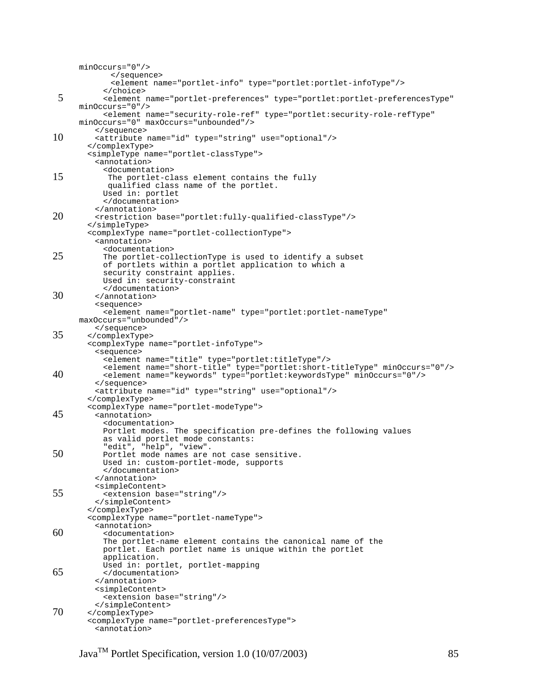|    | $minOccurs = "0"$                                                                                                        |
|----|--------------------------------------------------------------------------------------------------------------------------|
|    |                                                                                                                          |
|    | <element name="portlet-info" type="portlet:portlet-infoType"></element>                                                  |
| 5  |                                                                                                                          |
|    | <element <br="" name="portlet-preferences" type="portlet:portlet-preferencesType"><math>minOccurs = "0"</math></element> |
|    | <element <="" name="security-role-ref" td="" type="portlet:security-role-refType"></element>                             |
|    | minOccurs="0" maxOccurs="unbounded"/>                                                                                    |
| 10 | <br><attribute name="id" type="string" use="optional"></attribute>                                                       |
|    |                                                                                                                          |
|    | <simpletype name="portlet-classType"></simpletype>                                                                       |
|    | <annotation></annotation>                                                                                                |
| 15 | <documentation><br/>The portlet-class element contains the fully</documentation>                                         |
|    | qualified class name of the portlet.                                                                                     |
|    | Used in: portlet                                                                                                         |
|    |                                                                                                                          |
| 20 | <br><restriction base="portlet:fully-qualified-classType"></restriction>                                                 |
|    |                                                                                                                          |
|    | <complextype name="portlet-collectionType"></complextype>                                                                |
|    | <annotation><br/><documentation></documentation></annotation>                                                            |
| 25 | The portlet-collectionType is used to identify a subset                                                                  |
|    | of portlets within a portlet application to which a                                                                      |
|    | security constraint applies.                                                                                             |
|    | Used in: security-constraint<br>                                                                                         |
| 30 |                                                                                                                          |
|    | <sequence></sequence>                                                                                                    |
|    | <element <="" name="portlet-name" td="" type="portlet:portlet-nameType"></element>                                       |
|    | maxOccurs="unbounded"/><br>                                                                                              |
| 35 |                                                                                                                          |
|    | <complextype name="portlet-infoType"></complextype>                                                                      |
|    | <sequence><br/><element name="title" type="portlet:titleType"></element></sequence>                                      |
|    | <element minoccurs="0" name="short-title" type="portlet:short-titleType"></element>                                      |
| 40 | <element minoccurs="0" name="keywords" type="portlet:keywordsType"></element>                                            |
|    | <br><attribute name="id" type="string" use="optional"></attribute>                                                       |
|    |                                                                                                                          |
|    | <complextype name="portlet-modeType"></complextype>                                                                      |
| 45 | <annotation></annotation>                                                                                                |
|    | <documentation><br/>Portlet modes. The specification pre-defines the following values</documentation>                    |
|    | as valid portlet mode constants:                                                                                         |
|    | "edit", "help", "view".                                                                                                  |
| 50 | Portlet mode names are not case sensitive.<br>Used in: custom-portlet-mode, supports                                     |
|    |                                                                                                                          |
|    |                                                                                                                          |
| 55 | <simplecontent></simplecontent>                                                                                          |
|    | <extension base="string"></extension><br>                                                                                |
|    |                                                                                                                          |
|    | <complextype name="portlet-nameType"></complextype>                                                                      |
| 60 | <annotation><br/><documentation></documentation></annotation>                                                            |
|    | The portlet-name element contains the canonical name of the                                                              |
|    | portlet. Each portlet name is unique within the portlet                                                                  |
|    | application.                                                                                                             |
| 65 | Used in: portlet, portlet-mapping<br>                                                                                    |
|    |                                                                                                                          |
|    | <simplecontent></simplecontent>                                                                                          |
|    | <extension base="string"></extension>                                                                                    |
| 70 | <br>                                                                                                                     |
|    | <complextype name="portlet-preferencesType"></complextype>                                                               |
|    | <annotation></annotation>                                                                                                |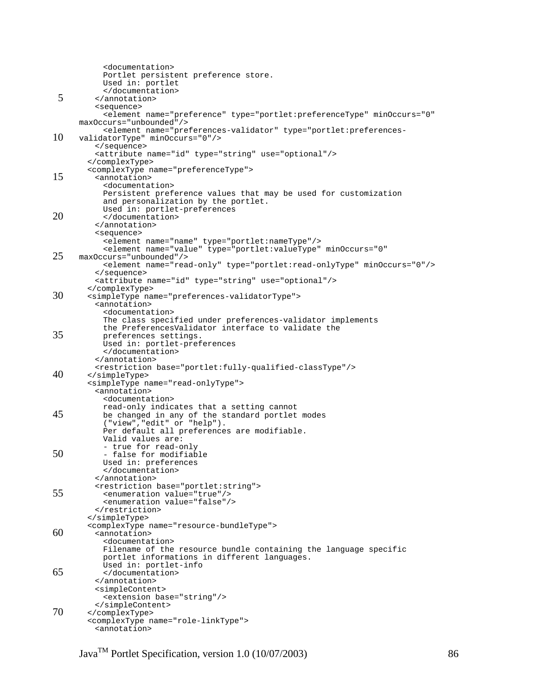|    | <documentation></documentation>                                                                                                                                          |
|----|--------------------------------------------------------------------------------------------------------------------------------------------------------------------------|
|    | Portlet persistent preference store.                                                                                                                                     |
|    | Used in: portlet                                                                                                                                                         |
| 5  |                                                                                                                                                                          |
|    |                                                                                                                                                                          |
|    | <sequence></sequence>                                                                                                                                                    |
|    | <element <br="" minoccurs="0" name="preference" type="portlet:preferenceType">maxOccurs="unbounded"/&gt;</element>                                                       |
|    | <element minoccurs="0" name="preferences-validator" type="portlet:preferences-&lt;/th&gt;&lt;/tr&gt;&lt;tr&gt;&lt;th&gt;10&lt;/th&gt;&lt;th&gt;validatorType"></element> |
|    |                                                                                                                                                                          |
|    | <attribute name="id" type="string" use="optional"></attribute>                                                                                                           |
|    |                                                                                                                                                                          |
|    | <complextype name="preferenceType"></complextype>                                                                                                                        |
| 15 | <annotation></annotation>                                                                                                                                                |
|    | <documentation></documentation>                                                                                                                                          |
|    | Persistent preference values that may be used for customization                                                                                                          |
|    | and personalization by the portlet.                                                                                                                                      |
|    | Used in: portlet-preferences                                                                                                                                             |
| 20 |                                                                                                                                                                          |
|    |                                                                                                                                                                          |
|    | <sequence></sequence>                                                                                                                                                    |
|    | <element name="name" type="portlet:nameType"></element>                                                                                                                  |
|    | <element <="" minoccurs="0" name="value" th="" type="portlet:valueType"></element>                                                                                       |
| 25 | maxOccurs="unbounded"/>                                                                                                                                                  |
|    | <element minoccurs="0" name="read-only" type="portlet:read-onlyType"></element>                                                                                          |
|    |                                                                                                                                                                          |
|    | <attribute name="id" type="string" use="optional"></attribute>                                                                                                           |
| 30 |                                                                                                                                                                          |
|    | <simpletype name="preferences-validatorType"><br/><annotation></annotation></simpletype>                                                                                 |
|    | <documentation></documentation>                                                                                                                                          |
|    | The class specified under preferences-validator implements                                                                                                               |
|    | the PreferencesValidator interface to validate the                                                                                                                       |
| 35 | preferences settings.                                                                                                                                                    |
|    | Used in: portlet-preferences                                                                                                                                             |
|    |                                                                                                                                                                          |
|    |                                                                                                                                                                          |
|    | <restriction base="portlet:fully-qualified-classType"></restriction>                                                                                                     |
| 40 |                                                                                                                                                                          |
|    | <simpletype name="read-onlyType"></simpletype>                                                                                                                           |
|    | <annotation><br/><documentation></documentation></annotation>                                                                                                            |
|    | read-only indicates that a setting cannot                                                                                                                                |
| 45 | be changed in any of the standard portlet modes                                                                                                                          |
|    | ("view","edit" or "help").                                                                                                                                               |
|    | Per default all preferences are modifiable.                                                                                                                              |
|    | Valid values are:                                                                                                                                                        |
|    | - true for read-only                                                                                                                                                     |
| 50 | - false for modifiable                                                                                                                                                   |
|    | Used in: preferences                                                                                                                                                     |
|    |                                                                                                                                                                          |
|    |                                                                                                                                                                          |
|    | <restriction base="portlet:string"></restriction>                                                                                                                        |
| 55 | <enumeration value="true"></enumeration>                                                                                                                                 |
|    | <enumeration value="false"></enumeration>                                                                                                                                |
|    |                                                                                                                                                                          |
|    |                                                                                                                                                                          |
| 60 | <complextype name="resource-bundleType"><br/><annotation></annotation></complextype>                                                                                     |
|    | <documentation></documentation>                                                                                                                                          |
|    | Filename of the resource bundle containing the language specific                                                                                                         |
|    | portlet informations in different languages.                                                                                                                             |
|    | Used in: portlet-info                                                                                                                                                    |
| 65 |                                                                                                                                                                          |
|    |                                                                                                                                                                          |
|    | <simplecontent></simplecontent>                                                                                                                                          |
|    | <extension base="string"></extension>                                                                                                                                    |
|    |                                                                                                                                                                          |
| 70 |                                                                                                                                                                          |
|    | <complextype name="role-linkType"></complextype>                                                                                                                         |
|    | <annotation></annotation>                                                                                                                                                |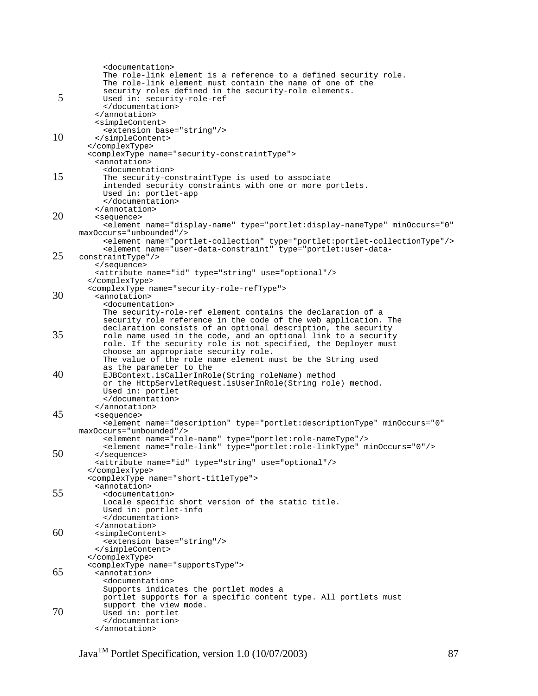|    | <documentation></documentation>                                                                  |
|----|--------------------------------------------------------------------------------------------------|
|    | The role-link element is a reference to a defined security role.                                 |
|    | The role-link element must contain the name of one of the                                        |
| 5  | security roles defined in the security-role elements.                                            |
|    | Used in: security-role-ref                                                                       |
|    |                                                                                                  |
|    |                                                                                                  |
|    | <simplecontent></simplecontent>                                                                  |
| 10 | <extension base="string"></extension>                                                            |
|    | <br>                                                                                             |
|    | <complextype name="security-constraintType"></complextype>                                       |
|    | <annotation></annotation>                                                                        |
|    | <documentation></documentation>                                                                  |
| 15 | The security-constraintType is used to associate                                                 |
|    | intended security constraints with one or more portlets.                                         |
|    | Used in: portlet-app                                                                             |
|    |                                                                                                  |
|    |                                                                                                  |
| 20 | <sequence></sequence>                                                                            |
|    | <element <="" minoccurs="0" name="display-name" th="" type="portlet:display-nameType"></element> |
|    | maxOccurs="unbounded"/>                                                                          |
|    | <element name="portlet-collection" type="portlet:portlet-collectionType"></element>              |
|    | <element id"="" name="user-data-constraint" type="string" use="optional"></element>              |
|    |                                                                                                  |
| 30 | <complextype name="security-role-refType"></complextype>                                         |
|    | <annotation><br/><documentation></documentation></annotation>                                    |
|    | The security-role-ref element contains the declaration of a                                      |
|    | security role reference in the code of the web application. The                                  |
|    | declaration consists of an optional description, the security                                    |
| 35 | role name used in the code, and an optional link to a security                                   |
|    | role. If the security role is not specified, the Deployer must                                   |
|    | choose an appropriate security role.                                                             |
|    | The value of the role name element must be the String used                                       |
|    | as the parameter to the                                                                          |
| 40 | EJBContext.isCallerInRole(String roleName) method                                                |
|    | or the HttpServletRequest.isUserInRole(String role) method.                                      |
|    | Used in: portlet                                                                                 |
|    |                                                                                                  |
| 45 | <br><sequence></sequence>                                                                        |
|    | <element <="" minoccurs="0" name="description" th="" type="portlet:descriptionType"></element>   |
|    | maxOccurs="unbounded"/>                                                                          |
|    | <element name="role-name" type="portlet:role-nameType"></element>                                |
|    | <element minoccurs="0" name="role-link" type="portlet:role-linkType"></element>                  |
| 50 |                                                                                                  |
|    | <attribute name="id" type="string" use="optional"></attribute>                                   |
|    |                                                                                                  |
|    | <complextype name="short-titleType"></complextype>                                               |
|    | <annotation></annotation>                                                                        |
| 55 | <documentation></documentation>                                                                  |
|    | Locale specific short version of the static title.                                               |
|    | Used in: portlet-info                                                                            |
|    |                                                                                                  |
| 60 |                                                                                                  |
|    | <simplecontent></simplecontent>                                                                  |
|    | <extension base="string"></extension>                                                            |
|    |                                                                                                  |
|    | <br><complextype name="supportsType"></complextype>                                              |
| 65 | <annotation></annotation>                                                                        |
|    | <documentation></documentation>                                                                  |
|    | Supports indicates the portlet modes a                                                           |
|    | portlet supports for a specific content type. All portlets must                                  |
|    | support the view mode.                                                                           |
| 70 | Used in: portlet                                                                                 |
|    |                                                                                                  |
|    |                                                                                                  |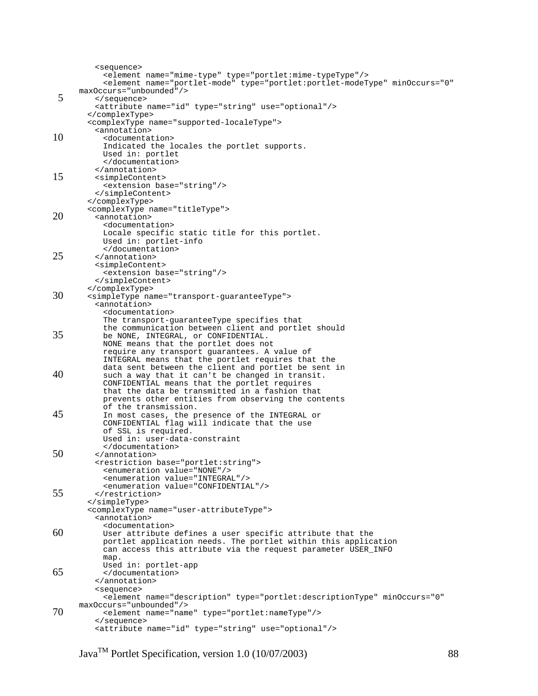|    | <sequence></sequence>                                                                                                  |
|----|------------------------------------------------------------------------------------------------------------------------|
|    | <element name="mime-type" type="portlet:mime-typeType"></element>                                                      |
|    | <element <br="" minoccurs="0" name="portlet-mode" type="portlet:portlet-modeType">maxOccurs="unbounded"/&gt;</element> |
| 5  |                                                                                                                        |
|    | <attribute name="id" type="string" use="optional"></attribute>                                                         |
|    |                                                                                                                        |
|    | <complextype name="supported-localeType"></complextype>                                                                |
| 10 | <annotation></annotation>                                                                                              |
|    | <documentation><br/>Indicated the locales the portlet supports.</documentation>                                        |
|    | Used in: portlet                                                                                                       |
|    |                                                                                                                        |
|    |                                                                                                                        |
| 15 | <simplecontent></simplecontent>                                                                                        |
|    | <extension base="string"></extension>                                                                                  |
|    | <br>                                                                                                                   |
|    | <complextype name="titleType"></complextype>                                                                           |
| 20 | <annotation></annotation>                                                                                              |
|    | <documentation></documentation>                                                                                        |
|    | Locale specific static title for this portlet.                                                                         |
|    | Used in: portlet-info<br>                                                                                              |
| 25 |                                                                                                                        |
|    | <simplecontent></simplecontent>                                                                                        |
|    | <extension base="string"></extension>                                                                                  |
|    | <br>                                                                                                                   |
| 30 | <simpletype name="transport-guaranteeType"></simpletype>                                                               |
|    | <annotation></annotation>                                                                                              |
|    | <documentation></documentation>                                                                                        |
|    | The transport-guaranteeType specifies that<br>the communication between client and portlet should                      |
| 35 | be NONE, INTEGRAL, or CONFIDENTIAL.                                                                                    |
|    | NONE means that the portlet does not                                                                                   |
|    | require any transport guarantees. A value of                                                                           |
|    | INTEGRAL means that the portlet requires that the                                                                      |
| 40 | data sent between the client and portlet be sent in<br>such a way that it can't be changed in transit.                 |
|    | CONFIDENTIAL means that the portlet requires                                                                           |
|    | that the data be transmitted in a fashion that                                                                         |
|    | prevents other entities from observing the contents                                                                    |
| 45 | of the transmission.                                                                                                   |
|    | In most cases, the presence of the INTEGRAL or<br>CONFIDENTIAL flag will indicate that the use                         |
|    | of SSL is required.                                                                                                    |
|    | Used in: user-data-constraint                                                                                          |
|    |                                                                                                                        |
| 50 | <br><restriction base="portlet:string"></restriction>                                                                  |
|    | <enumeration value="NONE"></enumeration>                                                                               |
|    | <enumeration value="INTEGRAL"></enumeration>                                                                           |
|    | <enumeration value="CONFIDENTIAL"></enumeration>                                                                       |
| 55 |                                                                                                                        |
|    | <br><complextype name="user-attributeType"></complextype>                                                              |
|    | <annotation></annotation>                                                                                              |
|    | <documentation></documentation>                                                                                        |
| 60 | User attribute defines a user specific attribute that the                                                              |
|    | portlet application needs. The portlet within this application                                                         |
|    | can access this attribute via the request parameter USER_INFO                                                          |
|    | map.<br>Used in: portlet-app                                                                                           |
| 65 |                                                                                                                        |
|    |                                                                                                                        |
|    | <sequence></sequence>                                                                                                  |
|    | <element <br="" minoccurs="0" name="description" type="portlet:descriptionType">maxOccurs="unbounded"/&gt;</element>   |
| 70 | <element name="name" type="portlet:nameType"></element>                                                                |
|    |                                                                                                                        |
|    | <attribute name="id" type="string" use="optional"></attribute>                                                         |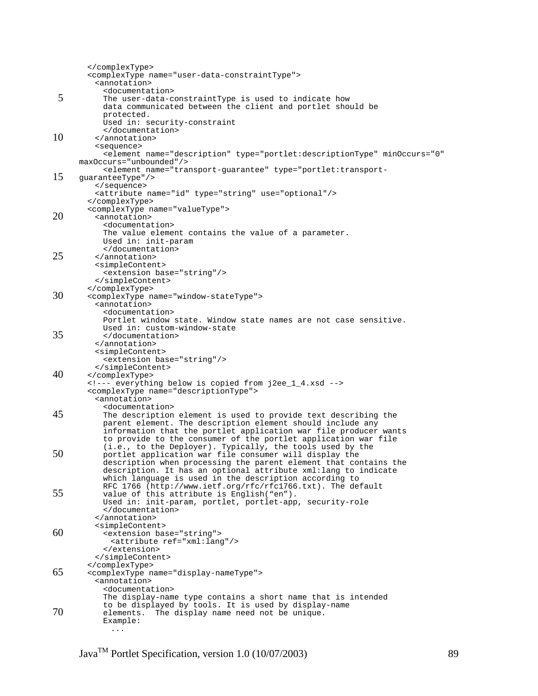|    | <complextype name="user-data-constraintType"><br/><annotation></annotation></complextype>                                                                |
|----|----------------------------------------------------------------------------------------------------------------------------------------------------------|
|    | <documentation></documentation>                                                                                                                          |
| 5  | The user-data-constraintType is used to indicate how                                                                                                     |
|    | data communicated between the client and portlet should be<br>protected.                                                                                 |
|    | Used in: security-constraint                                                                                                                             |
|    |                                                                                                                                                          |
| 10 |                                                                                                                                                          |
|    | <sequence><br/><element <="" minoccurs="0" name="description" th="" type="portlet:descriptionType"></element></sequence>                                 |
|    | $maxOccurs="unbounded"$                                                                                                                                  |
| 15 | <element name="transport-quarantee" type="portlet:transport-&lt;/th&gt;&lt;/tr&gt;&lt;tr&gt;&lt;th&gt;&lt;/th&gt;&lt;th&gt;quaranteeType"></element><br> |
|    | <attribute name="id" type="string" use="optional"></attribute>                                                                                           |
|    |                                                                                                                                                          |
| 20 | <complextype name="valueType"><br/><annotation></annotation></complextype>                                                                               |
|    | <documentation></documentation>                                                                                                                          |
|    | The value element contains the value of a parameter.                                                                                                     |
|    | Used in: init-param<br>                                                                                                                                  |
| 25 |                                                                                                                                                          |
|    | <simplecontent></simplecontent>                                                                                                                          |
|    | <extension base="string"></extension><br>                                                                                                                |
|    |                                                                                                                                                          |
| 30 | <complextype name="window-stateType"></complextype>                                                                                                      |
|    | <annotation><br/><documentation></documentation></annotation>                                                                                            |
|    | Portlet window state. Window state names are not case sensitive.                                                                                         |
|    | Used in: custom-window-state                                                                                                                             |
| 35 | <br>                                                                                                                                                     |
|    | <simplecontent></simplecontent>                                                                                                                          |
|    | <extension base="string"></extension>                                                                                                                    |
| 40 | <br>                                                                                                                                                     |
|    | - everything below is copied from j2ee_1_4.xsd                                                                                                           |
|    | <complextype name="descriptionType"></complextype>                                                                                                       |
|    | <annotation><br/><documentation></documentation></annotation>                                                                                            |
| 45 | The description element is used to provide text describing the                                                                                           |
|    | parent element. The description element should include any                                                                                               |
|    | information that the portlet application war file producer wants                                                                                         |
|    | to provide to the consumer of the portlet application war file<br>(i.e., to the Deployer). Typically, the tools used by the                              |
| 50 | portlet application war file consumer will display the                                                                                                   |
|    | description when processing the parent element that contains the                                                                                         |
|    | description. It has an optional attribute xml: lang to indicate<br>which language is used in the description according to                                |
|    | RFC 1766 (http://www.ietf.org/rfc/rfc1766.txt). The default                                                                                              |
| 55 | value of this attribute is English("en").                                                                                                                |
|    | Used in: init-param, portlet, portlet-app, security-role<br>                                                                                             |
|    |                                                                                                                                                          |
| 60 | <simplecontent></simplecontent>                                                                                                                          |
|    | <extension base="string"><br/><attribute ref="xml:lang"></attribute></extension>                                                                         |
|    |                                                                                                                                                          |
|    |                                                                                                                                                          |
| 65 | <br><complextype name="display-nameType"></complextype>                                                                                                  |
|    | <annotation></annotation>                                                                                                                                |
|    | <documentation></documentation>                                                                                                                          |
|    | The display-name type contains a short name that is intended<br>to be displayed by tools. It is used by display-name                                     |
| 70 | The display name need not be unique.<br>elements.                                                                                                        |
|    | Example:                                                                                                                                                 |
|    | $\cdots$                                                                                                                                                 |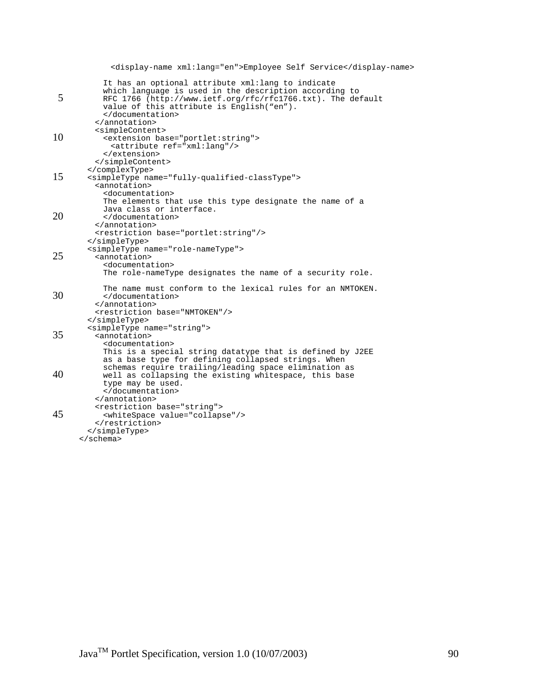|    | <display-name xml:lang="en">Employee Self Service</display-name> |
|----|------------------------------------------------------------------|
|    | It has an optional attribute xml: lang to indicate               |
|    | which language is used in the description according to           |
| 5  | RFC 1766 (http://www.ietf.org/rfc/rfc1766.txt). The default      |
|    | value of this attribute is English("en").                        |
|    |                                                                  |
|    |                                                                  |
|    | <simplecontent></simplecontent>                                  |
| 10 | <extension base="portlet:string"></extension>                    |
|    | <attribute ref="xml:lang"></attribute>                           |
|    |                                                                  |
|    |                                                                  |
|    |                                                                  |
| 15 | <simpletype name="fully-qualified-classType"></simpletype>       |
|    | <annotation></annotation>                                        |
|    | <documentation></documentation>                                  |
|    | The elements that use this type designate the name of a          |
|    | Java class or interface.                                         |
| 20 |                                                                  |
|    |                                                                  |
|    | <restriction base="portlet:string"></restriction>                |
|    |                                                                  |
|    | <simpletype name="role-nameType"></simpletype>                   |
| 25 | <annotation></annotation>                                        |
|    | <documentation></documentation>                                  |
|    | The role-nameType designates the name of a security role.        |
|    |                                                                  |
|    | The name must conform to the lexical rules for an NMTOKEN.       |
| 30 |                                                                  |
|    |                                                                  |
|    | <restriction base="NMTOKEN"></restriction>                       |
|    |                                                                  |
|    | <simpletype name="string"></simpletype>                          |
| 35 | <annotation></annotation>                                        |
|    | <documentation></documentation>                                  |
|    | This is a special string datatype that is defined by J2EE        |
|    | as a base type for defining collapsed strings. When              |
|    | schemas require trailing/leading space elimination as            |
| 40 | well as collapsing the existing whitespace, this base            |
|    | type may be used.                                                |
|    |                                                                  |
|    |                                                                  |
|    | <restriction base="string"></restriction>                        |
| 45 | <whitespace value="collapse"></whitespace>                       |
|    |                                                                  |
|    |                                                                  |
|    |                                                                  |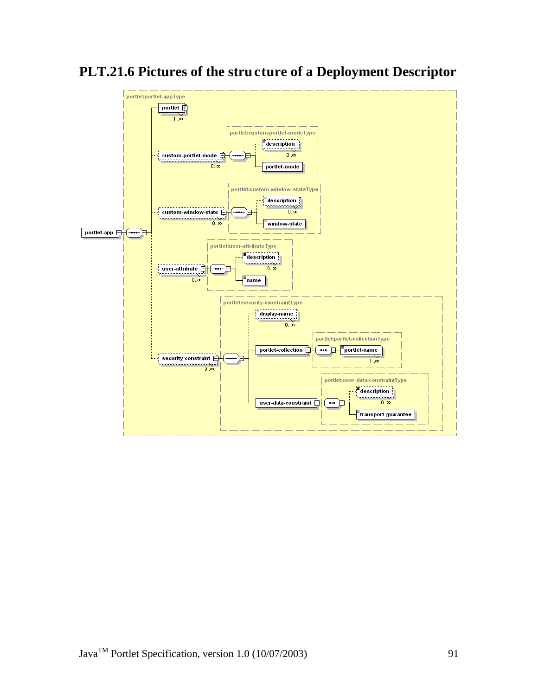

# **PLT.21.6 Pictures of the stru cture of a Deployment Descriptor**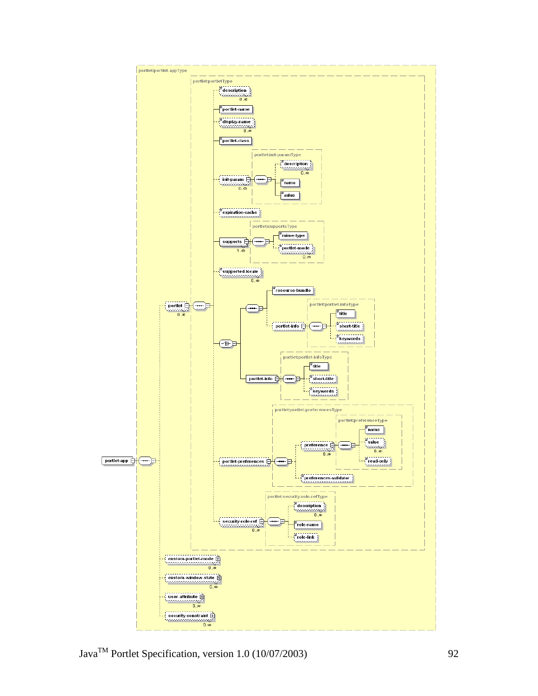

JavaTM Portlet Specification, version 1.0 (10/07/2003) 92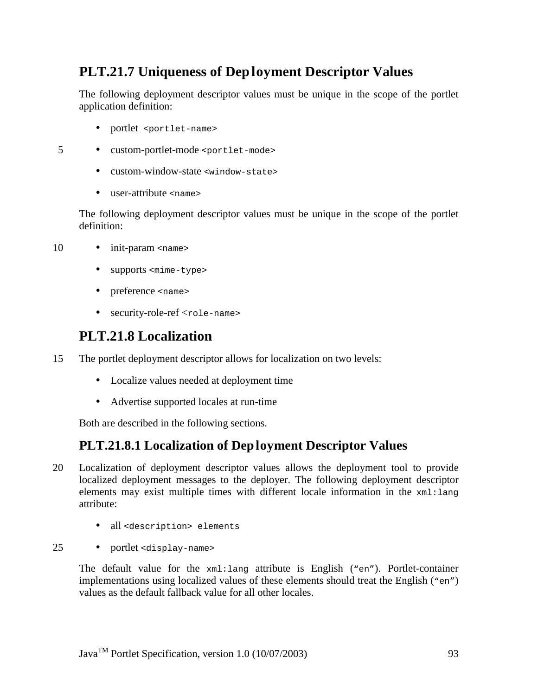# **PLT.21.7 Uniqueness of Dep loyment Descriptor Values**

The following deployment descriptor values must be unique in the scope of the portlet application definition:

- portlet <portlet-name>
- 
- 5 custom-portlet-mode <portlet-mode>
	- custom-window-state <window-state>
	- $\bullet$  user-attribute  $\leq$ name $\geq$

The following deployment descriptor values must be unique in the scope of the portlet definition:

- 
- 10 init-param <name>
	- supports <mime-type>
	- preference <name>
	- security-role-ref <role-name>

# **PLT.21.8 Localization**

- 15 The portlet deployment descriptor allows for localization on two levels:
	- Localize values needed at deployment time
	- Advertise supported locales at run-time

Both are described in the following sections.

#### **PLT.21.8.1 Localization of Deployment Descriptor Values**

- 20 Localization of deployment descriptor values allows the deployment tool to provide localized deployment messages to the deployer. The following deployment descriptor elements may exist multiple times with different locale information in the  $xml:lang$ attribute:
	- all <description> elements
- 25 portlet <display-name>

The default value for the xml:lang attribute is English ("en"). Portlet-container implementations using localized values of these elements should treat the English ( $"en"$ ) values as the default fallback value for all other locales.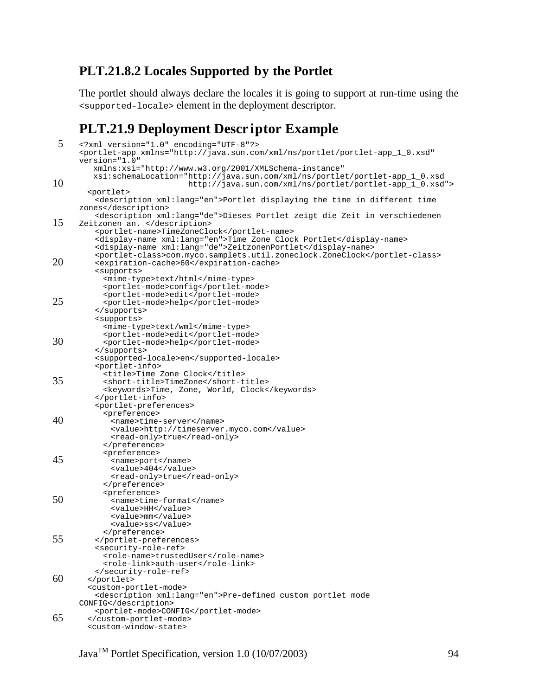#### **PLT.21.8.2 Locales Supported by the Portlet**

The portlet should always declare the locales it is going to support at run-time using the <supported-locale> element in the deployment descriptor.

#### **PLT.21.9 Deployment Descr iptor Example**

```
5 <?xml version="1.0" encoding="UTF-8"?>
      <portlet-app xmlns="http://java.sun.com/xml/ns/portlet/portlet-app_1_0.xsd"
     version="1.0"
        xmlns:xsi="http://www.w3.org/2001/XMLSchema-instance"
xsi:schemaLocation="http://java.sun.com/xml/ns/portlet/portlet-app_1_0.xsd
10 http://java.sun.com/xml/ns/portlet/portlet-app_1_0.xsd">
       <portlet>
         <description xml:lang="en">Portlet displaying the time in different time
     zones</description>
         <description xml:lang="de">Dieses Portlet zeigt die Zeit in verschiedenen
15 Zeitzonen an. </description>
         <portlet-name>TimeZoneClock</portlet-name>
         <display-name xml:lang="en">Time Zone Clock Portlet</display-name>
         <display-name xml:lang="de">ZeitzonenPortlet</display-name>
<portlet-class>com.myco.samplets.util.zoneclock.ZoneClock</portlet-class> 20 <expiration-cache>60</expiration-cache>
         <supports>
           <mime-type>text/html</mime-type>
           <portlet-mode>config</portlet-mode>
           <portlet-mode>edit</portlet-mode>
25 <portlet-mode>help</portlet-mode>
         </supports>
         <supports>
           <mime-type>text/wml</mime-type>
           <portlet-mode>edit</portlet-mode>
30 <portlet-mode>help</portlet-mode>
         </supports>
         <supported-locale>en</supported-locale>
         <portlet-info>
           <title>Time Zone Clock</title>
35 <short-title>TimeZone</short-title>
           <keywords>Time, Zone, World, Clock</keywords>
         </portlet-info>
         <portlet-preferences>
           <preference>
40 <name>time-server</name>
            <value>http://timeserver.myco.com</value>
            <read-only>true</read-only>
           </preference>
           <preference>
45 <name>port</name>
            <value>404</value>
            <read-only>true</read-only>
           </preference>
           <preference>
50 channe>time-format</name>
            <value>HH</value>
            <value>mm</value>
            <value>ss</value>
           </preference>
55 </portlet-preferences>
         <security-role-ref>
           <role-name>trustedUser</role-name>
           <role-link>auth-user</role-link>
         </security-role-ref>
60 </portlet>
       <custom-portlet-mode>
         <description xml:lang="en">Pre-defined custom portlet mode
     CONFIG</description>
         <portlet-mode>CONFIG</portlet-mode>
65 </custom-portlet-mode>
       <custom-window-state>
```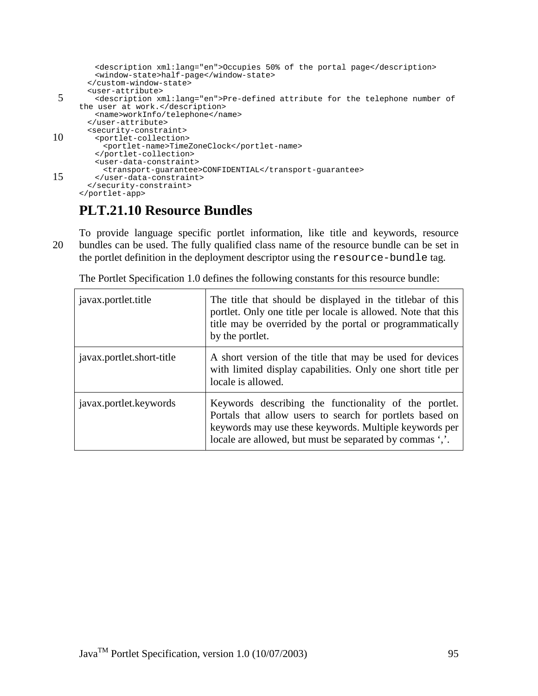```
<description xml:lang="en">Occupies 50% of the portal page</description>
         <window-state>half-page</window-state>
       </custom-window-state>
       <user-attribute>
 5 <description xml:lang="en">Pre-defined attribute for the telephone number of
     the user at work.</description>
        <name>workInfo/telephone</name>
       </user-attribute>
       <security-constraint>
10 <br />
<portlet-collection>
          <portlet-name>TimeZoneClock</portlet-name>
        </portlet-collection>
         <user-data-constraint>
          <transport-guarantee>CONFIDENTIAL</transport-guarantee>
15 </user-data-constraint>
       </security-constraint>
     </portlet-app>
```
#### **PLT.21.10 Resource Bundles**

To provide language specific portlet information, like title and keywords, resource 20 bundles can be used. The fully qualified class name of the resource bundle can be set in the portlet definition in the deployment descriptor using the resource-bundle tag.

The Portlet Specification 1.0 defines the following constants for this resource bundle:

| javax.portlet.title       | The title that should be displayed in the titlebar of this<br>portlet. Only one title per locale is allowed. Note that this<br>title may be overrided by the portal or programmatically<br>by the portlet.                              |
|---------------------------|-----------------------------------------------------------------------------------------------------------------------------------------------------------------------------------------------------------------------------------------|
| javax.portlet.short-title | A short version of the title that may be used for devices<br>with limited display capabilities. Only one short title per<br>locale is allowed.                                                                                          |
| javax.portlet.keywords    | Keywords describing the functionality of the portlet.<br>Portals that allow users to search for portlets based on<br>keywords may use these keywords. Multiple keywords per<br>locale are allowed, but must be separated by commas ','. |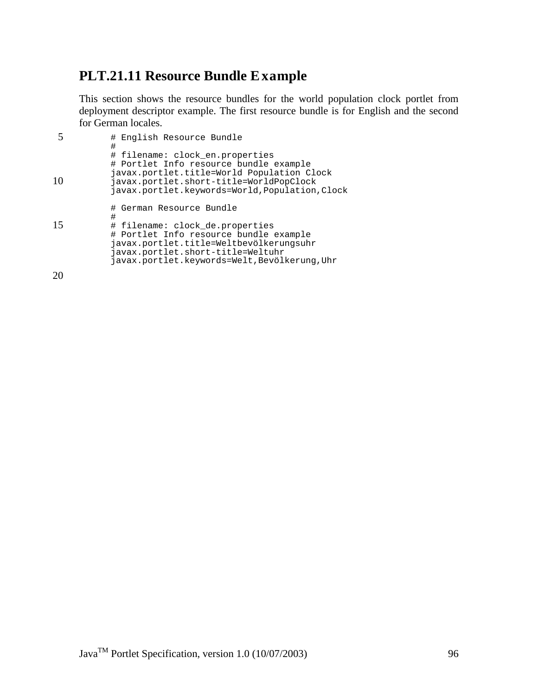# **PLT.21.11 Resource Bundle E xample**

This section shows the resource bundles for the world population clock portlet from deployment descriptor example. The first resource bundle is for English and the second for German locales.

|    | # English Resource Bundle<br>#                                                                                                                                                                                      |
|----|---------------------------------------------------------------------------------------------------------------------------------------------------------------------------------------------------------------------|
| 10 | # filename: clock_en.properties<br># Portlet Info resource bundle example<br>javax.portlet.title=World Population Clock<br>javax.portlet.short-title=WorldPopClock<br>javax.portlet.keywords=World,Population,Clock |
| 15 | # German Resource Bundle<br>#                                                                                                                                                                                       |
|    | # filename: clock_de.properties<br># Portlet Info resource bundle example<br>javax.portlet.title=Weltbevölkerungsuhr<br>javax.portlet.short-title=Weltuhr<br>javax.portlet.keywords=Welt,Bevölkerung,Uhr            |
|    |                                                                                                                                                                                                                     |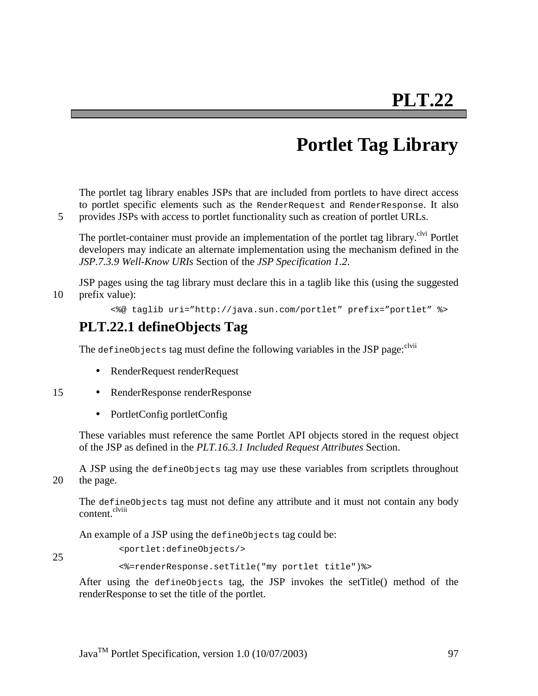# **Portlet Tag Library**

The portlet tag library enables JSPs that are included from portlets to have direct access to portlet specific elements such as the RenderRequest and RenderResponse. It also 5 provides JSPs with access to portlet functionality such as creation of portlet URLs.

The portlet-container must provide an implementation of the portlet tag library.<sup>clvi</sup> Portlet developers may indicate an alternate implementation using the mechanism defined in the *JSP.7.3.9 Well-Know URIs* Section of the *JSP Specification 1.2*.

JSP pages using the tag library must declare this in a taglib like this (using the suggested 10 prefix value):

<%@ taglib uri="http://java.sun.com/portlet" prefix="portlet" %>

# **PLT.22.1 defineObjects Tag**

The defineObjects tag must define the following variables in the JSP page:<sup>clvii</sup>

- RenderRequest renderRequest
- 15 RenderResponse renderResponse
	- PortletConfig portletConfig

These variables must reference the same Portlet API objects stored in the request object of the JSP as defined in the *PLT.16.3.1 Included Request Attributes* Section.

A JSP using the defineObjects tag may use these variables from scriptlets throughout 20 the page.

The defineObjects tag must not define any attribute and it must not contain any body content.<sup>clviii</sup>

An example of a JSP using the defineObjects tag could be:

<portlet:defineObjects/>

25

<%=renderResponse.setTitle("my portlet title")%>

After using the defineObjects tag, the JSP invokes the setTitle() method of the renderResponse to set the title of the portlet.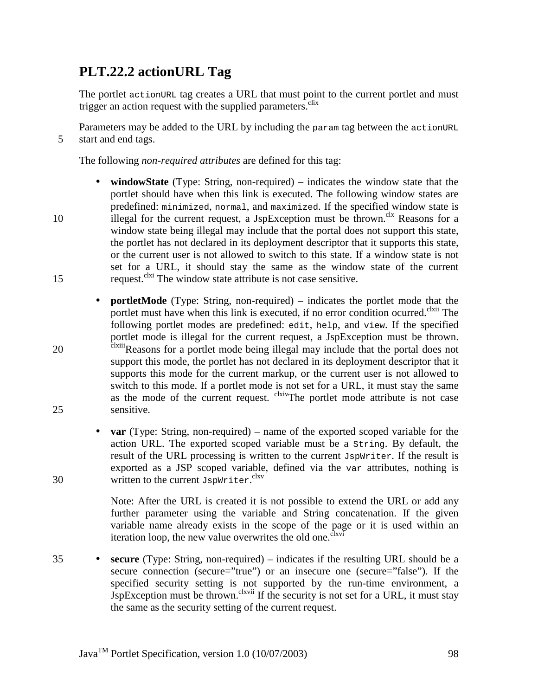### **PLT.22.2 actionURL Tag**

The portlet actionURL tag creates a URL that must point to the current portlet and must trigger an action request with the supplied parameters.<sup>clix</sup>

Parameters may be added to the URL by including the param tag between the actionURL 5 start and end tags.

The following *non-required attributes* are defined for this tag:

- **windowState** (Type: String, non-required) indicates the window state that the portlet should have when this link is executed. The following window states are predefined: minimized, normal, and maximized. If the specified window state is  $10$  illegal for the current request, a JspException must be thrown.<sup>clx</sup> Reasons for a window state being illegal may include that the portal does not support this state, the portlet has not declared in its deployment descriptor that it supports this state, or the current user is not allowed to switch to this state. If a window state is not set for a URL, it should stay the same as the window state of the current 15 request.<sup>clxi</sup> The window state attribute is not case sensitive.
- **portletMode** (Type: String, non-required) indicates the portlet mode that the portlet must have when this link is executed, if no error condition ocurred.<sup>clxii</sup> The following portlet modes are predefined: edit, help, and view. If the specified portlet mode is illegal for the current request, a JspException must be thrown. 20 <sup>clxiii</sup> Reasons for a portlet mode being illegal may include that the portal does not support this mode, the portlet has not declared in its deployment descriptor that it supports this mode for the current markup, or the current user is not allowed to switch to this mode. If a portlet mode is not set for a URL, it must stay the same as the mode of the current request.  $\frac{clx}{dt}$ The portlet mode attribute is not case 25 sensitive.
- **var** (Type: String, non-required) name of the exported scoped variable for the action URL. The exported scoped variable must be a String. By default, the result of the URL processing is written to the current JspWriter. If the result is exported as a JSP scoped variable, defined via the var attributes, nothing is  $30$  written to the current JspWriter.<sup>clxv</sup>

Note: After the URL is created it is not possible to extend the URL or add any further parameter using the variable and String concatenation. If the given variable name already exists in the scope of the page or it is used within an iteration loop, the new value overwrites the old one.<sup>clxvi</sup>

35 • **secure** (Type: String, non-required) – indicates if the resulting URL should be a secure connection (secure="true") or an insecure one (secure="false"). If the specified security setting is not supported by the run-time environment, a  $J<sub>SD</sub>$ Exception must be thrown.<sup>clxvii</sup> If the security is not set for a URL, it must stay the same as the security setting of the current request.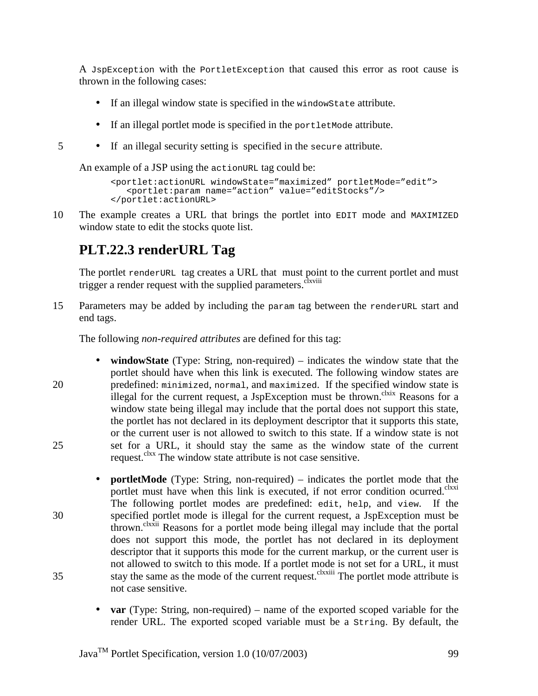A JspException with the PortletException that caused this error as root cause is thrown in the following cases:

- If an illegal window state is specified in the windowstate attribute.
- If an illegal portlet mode is specified in the portlet Mode attribute.
- 5 If an illegal security setting is specified in the secure attribute.

An example of a JSP using the actionURL tag could be:

```
<portlet:actionURL windowState="maximized" portletMode="edit">
   <portlet:param name="action" value="editStocks"/>
</portlet:actionURL>
```
10 The example creates a URL that brings the portlet into EDIT mode and MAXIMIZED window state to edit the stocks quote list.

### **PLT.22.3 renderURL Tag**

The portlet renderURL tag creates a URL that must point to the current portlet and must trigger a render request with the supplied parameters.<sup>clxviii</sup>

15 Parameters may be added by including the param tag between the renderURL start and end tags.

The following *non-required attributes* are defined for this tag:

- **windowState** (Type: String, non-required) indicates the window state that the portlet should have when this link is executed. The following window states are 20 predefined: minimized, normal, and maximized. If the specified window state is illegal for the current request, a JspException must be thrown.<sup>clxix</sup> Reasons for a window state being illegal may include that the portal does not support this state, the portlet has not declared in its deployment descriptor that it supports this state, or the current user is not allowed to switch to this state. If a window state is not 25 set for a URL, it should stay the same as the window state of the current request.<sup>clxx</sup> The window state attribute is not case sensitive.
- **portletMode** (Type: String, non-required) indicates the portlet mode that the portlet must have when this link is executed, if not error condition ocurred.<sup>clxxi</sup> The following portlet modes are predefined: edit, help, and view. If the 30 specified portlet mode is illegal for the current request, a JspException must be thrown.<sup>clxxii</sup> Reasons for a portlet mode being illegal may include that the portal does not support this mode, the portlet has not declared in its deployment descriptor that it supports this mode for the current markup, or the current user is not allowed to switch to this mode. If a portlet mode is not set for a URL, it must  $\frac{1}{35}$  stay the same as the mode of the current request.<sup>clxxiii</sup> The portlet mode attribute is not case sensitive.
	- **var** (Type: String, non-required) name of the exported scoped variable for the render URL. The exported scoped variable must be a String. By default, the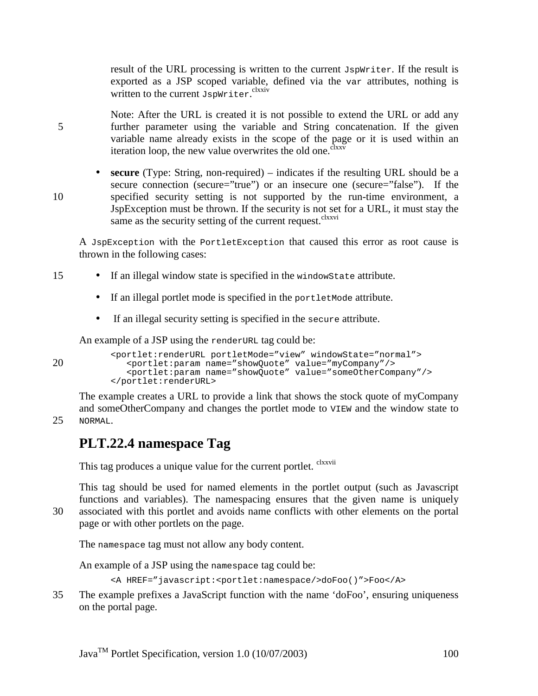result of the URL processing is written to the current  $JspWriteer$ . If the result is exported as a JSP scoped variable, defined via the var attributes, nothing is written to the current JspWriter. Clxxiv

Note: After the URL is created it is not possible to extend the URL or add any 5 further parameter using the variable and String concatenation. If the given variable name already exists in the scope of the page or it is used within an iteration loop, the new value overwrites the old one.<sup>clxxv</sup>

• **secure** (Type: String, non-required) – indicates if the resulting URL should be a secure connection (secure="true") or an insecure one (secure="false"). If the 10 specified security setting is not supported by the run-time environment, a JspException must be thrown. If the security is not set for a URL, it must stay the same as the security setting of the current request.<sup>clxxvi</sup>

A JspException with the PortletException that caused this error as root cause is thrown in the following cases:

- 15 If an illegal window state is specified in the windowState attribute.
	- If an illegal portlet mode is specified in the portlet Mode attribute.
	- If an illegal security setting is specified in the secure attribute.

An example of a JSP using the renderURL tag could be:

```
<portlet:renderURL portletMode="view" windowState="normal">
20 <portlet:param name="showQuote" value="myCompany"/>
             <portlet:param name="showQuote" value="someOtherCompany"/>
          </portlet:renderURL>
```
The example creates a URL to provide a link that shows the stock quote of myCompany and someOtherCompany and changes the portlet mode to VIEW and the window state to

25 NORMAL.

#### **PLT.22.4 namespace Tag**

This tag produces a unique value for the current portlet. <sup>clxxvii</sup>

This tag should be used for named elements in the portlet output (such as Javascript functions and variables). The namespacing ensures that the given name is uniquely 30 associated with this portlet and avoids name conflicts with other elements on the portal page or with other portlets on the page.

The namespace tag must not allow any body content.

An example of a JSP using the namespace tag could be:

<A HREF="javascript:<portlet:namespace/>doFoo()">Foo</A>

35 The example prefixes a JavaScript function with the name 'doFoo', ensuring uniqueness on the portal page.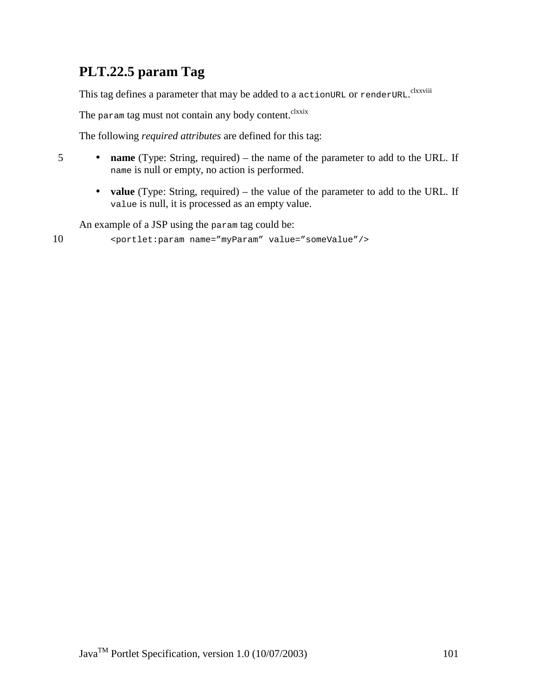# **PLT.22.5 param Tag**

This tag defines a parameter that may be added to a actionURL or renderURL. Clxxviii

The param tag must not contain any body content.<sup>clxxix</sup>

The following *required attributes* are defined for this tag:

- 5 **name** (Type: String, required) the name of the parameter to add to the URL. If name is null or empty, no action is performed.
	- **value** (Type: String, required) the value of the parameter to add to the URL. If value is null, it is processed as an empty value.

An example of a JSP using the param tag could be:

10 <portlet:param name="myParam" value="someValue"/>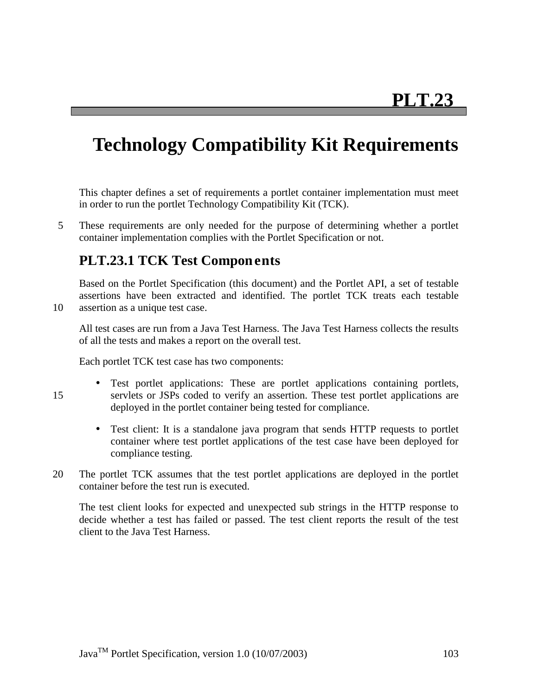# **Technology Compatibility Kit Requirements**

This chapter defines a set of requirements a portlet container implementation must meet in order to run the portlet Technology Compatibility Kit (TCK).

5 These requirements are only needed for the purpose of determining whether a portlet container implementation complies with the Portlet Specification or not.

### **PLT.23.1 TCK Test Compon ents**

Based on the Portlet Specification (this document) and the Portlet API, a set of testable assertions have been extracted and identified. The portlet TCK treats each testable 10 assertion as a unique test case.

All test cases are run from a Java Test Harness. The Java Test Harness collects the results of all the tests and makes a report on the overall test.

Each portlet TCK test case has two components:

- Test portlet applications: These are portlet applications containing portlets, 15 servlets or JSPs coded to verify an assertion. These test portlet applications are deployed in the portlet container being tested for compliance.
	- Test client: It is a standalone java program that sends HTTP requests to portlet container where test portlet applications of the test case have been deployed for compliance testing.
- 20 The portlet TCK assumes that the test portlet applications are deployed in the portlet container before the test run is executed.

The test client looks for expected and unexpected sub strings in the HTTP response to decide whether a test has failed or passed. The test client reports the result of the test client to the Java Test Harness.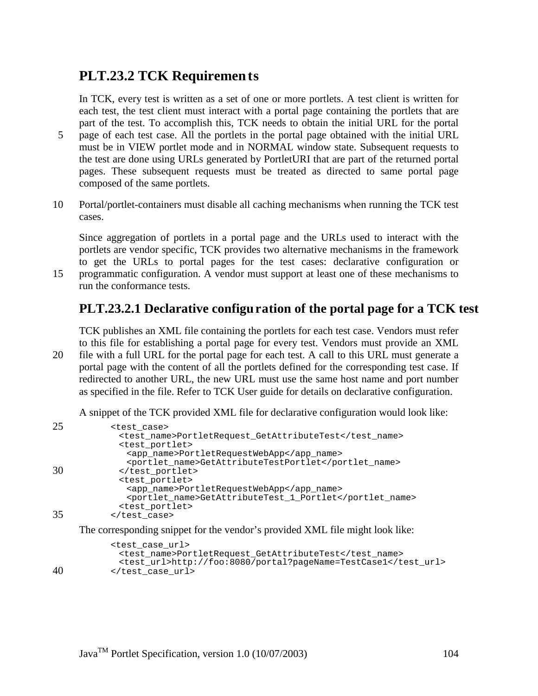#### **PLT.23.2 TCK Requiremen ts**

In TCK, every test is written as a set of one or more portlets. A test client is written for each test, the test client must interact with a portal page containing the portlets that are part of the test. To accomplish this, TCK needs to obtain the initial URL for the portal

- 5 page of each test case. All the portlets in the portal page obtained with the initial URL must be in VIEW portlet mode and in NORMAL window state. Subsequent requests to the test are done using URLs generated by PortletURI that are part of the returned portal pages. These subsequent requests must be treated as directed to same portal page composed of the same portlets.
- 10 Portal/portlet-containers must disable all caching mechanisms when running the TCK test cases.

Since aggregation of portlets in a portal page and the URLs used to interact with the portlets are vendor specific, TCK provides two alternative mechanisms in the framework to get the URLs to portal pages for the test cases: declarative configuration or 15 programmatic configuration. A vendor must support at least one of these mechanisms to

run the conformance tests.

#### **PLT.23.2.1 Declarative configuration of the portal page for a TCK test**

TCK publishes an XML file containing the portlets for each test case. Vendors must refer to this file for establishing a portal page for every test. Vendors must provide an XML 20 file with a full URL for the portal page for each test. A call to this URL must generate a portal page with the content of all the portlets defined for the corresponding test case. If redirected to another URL, the new URL must use the same host name and port number as specified in the file. Refer to TCK User guide for details on declarative configuration.

A snippet of the TCK provided XML file for declarative configuration would look like:

| 25 | <test case=""></test>                                  |
|----|--------------------------------------------------------|
|    | <test_name>PortletRequest_GetAttributeTest</test_name> |
|    | <test portlet=""></test>                               |
|    | <app name="">PortletRequestWebApp</app>                |
|    | <portlet name="">GetAttributeTestPortlet</portlet>     |
| 30 |                                                        |
|    | <test portlet=""></test>                               |
|    | <app name="">PortletRequestWebApp</app>                |
|    | <portlet name="">GetAttributeTest 1 Portlet</portlet>  |
|    | <test portlet=""></test>                               |
| 35 | $\langle$ /test case>                                  |

The corresponding snippet for the vendor's provided XML file might look like:

```
<test_case_url>
            <test_name>PortletRequest_GetAttributeTest</test_name>
            <test_url>http://foo:8080/portal?pageName=TestCase1</test_url>
40 \times/test case url>
```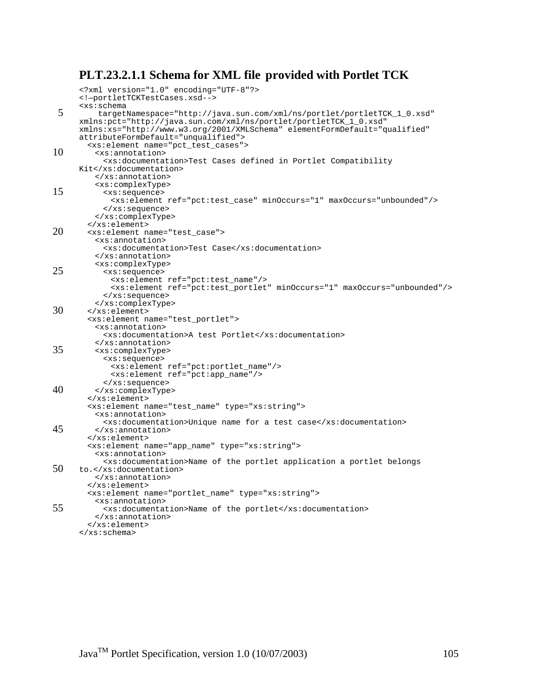#### **PLT.23.2.1.1 Schema for XML file provided with Portlet TCK**

```
<?xml version="1.0" encoding="UTF-8"?>
     <!—portletTCKTestCases.xsd-->
     <xs:schema
 5 targetNamespace="http://java.sun.com/xml/ns/portlet/portletTCK_1_0.xsd"
     xmlns:pct="http://java.sun.com/xml/ns/portlet/portletTCK_1_0.xsd"
     xmlns:xs="http://www.w3.org/2001/XMLSchema" elementFormDefault="qualified"
     attributeFormDefault="unqualified">
<xs:element name="pct_test_cases"> 10 <xs:annotation>
           <xs:documentation>Test Cases defined in Portlet Compatibility
     Kit</xs:documentation>
         </xs:annotation>
<xs:complexType> 15 <xs:sequence>
            <xs:element ref="pct:test_case" minOccurs="1" maxOccurs="unbounded"/>
           </xs:sequence>
         </xs:complexType>
       </xs:element>
20 <xs:element name="test case">
         <xs:annotation>
           <xs:documentation>Test Case</xs:documentation>
         </xs:annotation>
<xs:complexType> 25 <xs:sequence>
            <xs:element ref="pct:test_name"/>
            <xs:element ref="pct:test_portlet" minOccurs="1" maxOccurs="unbounded"/>
          </xs:sequence>
         </xs:complexType>
30 \times /xs \cdot element><xs:element name="test_portlet">
         <xs:annotation>
           <xs:documentation>A test Portlet</xs:documentation>
         </xs:annotation>
35 <xs:complexType>
          <xs:sequence>
            <xs:element ref="pct:portlet_name"/>
            <xs:element ref="pct:app_name"/>
           </xs:sequence>
40 </xs:complexType>
       </xs:element>
       <xs:element name="test_name" type="xs:string">
         <xs:annotation>
<xs:documentation>Unique name for a test case</xs:documentation> 45 </xs:annotation>
       </xs:element>
       <xs:element name="app_name" type="xs:string">
         <xs:annotation>
<xs:documentation>Name of the portlet application a portlet belongs 50 to.</xs:documentation>
         </xs:annotation>
       </xs:element>
       <xs:element name="portlet_name" type="xs:string">
         <xs:annotation>
55 <xs:documentation>Name of the portlet</xs:documentation>
         </xs:annotation>
       </xs:element>
     </xs:schema>
```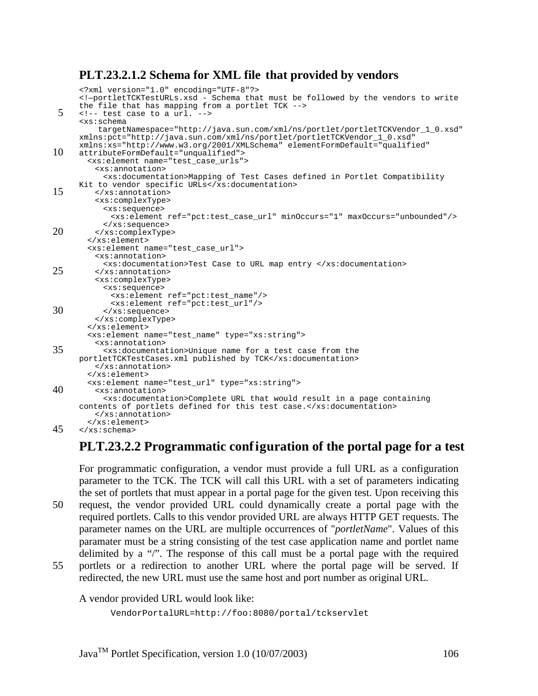#### **PLT.23.2.1.2 Schema for XML file that provided by vendors**

```
<?xml version="1.0" encoding="UTF-8"?>
      <!—portletTCKTestURLs.xsd - Schema that must be followed by the vendors to write
 the file that has mapping from a portlet TCK --><br>5 <!-- test case to a url. -->
      <xs:schema
          targetNamespace="http://java.sun.com/xml/ns/portlet/portletTCKVendor_1_0.xsd"
     xmlns:pct="http://java.sun.com/xml/ns/portlet/portletTCKVendor_1_0.xsd"
xmlns:xs="http://www.w3.org/2001/XMLSchema" elementFormDefault="qualified" 10 attributeFormDefault="unqualified">
        <xs:element name="test_case_urls">
          <xs:annotation>
           <xs:documentation>Mapping of Test Cases defined in Portlet Compatibility
Kit to vendor specific URLs</xs:documentation><br>15 </xs:annotation>
         <xs:complexType>
           <xs:sequence>
           <xs:element ref="pct:test_case_url" minOccurs="1" maxOccurs="unbounded"/>
20 \times x \times x \times \text{complexType}</xs:element>
        <xs:element name="test_case_url">
         <xs:annotation>
<xs:documentation>Test Case to URL map entry </xs:documentation> 25 </xs:annotation>
         <xs:complexType>
           <xs:sequence>
             <xs:element ref="pct:test_name"/>
             <xs:element ref="pct:test_url"/>
30 \times /xs: sequences
         </xs:complexType>
        </xs:element>
        <xs:element name="test_name" type="xs:string">
          <xs:annotation>
35 <xs:documentation>Unique name for a test case from the
      portletTCKTestCases.xml published by TCK</xs:documentation>
         </xs:annotation>
        </xs:element>
        <xs:element name="test_url" type="xs:string">
40 \frac{3.5 \cdot \text{circumence}}{\text{ex}}<xs:documentation>Complete URL that would result in a page containing
      contents of portlets defined for this test case.</xs:documentation>
         </xs:annotation>
        </xs:element>
45 \times x \cdot \text{schem}
```
#### **PLT.23.2.2 Programmatic configuration of the portal page for a test**

For programmatic configuration, a vendor must provide a full URL as a configuration parameter to the TCK. The TCK will call this URL with a set of parameters indicating the set of portlets that must appear in a portal page for the given test. Upon receiving this 50 request, the vendor provided URL could dynamically create a portal page with the required portlets. Calls to this vendor provided URL are always HTTP GET requests. The parameter names on the URL are multiple occurrences of "*portletName*". Values of this paramater must be a string consisting of the test case application name and portlet name delimited by a "/". The response of this call must be a portal page with the required 55 portlets or a redirection to another URL where the portal page will be served. If redirected, the new URL must use the same host and port number as original URL.

A vendor provided URL would look like:

```
VendorPortalURL=http://foo:8080/portal/tckservlet
```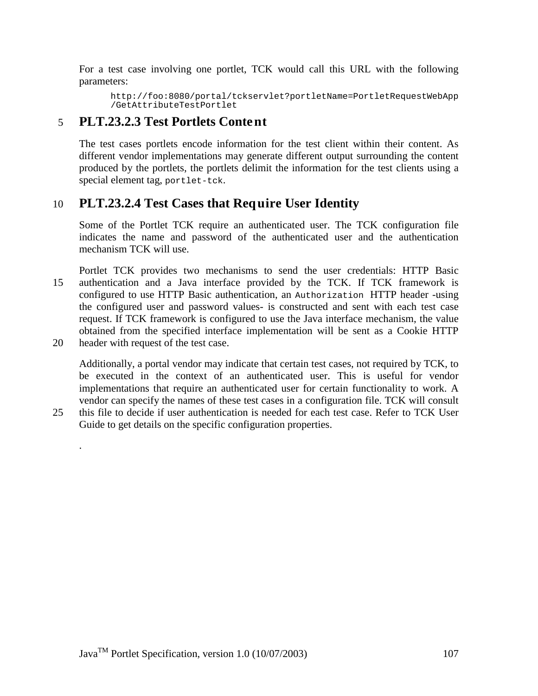For a test case involving one portlet, TCK would call this URL with the following parameters:

```
http://foo:8080/portal/tckservlet?portletName=PortletRequestWebApp
/GetAttributeTestPortlet
```
#### 5 **PLT.23.2.3 Test Portlets Content**

.

The test cases portlets encode information for the test client within their content. As different vendor implementations may generate different output surrounding the content produced by the portlets, the portlets delimit the information for the test clients using a special element tag, portlet-tck.

#### 10 **PLT.23.2.4 Test Cases that Require User Identity**

Some of the Portlet TCK require an authenticated user. The TCK configuration file indicates the name and password of the authenticated user and the authentication mechanism TCK will use.

Portlet TCK provides two mechanisms to send the user credentials: HTTP Basic 15 authentication and a Java interface provided by the TCK. If TCK framework is configured to use HTTP Basic authentication, an Authorization HTTP header -using the configured user and password values- is constructed and sent with each test case request. If TCK framework is configured to use the Java interface mechanism, the value obtained from the specified interface implementation will be sent as a Cookie HTTP 20 header with request of the test case.

Additionally, a portal vendor may indicate that certain test cases, not required by TCK, to be executed in the context of an authenticated user. This is useful for vendor implementations that require an authenticated user for certain functionality to work. A vendor can specify the names of these test cases in a configuration file. TCK will consult

25 this file to decide if user authentication is needed for each test case. Refer to TCK User Guide to get details on the specific configuration properties.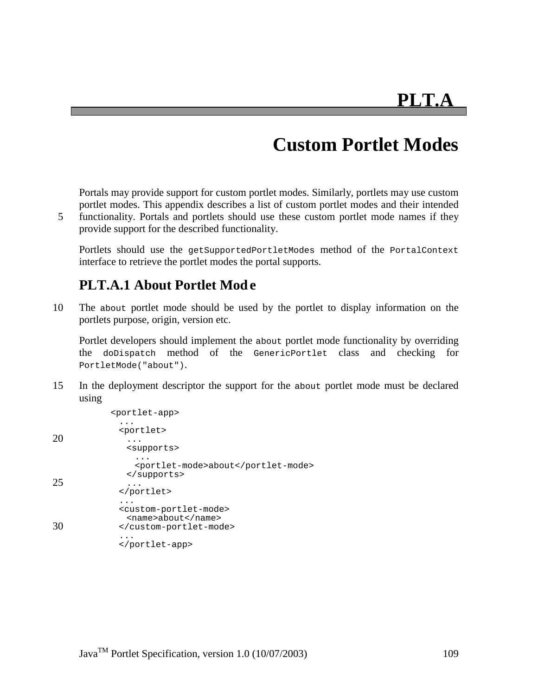# **Custom Portlet Modes**

Portals may provide support for custom portlet modes. Similarly, portlets may use custom portlet modes. This appendix describes a list of custom portlet modes and their intended 5 functionality. Portals and portlets should use these custom portlet mode names if they provide support for the described functionality.

Portlets should use the getSupportedPortletModes method of the PortalContext interface to retrieve the portlet modes the portal supports.

#### **PLT.A.1 About Portlet Mod e**

10 The about portlet mode should be used by the portlet to display information on the portlets purpose, origin, version etc.

Portlet developers should implement the about portlet mode functionality by overriding the doDispatch method of the GenericPortlet class and checking for PortletMode("about").

15 In the deployment descriptor the support for the about portlet mode must be declared using

```
<portlet-app>
            ...
            <portlet>
20 \quad \ldots<supports>
              ...
              <portlet-mode>about</portlet-mode>
             </supports>
25 ...
           </portlet>
            ...
           <custom-portlet-mode>
             <name>about</name>
30 </custom-portlet-mode>
            ...
           </portlet-app>
```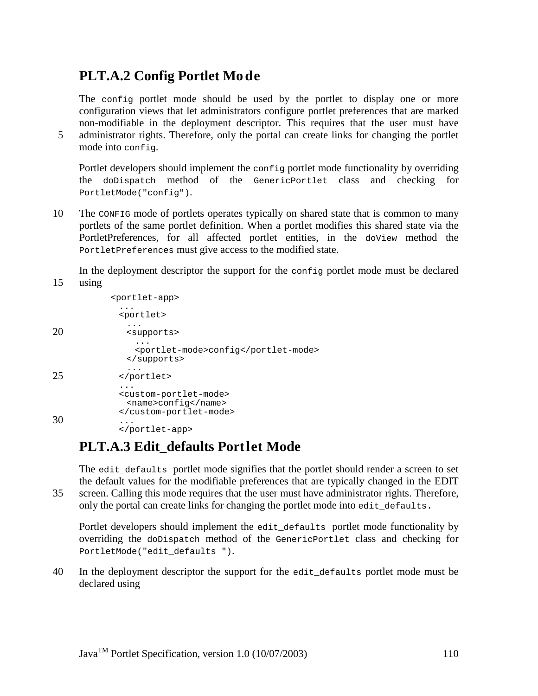### **PLT.A.2 Config Portlet Mo de**

The config portlet mode should be used by the portlet to display one or more configuration views that let administrators configure portlet preferences that are marked non-modifiable in the deployment descriptor. This requires that the user must have 5 administrator rights. Therefore, only the portal can create links for changing the portlet mode into config.

Portlet developers should implement the config portlet mode functionality by overriding the doDispatch method of the GenericPortlet class and checking for PortletMode("config").

10 The CONFIG mode of portlets operates typically on shared state that is common to many portlets of the same portlet definition. When a portlet modifies this shared state via the PortletPreferences, for all affected portlet entities, in the doView method the PortletPreferences must give access to the modified state.

In the deployment descriptor the support for the config portlet mode must be declared 15 using

```
<portlet-app>
            ...
            <portlet>
             ...
20 <supports>
              ...
              <portlet-mode>config</portlet-mode>
             </supports>
             ...
25 </portlet>
            ...
            <custom-portlet-mode>
             <name>config</name>
            </custom-portlet-mode>
30
            </portlet-app>
```
### **PLT.A.3 Edit\_defaults Port let Mode**

The edit defaults portlet mode signifies that the portlet should render a screen to set the default values for the modifiable preferences that are typically changed in the EDIT 35 screen. Calling this mode requires that the user must have administrator rights. Therefore, only the portal can create links for changing the portlet mode into edit\_defaults.

Portlet developers should implement the edit\_defaults portlet mode functionality by overriding the doDispatch method of the GenericPortlet class and checking for PortletMode("edit\_defaults ").

40 In the deployment descriptor the support for the edit\_defaults portlet mode must be declared using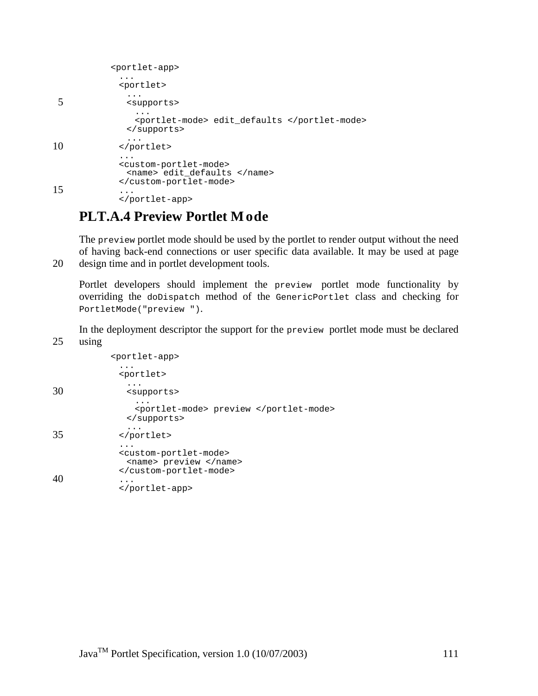```
<portlet-app>
             ...
             <portlet>
              ...
 5 : ...<br>supports>
                ...
                <portlet-mode> edit_defaults </portlet-mode>
              </supports>
              ...
10 </portlet>
             ...
             <custom-portlet-mode>
              <name> edit_defaults </name>
             </custom-portlet-mode>
15 \quad \ldots \quad \ldots</portlet-app>
```
#### **PLT.A.4 Preview Portlet M ode**

The preview portlet mode should be used by the portlet to render output without the need of having back-end connections or user specific data available. It may be used at page 20 design time and in portlet development tools.

Portlet developers should implement the preview portlet mode functionality by overriding the doDispatch method of the GenericPortlet class and checking for PortletMode("preview ").

In the deployment descriptor the support for the preview portlet mode must be declared 25 using

```
<portlet-app>
            ...
            <portlet>
             ...
30 <supports>
              ...
              <portlet-mode> preview </portlet-mode>
             </supports>
             ...
35 </portlet>
            ...
           <custom-portlet-mode>
             <name> preview </name>
           </custom-portlet-mode>
40
           </portlet-app>
```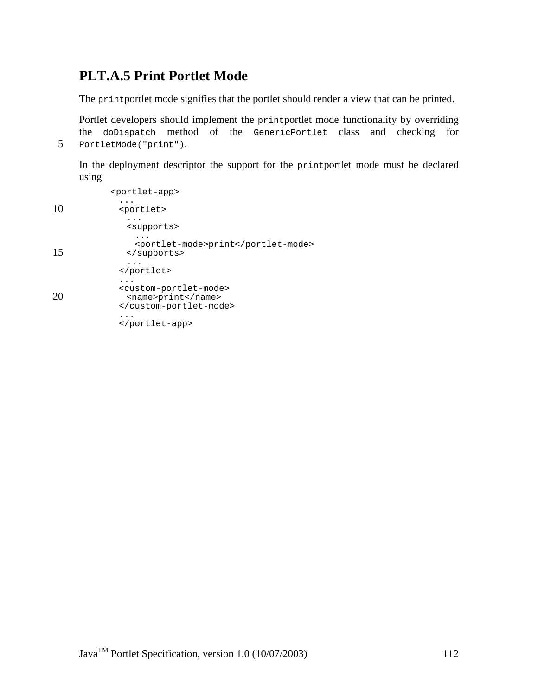### **PLT.A.5 Print Portlet Mode**

The printportlet mode signifies that the portlet should render a view that can be printed.

Portlet developers should implement the printportlet mode functionality by overriding the doDispatch method of the GenericPortlet class and checking for 5 PortletMode("print").

In the deployment descriptor the support for the printportlet mode must be declared using

<portlet-app> ... 10 <portlet> ... <supports> ... <portlet-mode>print</portlet-mode> 15 </supports> ... </portlet> ... <custom-portlet-mode> 20 Caboom persons model </custom-portlet-mode> ... </portlet-app>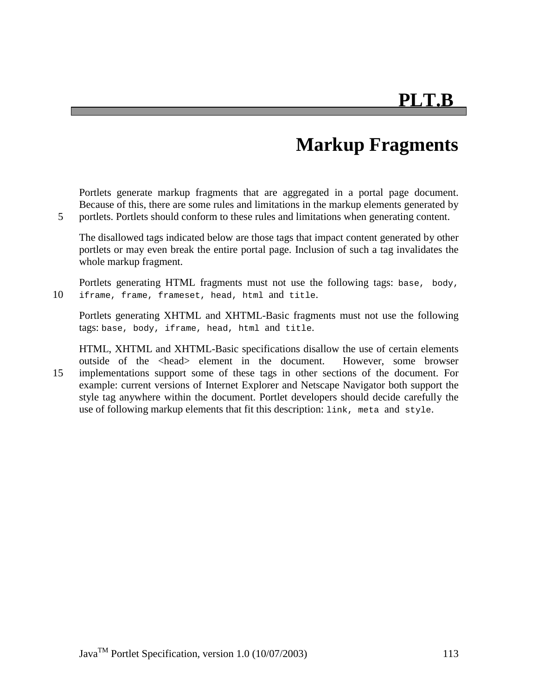## **Markup Fragments**

Portlets generate markup fragments that are aggregated in a portal page document. Because of this, there are some rules and limitations in the markup elements generated by 5 portlets. Portlets should conform to these rules and limitations when generating content.

The disallowed tags indicated below are those tags that impact content generated by other portlets or may even break the entire portal page. Inclusion of such a tag invalidates the whole markup fragment.

Portlets generating HTML fragments must not use the following tags: base, body, 10 iframe, frame, frameset, head, html and title.

Portlets generating XHTML and XHTML-Basic fragments must not use the following tags: base, body, iframe, head, html and title.

HTML, XHTML and XHTML-Basic specifications disallow the use of certain elements outside of the <head> element in the document. However, some browser 15 implementations support some of these tags in other sections of the document. For example: current versions of Internet Explorer and Netscape Navigator both support the style tag anywhere within the document. Portlet developers should decide carefully the use of following markup elements that fit this description: link, meta and style.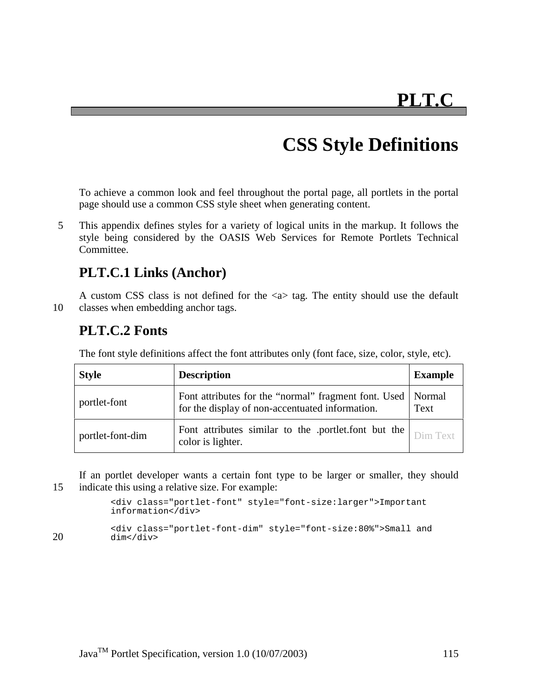# **PLT.C**

# **CSS Style Definitions**

To achieve a common look and feel throughout the portal page, all portlets in the portal page should use a common CSS style sheet when generating content.

5 This appendix defines styles for a variety of logical units in the markup. It follows the style being considered by the OASIS Web Services for Remote Portlets Technical Committee.

#### **PLT.C.1 Links (Anchor)**

A custom CSS class is not defined for the <a> tag. The entity should use the default 10 classes when embedding anchor tags.

#### **PLT.C.2 Fonts**

The font style definitions affect the font attributes only (font face, size, color, style, etc).

| <b>Style</b>     | <b>Description</b>                                                                                               | <b>Example</b> |
|------------------|------------------------------------------------------------------------------------------------------------------|----------------|
| portlet-font     | Font attributes for the "normal" fragment font. Used   Normal<br>for the display of non-accentuated information. | Text           |
| portlet-font-dim | Font attributes similar to the .portlet.font but the $\vert$ Dim Text<br>color is lighter.                       |                |

If an portlet developer wants a certain font type to be larger or smaller, they should 15 indicate this using a relative size. For example:

> <div class="portlet-font" style="font-size:larger">Important information</div>

<div class="portlet-font-dim" style="font-size:80%">Small and

 $20$  dim </div>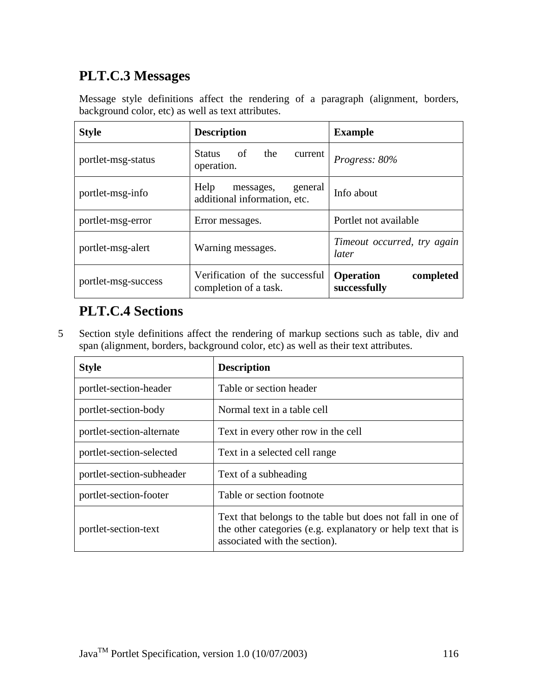### **PLT.C.3 Messages**

Message style definitions affect the rendering of a paragraph (alignment, borders, background color, etc) as well as text attributes.

| <b>Style</b>        | <b>Description</b>                                           | <b>Example</b>                                |
|---------------------|--------------------------------------------------------------|-----------------------------------------------|
| portlet-msg-status  | Status of<br>the<br>current<br>operation.                    | Progress: 80%                                 |
| portlet-msg-info    | Help<br>general<br>messages,<br>additional information, etc. | Info about                                    |
| portlet-msg-error   | Error messages.                                              | Portlet not available                         |
| portlet-msg-alert   | Warning messages.                                            | Timeout occurred, try again<br>later          |
| portlet-msg-success | Verification of the successful<br>completion of a task.      | <b>Operation</b><br>completed<br>successfully |

## **PLT.C.4 Sections**

5 Section style definitions affect the rendering of markup sections such as table, div and span (alignment, borders, background color, etc) as well as their text attributes.

| <b>Style</b>              | <b>Description</b>                                                                                                                                         |
|---------------------------|------------------------------------------------------------------------------------------------------------------------------------------------------------|
| portlet-section-header    | Table or section header                                                                                                                                    |
| portlet-section-body      | Normal text in a table cell                                                                                                                                |
| portlet-section-alternate | Text in every other row in the cell                                                                                                                        |
| portlet-section-selected  | Text in a selected cell range                                                                                                                              |
| portlet-section-subheader | Text of a subheading                                                                                                                                       |
| portlet-section-footer    | Table or section footnote                                                                                                                                  |
| portlet-section-text      | Text that belongs to the table but does not fall in one of<br>the other categories (e.g. explanatory or help text that is<br>associated with the section). |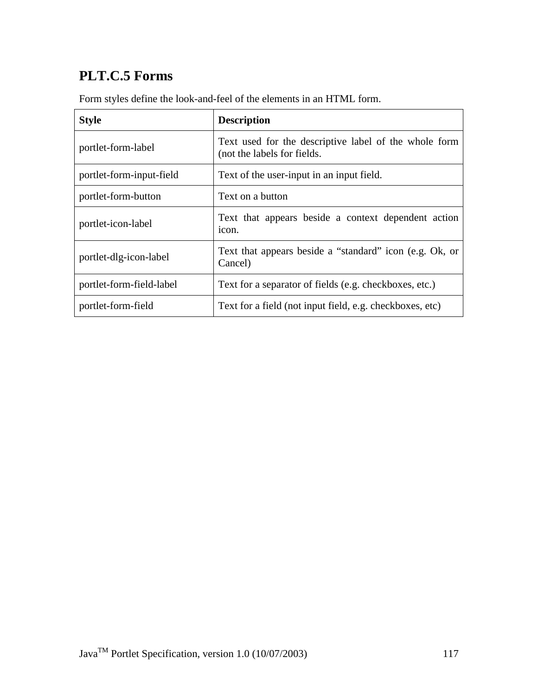## **PLT.C.5 Forms**

| <b>Style</b>             | <b>Description</b>                                                                    |
|--------------------------|---------------------------------------------------------------------------------------|
| portlet-form-label       | Text used for the descriptive label of the whole form<br>(not the labels for fields.) |
| portlet-form-input-field | Text of the user-input in an input field.                                             |
| portlet-form-button      | Text on a button                                                                      |
| portlet-icon-label       | Text that appears beside a context dependent action<br>icon.                          |
| portlet-dlg-icon-label   | Text that appears beside a "standard" icon (e.g. Ok, or<br>Cancel)                    |
| portlet-form-field-label | Text for a separator of fields (e.g. checkboxes, etc.)                                |
| portlet-form-field       | Text for a field (not input field, e.g. checkboxes, etc)                              |

Form styles define the look-and-feel of the elements in an HTML form.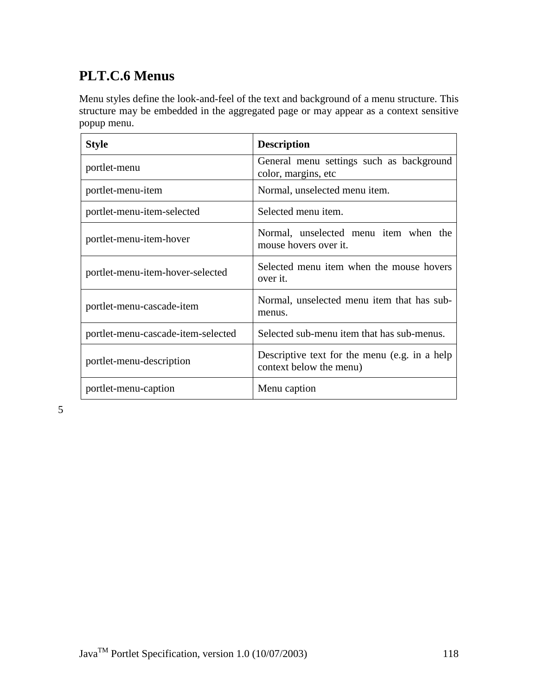## **PLT.C.6 Menus**

Menu styles define the look-and-feel of the text and background of a menu structure. This structure may be embedded in the aggregated page or may appear as a context sensitive popup menu.

| <b>Style</b>                       | <b>Description</b>                                                       |
|------------------------------------|--------------------------------------------------------------------------|
| portlet-menu                       | General menu settings such as background<br>color, margins, etc          |
| portlet-menu-item                  | Normal, unselected menu item.                                            |
| portlet-menu-item-selected         | Selected menu item.                                                      |
| portlet-menu-item-hover            | Normal, unselected menu item when the<br>mouse hovers over it.           |
| portlet-menu-item-hover-selected   | Selected menu item when the mouse hovers<br>over it.                     |
| portlet-menu-cascade-item          | Normal, unselected menu item that has sub-<br>menus.                     |
| portlet-menu-cascade-item-selected | Selected sub-menu item that has sub-menus.                               |
| portlet-menu-description           | Descriptive text for the menu (e.g. in a help<br>context below the menu) |
| portlet-menu-caption               | Menu caption                                                             |

5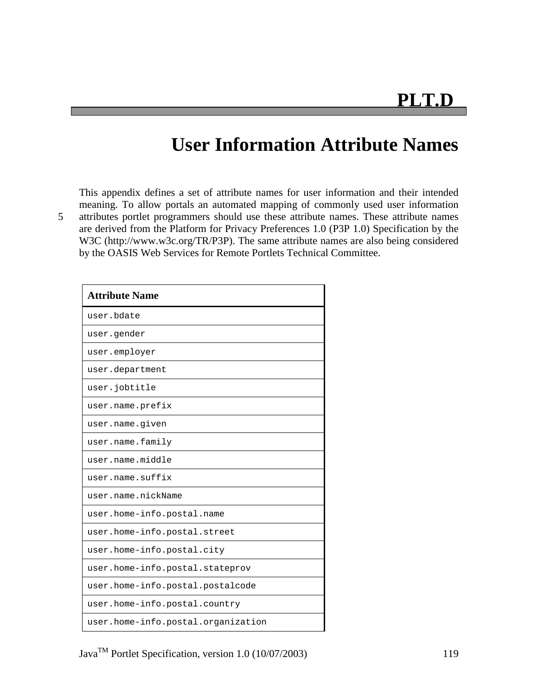# **User Information Attribute Names**

This appendix defines a set of attribute names for user information and their intended meaning. To allow portals an automated mapping of commonly used user information 5 attributes portlet programmers should use these attribute names. These attribute names are derived from the Platform for Privacy Preferences 1.0 (P3P 1.0) Specification by the W3C (http://www.w3c.org/TR/P3P). The same attribute names are also being considered by the OASIS Web Services for Remote Portlets Technical Committee.

| <b>Attribute Name</b>              |
|------------------------------------|
| user.bdate                         |
| user.gender                        |
| user.employer                      |
| user.department                    |
| user.jobtitle                      |
| user.name.prefix                   |
| user.name.qiven                    |
| user.name.family                   |
| user.name.middle                   |
| user.name.suffix                   |
| user.name.nickName                 |
| user.home-info.postal.name         |
| user.home-info.postal.street       |
| user.home-info.postal.city         |
| user.home-info.postal.stateprov    |
| user.home-info.postal.postalcode   |
| user.home-info.postal.country      |
| user.home-info.postal.organization |

JavaTM Portlet Specification, version 1.0 (10/07/2003) 119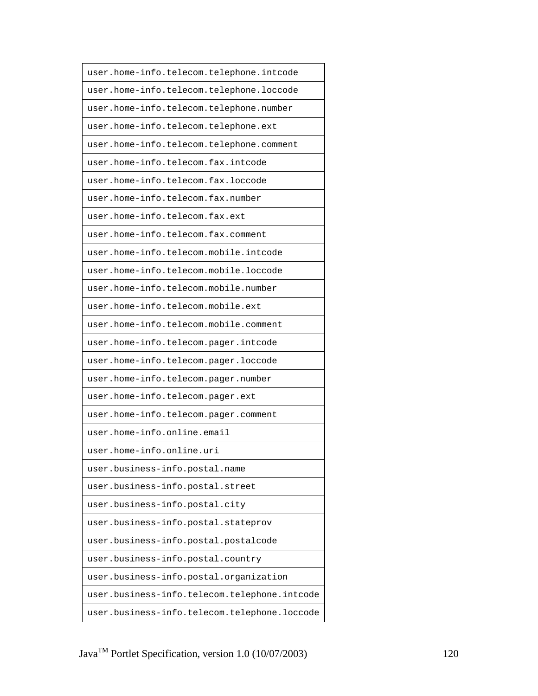| user.home-info.telecom.telephone.intcode     |
|----------------------------------------------|
| user.home-info.telecom.telephone.loccode     |
| user.home-info.telecom.telephone.number      |
| user.home-info.telecom.telephone.ext         |
| user.home-info.telecom.telephone.comment     |
| user.home-info.telecom.fax.intcode           |
| user.home-info.telecom.fax.loccode           |
| user.home-info.telecom.fax.number            |
| user.home-info.telecom.fax.ext               |
| user.home-info.telecom.fax.comment           |
| user.home-info.telecom.mobile.intcode        |
| user.home-info.telecom.mobile.loccode        |
| user.home-info.telecom.mobile.number         |
| user.home-info.telecom.mobile.ext            |
| user.home-info.telecom.mobile.comment        |
| user.home-info.telecom.pager.intcode         |
| user.home-info.telecom.pager.loccode         |
| user.home-info.telecom.pager.number          |
| user.home-info.telecom.pager.ext             |
| user.home-info.telecom.pager.comment         |
| user.home-info.online.email                  |
| user.home-info.online.uri                    |
| user.business-info.postal.name               |
| user.business-info.postal.street             |
| user.business-info.postal.city               |
| user.business-info.postal.stateprov          |
| user.business-info.postal.postalcode         |
| user.business-info.postal.country            |
| user.business-info.postal.organization       |
| user.business-info.telecom.telephone.intcode |
| user.business-info.telecom.telephone.loccode |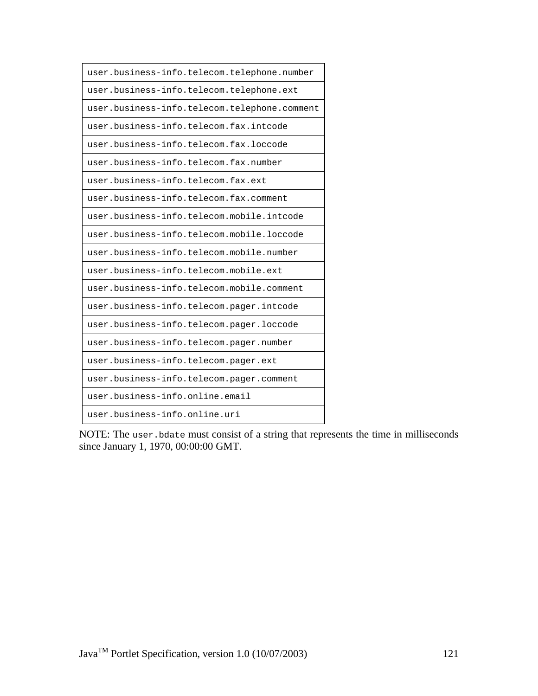| user.business-info.telecom.telephone.number  |
|----------------------------------------------|
| user.business-info.telecom.telephone.ext     |
| user.business-info.telecom.telephone.comment |
| user.business-info.telecom.fax.intcode       |
| user.business-info.telecom.fax.loccode       |
| user.business-info.telecom.fax.number        |
| user.business-info.telecom.fax.ext           |
| user.business-info.telecom.fax.comment       |
| user.business-info.telecom.mobile.intcode    |
| user.business-info.telecom.mobile.loccode    |
| user.business-info.telecom.mobile.number     |
| user.business-info.telecom.mobile.ext        |
| user.business-info.telecom.mobile.comment    |
| user.business-info.telecom.pager.intcode     |
| user.business-info.telecom.pager.loccode     |
| user.business-info.telecom.pager.number      |
| user.business-info.telecom.pager.ext         |
| user.business-info.telecom.pager.comment     |
| user.business-info.online.email              |
| user.business-info.online.uri                |

NOTE: The user.bdate must consist of a string that represents the time in milliseconds since January 1, 1970, 00:00:00 GMT.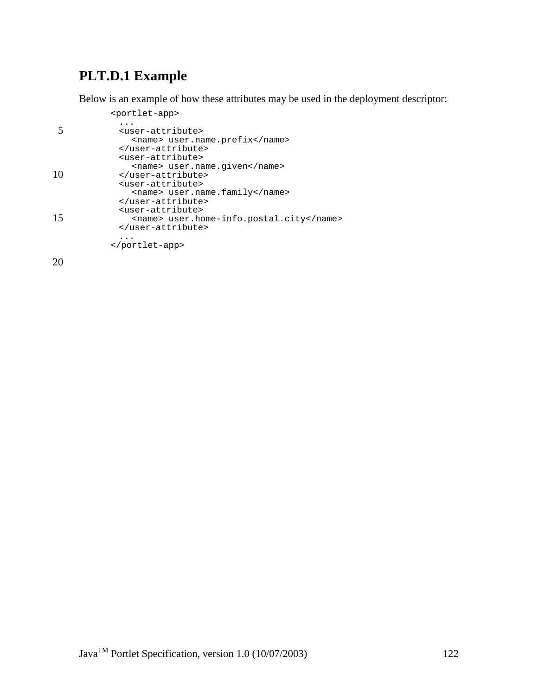## **PLT.D.1 Example**

Below is an example of how these attributes may be used in the deployment descriptor:

<portlet-app>

| <name> user.home-info.postal.city</name> |
|------------------------------------------|
|                                          |
|                                          |
|                                          |
|                                          |

20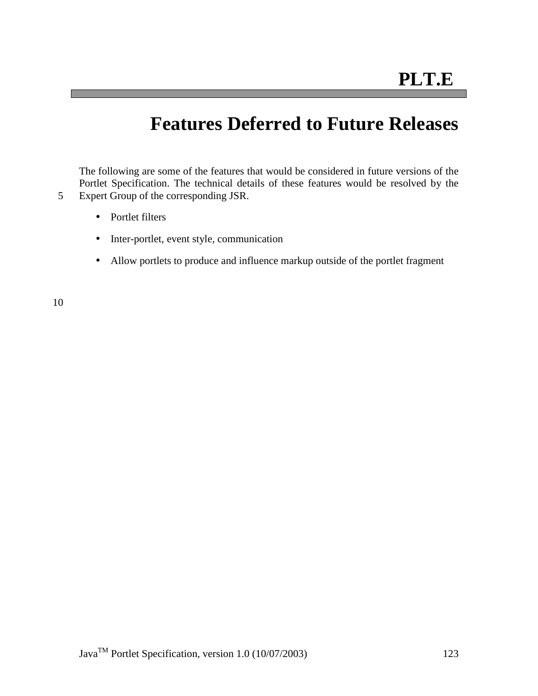# **Features Deferred to Future Releases**

The following are some of the features that would be considered in future versions of the Portlet Specification. The technical details of these features would be resolved by the 5 Expert Group of the corresponding JSR.

- Portlet filters
- Inter-portlet, event style, communication
- Allow portlets to produce and influence markup outside of the portlet fragment

10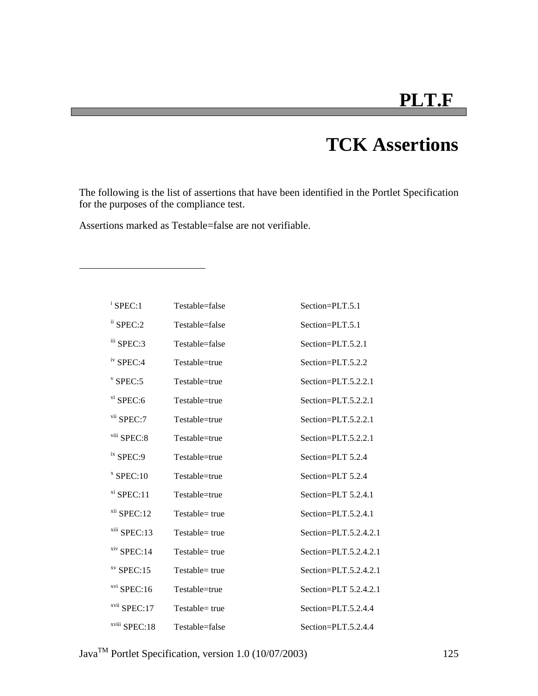# **TCK Assertions**

The following is the list of assertions that have been identified in the Portlet Specification for the purposes of the compliance test.

Assertions marked as Testable=false are not verifiable.

 $\overline{a}$ 

| $^{\rm i}$ SPEC:1       | Testable=false | Section=PLT.5.1        |
|-------------------------|----------------|------------------------|
| <sup>ii</sup> SPEC:2    | Testable=false | Section=PLT.5.1        |
| iii SPEC:3              | Testable=false | Section=PLT.5.2.1      |
| iv SPEC:4               | Testable=true  | Section=PLT.5.2.2      |
| $\mathrm{V}$ SPEC:5     | Testable=true  | Section=PLT.5.2.2.1    |
| vi SPEC:6               | Testable=true  | Section=PLT.5.2.2.1    |
| vii SPEC:7              | Testable=true  | Section=PLT.5.2.2.1    |
| viii SPEC:8             | Testable=true  | Section=PLT.5.2.2.1    |
| $\frac{ix}{x}$ SPEC:9   | Testable=true  | Section=PLT 5.2.4      |
| $*$ SPEC:10             | Testable=true  | Section= $PLT$ 5.2.4   |
| <sup>xi</sup> SPEC:11   | Testable=true  | Section=PLT 5.2.4.1    |
| <sup>xii</sup> SPEC:12  | Testable= true | Section=PLT.5.2.4.1    |
| <sup>xiii</sup> SPEC:13 | Testable= true | Section=PLT.5.2.4.2.1  |
| xiv SPEC:14             | Testable= true | Section=PLT.5.2.4.2.1  |
| $XV$ SPEC:15            | Testable=true  | Section=PLT.5.2.4.2.1  |
| <sup>xvi</sup> SPEC:16  | Testable=true  | Section=PLT 5.2.4.2.1  |
| xvii SPEC:17            | Testable= true | Section= $PLT.5.2.4.4$ |
| xviii SPEC:18           | Testable=false | Section=PLT.5.2.4.4    |

JavaTM Portlet Specification, version 1.0 (10/07/2003) 125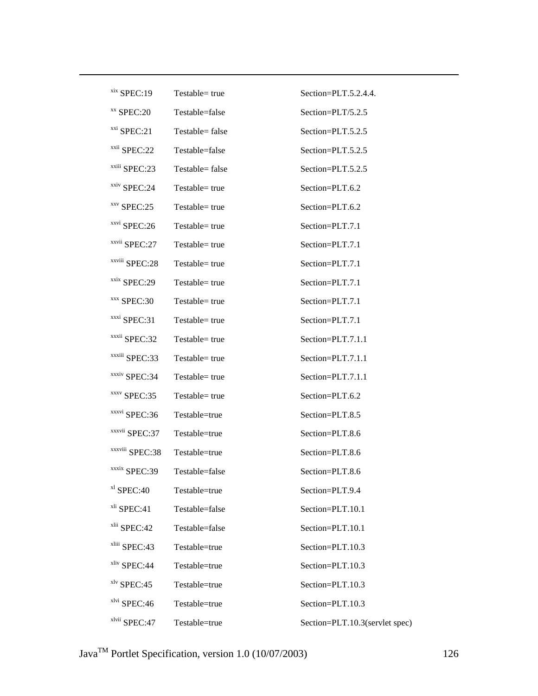| xix SPEC:19              | Testable= true  | Section=PLT.5.2.4.4.           |
|--------------------------|-----------------|--------------------------------|
| $XX$ SPEC: 20            | Testable=false  | Section=PLT/5.2.5              |
| $xxi$ SPEC:21            | Testable= false | Section=PLT.5.2.5              |
| <sup>xxii</sup> SPEC:22  | Testable=false  | Section=PLT.5.2.5              |
| <sup>xxiii</sup> SPEC:23 | Testable= false | Section=PLT.5.2.5              |
| <sup>xxiv</sup> SPEC:24  | Testable= true  | Section=PLT.6.2                |
| <sup>xxv</sup> SPEC:25   | Testable= true  | Section=PLT.6.2                |
| xxvi SPEC:26             | Testable= true  | Section=PLT.7.1                |
| xxvii SPEC:27            | Testable= true  | Section=PLT.7.1                |
| xxviii SPEC:28           | Testable= true  | Section=PLT.7.1                |
| xxix SPEC:29             | Testable= true  | Section=PLT.7.1                |
| <sup>xxx</sup> SPEC:30   | Testable= true  | Section=PLT.7.1                |
| xxxi SPEC:31             | Testable= true  | Section=PLT.7.1                |
| xxxii SPEC:32            | Testable= true  | Section=PLT.7.1.1              |
| xxxiii SPEC:33           | Testable= true  | Section=PLT.7.1.1              |
| xxxiv SPEC:34            | Testable= true  | Section=PLT.7.1.1              |
| <sup>xxxv</sup> SPEC:35  | Testable= true  | Section=PLT.6.2                |
| xxxvi SPEC:36            | Testable=true   | Section=PLT.8.5                |
| xxxvii SPEC:37           | Testable=true   | Section=PLT.8.6                |
| xxxviii SPEC:38          | Testable=true   | Section=PLT.8.6                |
| xxxix SPEC:39            | Testable=false  | Section=PLT.8.6                |
| <sup>xl</sup> SPEC:40    | Testable=true   | Section=PLT.9.4                |
| <sup>xli</sup> SPEC:41   | Testable=false  | Section=PLT.10.1               |
| <sup>xlii</sup> SPEC:42  | Testable=false  | Section=PLT.10.1               |
| <sup>xliii</sup> SPEC:43 | Testable=true   | Section=PLT.10.3               |
| <sup>xliv</sup> SPEC:44  | Testable=true   | Section=PLT.10.3               |
| <sup>xlv</sup> SPEC:45   | Testable=true   | Section=PLT.10.3               |
| <sup>xlvi</sup> SPEC:46  | Testable=true   | Section=PLT.10.3               |
| xlvii SPEC:47            | Testable=true   | Section=PLT.10.3(servlet spec) |

Java<sup>TM</sup> Portlet Specification, version 1.0 (10/07/2003) 126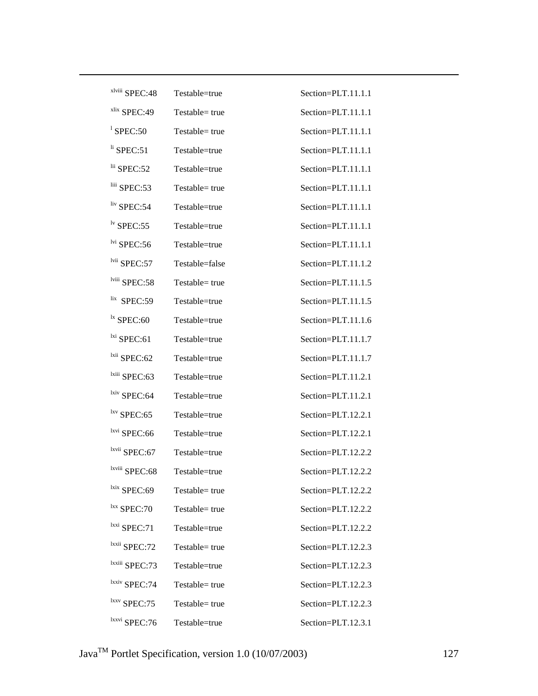| xlviii SPEC:48             | Testable=true  | Section=PLT.11.1.1 |
|----------------------------|----------------|--------------------|
| xlix SPEC:49               | Testable= true | Section=PLT.11.1.1 |
| $1$ SPEC:50                | Testable= true | Section=PLT.11.1.1 |
| <sup>li</sup> SPEC:51      | Testable=true  | Section=PLT.11.1.1 |
| lii SPEC:52                | Testable=true  | Section=PLT.11.1.1 |
| liii SPEC:53               | Testable= true | Section=PLT.11.1.1 |
| liv SPEC:54                | Testable=true  | Section=PLT.11.1.1 |
| $\frac{1}{10}$ SPEC:55     | Testable=true  | Section=PLT.11.1.1 |
| <sup>lvi</sup> SPEC:56     | Testable=true  | Section=PLT.11.1.1 |
| lvii SPEC:57               | Testable=false | Section=PLT.11.1.2 |
| lviii SPEC:58              | Testable= true | Section=PLT.11.1.5 |
| lix SPEC:59                | Testable=true  | Section=PLT.11.1.5 |
| $k$ SPEC:60                | Testable=true  | Section=PLT.11.1.6 |
| <sup>lxi</sup> SPEC:61     | Testable=true  | Section=PLT.11.1.7 |
| <sup>lxii</sup> SPEC:62    | Testable=true  | Section=PLT.11.1.7 |
| <sup>lxiii</sup> SPEC:63   | Testable=true  | Section=PLT.11.2.1 |
| <sup>lxiv</sup> SPEC:64    | Testable=true  | Section=PLT.11.2.1 |
| ${}^{\rm lxy}$ SPEC:65     | Testable=true  | Section=PLT.12.2.1 |
| <sup>lxvi</sup> SPEC:66    | Testable=true  | Section=PLT.12.2.1 |
| <sup>lxvii</sup> SPEC:67   | Testable=true  | Section=PLT.12.2.2 |
| <sup>lxviii</sup> SPEC:68  | Testable=true  | Section=PLT.12.2.2 |
| <sup>lxix</sup> SPEC:69    | Testable= true | Section=PLT.12.2.2 |
| ${}^{\text{lxx}}$ SPEC:70  | Testable= true | Section=PLT.12.2.2 |
| <sup>lxxi</sup> SPEC:71    | Testable=true  | Section=PLT.12.2.2 |
| <sup>lxxii</sup> SPEC:72   | Testable= true | Section=PLT.12.2.3 |
| <sup>lxxiii</sup> SPEC:73  | Testable=true  | Section=PLT.12.2.3 |
| lxxiv SPEC:74              | Testable= true | Section=PLT.12.2.3 |
| $1$ <sup>kxv</sup> SPEC:75 | Testable= true | Section=PLT.12.2.3 |
| lxxvi SPEC:76              | Testable=true  | Section=PLT.12.3.1 |

 $\overline{a}$ 

Java<sup>TM</sup> Portlet Specification, version 1.0 (10/07/2003) 127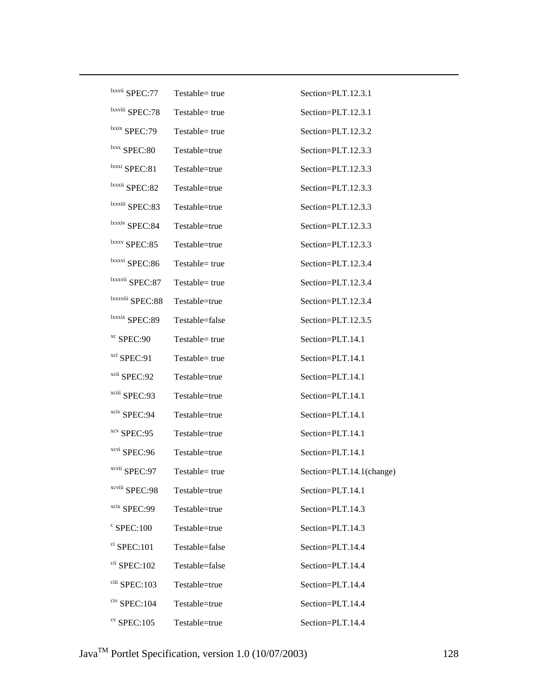| lxxvii SPEC:77              | Testable= true | Section=PLT.12.3.1       |
|-----------------------------|----------------|--------------------------|
| lxxviii SPEC:78             | Testable= true | Section=PLT.12.3.1       |
| lxxix SPEC:79               | Testable= true | Section=PLT.12.3.2       |
| $lxxx$ SPEC:80              | Testable=true  | Section=PLT.12.3.3       |
| lxxxi SPEC:81               | Testable=true  | Section=PLT.12.3.3       |
| lxxxii SPEC:82              | Testable=true  | Section=PLT.12.3.3       |
| lxxxiii SPEC:83             | Testable=true  | Section=PLT.12.3.3       |
| lxxxiv SPEC:84              | Testable=true  | Section=PLT.12.3.3       |
| lxxxv SPEC:85               | Testable=true  | Section=PLT.12.3.3       |
| lxxxvi SPEC:86              | Testable= true | Section=PLT.12.3.4       |
| lxxxvii SPEC:87             | Testable= true | Section=PLT.12.3.4       |
| <sup>lxxxviii</sup> SPEC:88 | Testable=true  | Section=PLT.12.3.4       |
| lxxxix SPEC:89              | Testable=false | Section=PLT.12.3.5       |
| <sup>xc</sup> SPEC:90       | Testable= true | Section=PLT.14.1         |
| <sup>xci</sup> SPEC:91      | Testable= true | Section=PLT.14.1         |
| <sup>xcii</sup> SPEC:92     | Testable=true  | Section=PLT.14.1         |
| <sup>xciii</sup> SPEC:93    | Testable=true  | Section=PLT.14.1         |
| <sup>xciv</sup> SPEC:94     | Testable=true  | Section=PLT.14.1         |
| <sup>xcv</sup> SPEC:95      | Testable=true  | Section=PLT.14.1         |
| <sup>xcvi</sup> SPEC:96     | Testable=true  | Section=PLT.14.1         |
| xcvii SPEC:97               | Testable= true | Section=PLT.14.1(change) |
| xcviii SPEC:98              | Testable=true  | Section=PLT.14.1         |
| xcix SPEC:99                | Testable=true  | Section=PLT.14.3         |
| $\textdegree$ SPEC:100      | Testable=true  | Section=PLT.14.3         |
| $\rm^{ci}$ SPEC:101         | Testable=false | Section=PLT.14.4         |
| cii SPEC:102                | Testable=false | Section=PLT.14.4         |
| ciii SPEC:103               | Testable=true  | Section=PLT.14.4         |
| civ SPEC:104                | Testable=true  | Section=PLT.14.4         |
| $\rm ^{cv}$ SPEC:105        | Testable=true  | Section=PLT.14.4         |

 $\overline{a}$ 

Java<sup>TM</sup> Portlet Specification, version 1.0 (10/07/2003) 128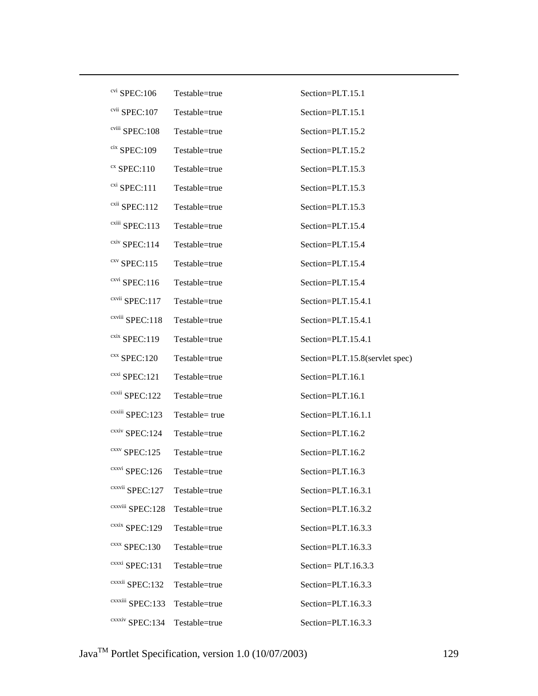| cvi SPEC:106                                      | Testable=true  | Section=PLT.15.1               |
|---------------------------------------------------|----------------|--------------------------------|
| cvii SPEC:107                                     | Testable=true  | Section=PLT.15.1               |
| cviii SPEC:108                                    | Testable=true  | Section=PLT.15.2               |
| $\text{cix}$ SPEC:109                             | Testable=true  | Section=PLT.15.2               |
| $\text{c}^{\text{cx}}$ SPEC:110                   | Testable=true  | Section=PLT.15.3               |
| $\text{cxi}$ SPEC:111                             | Testable=true  | Section=PLT.15.3               |
| cxii SPEC:112                                     | Testable=true  | Section=PLT.15.3               |
| cxiii SPEC:113                                    | Testable=true  | Section=PLT.15.4               |
| cxiv SPEC:114                                     | Testable=true  | Section=PLT.15.4               |
| $CXY$ SPEC:115                                    | Testable=true  | Section=PLT.15.4               |
| $c$ xvi SPEC:116                                  | Testable=true  | Section=PLT.15.4               |
| $c$ xvii SPEC:117                                 | Testable=true  | Section=PLT.15.4.1             |
| cxviii SPEC:118                                   | Testable=true  | Section=PLT.15.4.1             |
| $\text{c}^{\text{c} \text{x} \text{ix}}$ SPEC:119 | Testable=true  | Section=PLT.15.4.1             |
| $CXX$ SPEC:120                                    | Testable=true  | Section=PLT.15.8(servlet spec) |
| cxxi SPEC:121                                     | Testable=true  | Section=PLT.16.1               |
| cxxii SPEC:122                                    | Testable=true  | Section=PLT.16.1               |
| cxxiii SPEC:123                                   | Testable= true | Section=PLT.16.1.1             |
| cxxiv SPEC:124                                    | Testable=true  | Section=PLT.16.2               |
| $CXXV$ SPEC:125                                   | Testable=true  | Section=PLT.16.2               |
| $c$ xxvi SPEC:126                                 | Testable=true  | Section=PLT.16.3               |
| cxxvii SPEC:127                                   | Testable=true  | Section=PLT.16.3.1             |
| cxxviii SPEC:128                                  | Testable=true  | Section=PLT.16.3.2             |
| $c$ xxix SPEC:129                                 | Testable=true  | Section=PLT.16.3.3             |
| $CXXX$ SPEC:130                                   | Testable=true  | Section=PLT.16.3.3             |
| $c$ xxxi SPEC:131                                 | Testable=true  | Section=PLT.16.3.3             |
| $c$ xxxii SPEC:132                                | Testable=true  | Section=PLT.16.3.3             |
| cxxxiii SPEC:133                                  | Testable=true  | Section=PLT.16.3.3             |
| cxxxiv SPEC:134                                   | Testable=true  | Section=PLT.16.3.3             |

Java<sup>TM</sup> Portlet Specification, version 1.0 (10/07/2003) 129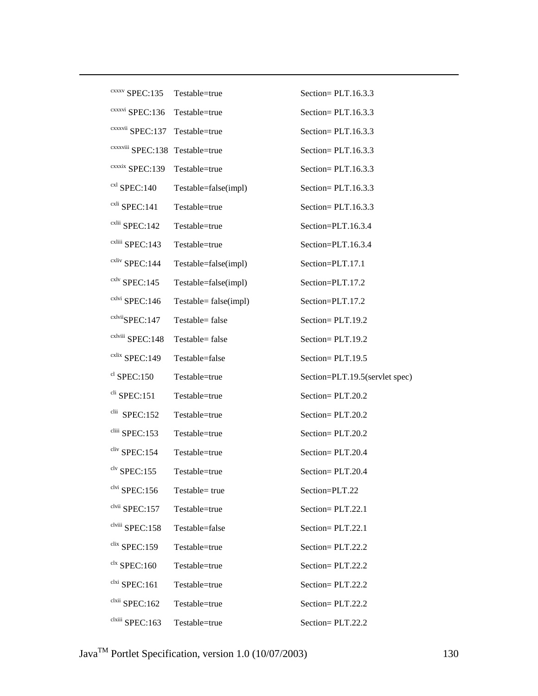| cxxxv SPEC:135                                   | Testable=true         | Section=PLT.16.3.3             |
|--------------------------------------------------|-----------------------|--------------------------------|
| cxxxvi SPEC:136                                  | Testable=true         | Section=PLT.16.3.3             |
| cxxxvii SPEC:137                                 | Testable=true         | Section=PLT.16.3.3             |
| cxxxviii SPEC:138 Testable=true                  |                       | Section=PLT.16.3.3             |
| cxxxix SPEC:139                                  | Testable=true         | Section=PLT.16.3.3             |
| $\text{c}^{\text{c} \text{x} \text{l}}$ SPEC:140 | Testable=false(impl)  | Section=PLT.16.3.3             |
| cxli SPEC:141                                    | Testable=true         | Section= $PLT.16.3.3$          |
| cxlii SPEC:142                                   | Testable=true         | Section=PLT.16.3.4             |
| cxliii SPEC:143                                  | Testable=true         | Section=PLT.16.3.4             |
| cxliv SPEC:144                                   | Testable=false(impl)  | Section=PLT.17.1               |
| cxlv SPEC:145                                    | Testable=false(impl)  | Section=PLT.17.2               |
| cxlvi SPEC:146                                   | Testable= false(impl) | Section=PLT.17.2               |
| cxlvii <sub>SPEC:147</sub>                       | Testable= false       | Section=PLT.19.2               |
| cxlviii SPEC:148                                 | Testable= false       | Section=PLT.19.2               |
| $cxlix$ SPEC:149                                 | Testable=false        | Section=PLT.19.5               |
| $cl$ SPEC:150                                    | Testable=true         | Section=PLT.19.5(servlet spec) |
| $\rm cli$ SPEC:151                               | Testable=true         | Section=PLT.20.2               |
| clii SPEC:152                                    | Testable=true         | Section=PLT.20.2               |
| cliii SPEC:153                                   | Testable=true         | Section=PLT.20.2               |
| $cliv$ SPEC:154                                  | Testable=true         | Section=PLT.20.4               |
| $e^{\text{lv}}$ SPEC:155                         | Testable=true         | Section=PLT.20.4               |
| clvi SPEC:156                                    | Testable= true        | Section=PLT.22                 |
| clvii SPEC:157                                   | Testable=true         | Section=PLT.22.1               |
| clviii SPEC:158                                  | Testable=false        | Section=PLT.22.1               |
| $clix$ SPEC:159                                  | Testable=true         | Section=PLT.22.2               |
| $clx$ SPEC:160                                   | Testable=true         | Section=PLT.22.2               |
| $clxi$ SPEC:161                                  | Testable=true         | Section=PLT.22.2               |
| clxii SPEC:162                                   | Testable=true         | Section=PLT.22.2               |
| clxiii SPEC:163                                  | Testable=true         | Section=PLT.22.2               |

Java<sup>TM</sup> Portlet Specification, version 1.0 (10/07/2003) 130